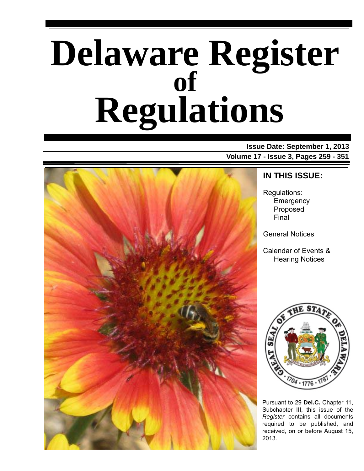# **Delaware Register Regulations of**

**Issue Date: September 1, 2013 Volume 17 - Issue 3, Pages 259 - 351**



### **IN THIS ISSUE:**

Regulations: **Emergency** Proposed Final

General Notices

Calendar of Events & Hearing Notices



Pursuant to 29 **Del.C.** Chapter 11, Subchapter III, this issue of the *Register* contains all documents required to be published, and received, on or before August 15, 2013.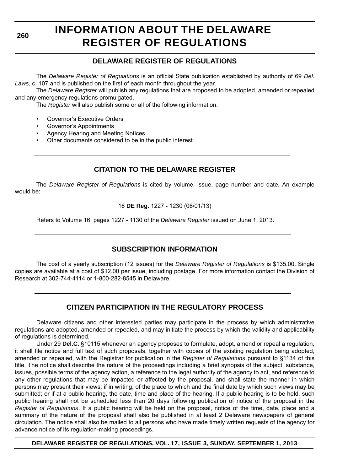**260**

# **INFORMATION ABOUT THE DELAWARE REGISTER OF REGULATIONS**

### **DELAWARE REGISTER OF REGULATIONS**

The *Delaware Register of Regulations* is an official State publication established by authority of 69 *Del. Laws*, c. 107 and is published on the first of each month throughout the year.

The *Delaware Register* will publish any regulations that are proposed to be adopted, amended or repealed and any emergency regulations promulgated.

The *Register* will also publish some or all of the following information:

- Governor's Executive Orders
- Governor's Appointments
- Agency Hearing and Meeting Notices
- Other documents considered to be in the public interest.

### **CITATION TO THE DELAWARE REGISTER**

The *Delaware Register of Regulations* is cited by volume, issue, page number and date. An example would be:

16 **DE Reg.** 1227 - 1230 (06/01/13)

Refers to Volume 16, pages 1227 - 1130 of the *Delaware Register* issued on June 1, 2013.

### **SUBSCRIPTION INFORMATION**

The cost of a yearly subscription (12 issues) for the *Delaware Register of Regulations* is \$135.00. Single copies are available at a cost of \$12.00 per issue, including postage. For more information contact the Division of Research at 302-744-4114 or 1-800-282-8545 in Delaware.

### **CITIZEN PARTICIPATION IN THE REGULATORY PROCESS**

Delaware citizens and other interested parties may participate in the process by which administrative regulations are adopted, amended or repealed, and may initiate the process by which the validity and applicability of regulations is determined.

Under 29 **Del.C.** §10115 whenever an agency proposes to formulate, adopt, amend or repeal a regulation, it shall file notice and full text of such proposals, together with copies of the existing regulation being adopted, amended or repealed, with the Registrar for publication in the *Register of Regulations* pursuant to §1134 of this title. The notice shall describe the nature of the proceedings including a brief synopsis of the subject, substance, issues, possible terms of the agency action, a reference to the legal authority of the agency to act, and reference to any other regulations that may be impacted or affected by the proposal, and shall state the manner in which persons may present their views; if in writing, of the place to which and the final date by which such views may be submitted; or if at a public hearing, the date, time and place of the hearing. If a public hearing is to be held, such public hearing shall not be scheduled less than 20 days following publication of notice of the proposal in the *Register of Regulations*. If a public hearing will be held on the proposal, notice of the time, date, place and a summary of the nature of the proposal shall also be published in at least 2 Delaware newspapers of general circulation. The notice shall also be mailed to all persons who have made timely written requests of the agency for advance notice of its regulation-making proceedings.

**DELAWARE REGISTER OF REGULATIONS, VOL. 17, ISSUE 3, SUNDAY, SEPTEMBER 1, 2013**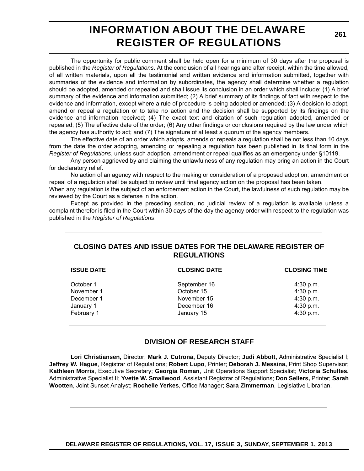### **INFORMATION ABOUT THE DELAWARE REGISTER OF REGULATIONS**

**261**

The opportunity for public comment shall be held open for a minimum of 30 days after the proposal is published in the *Register of Regulations*. At the conclusion of all hearings and after receipt, within the time allowed, of all written materials, upon all the testimonial and written evidence and information submitted, together with summaries of the evidence and information by subordinates, the agency shall determine whether a regulation should be adopted, amended or repealed and shall issue its conclusion in an order which shall include: (1) A brief summary of the evidence and information submitted; (2) A brief summary of its findings of fact with respect to the evidence and information, except where a rule of procedure is being adopted or amended; (3) A decision to adopt, amend or repeal a regulation or to take no action and the decision shall be supported by its findings on the evidence and information received; (4) The exact text and citation of such regulation adopted, amended or repealed; (5) The effective date of the order; (6) Any other findings or conclusions required by the law under which the agency has authority to act; and (7) The signature of at least a quorum of the agency members.

The effective date of an order which adopts, amends or repeals a regulation shall be not less than 10 days from the date the order adopting, amending or repealing a regulation has been published in its final form in the *Register of Regulations*, unless such adoption, amendment or repeal qualifies as an emergency under §10119.

Any person aggrieved by and claiming the unlawfulness of any regulation may bring an action in the Court for declaratory relief.

No action of an agency with respect to the making or consideration of a proposed adoption, amendment or repeal of a regulation shall be subject to review until final agency action on the proposal has been taken.

When any regulation is the subject of an enforcement action in the Court, the lawfulness of such regulation may be reviewed by the Court as a defense in the action.

Except as provided in the preceding section, no judicial review of a regulation is available unless a complaint therefor is filed in the Court within 30 days of the day the agency order with respect to the regulation was published in the *Register of Regulations*.

### **CLOSING DATES AND ISSUE DATES FOR THE DELAWARE REGISTER OF REGULATIONS**

| <b>ISSUE DATE</b> | <b>CLOSING DATE</b> | <b>CLOSING TIME</b> |
|-------------------|---------------------|---------------------|
| October 1         | September 16        | 4:30 p.m.           |
| November 1        | October 15          | 4:30 p.m.           |
| December 1        | November 15         | 4:30 p.m.           |
| January 1         | December 16         | 4:30 p.m.           |
| February 1        | January 15          | 4:30 p.m.           |

### **DIVISION OF RESEARCH STAFF**

**Lori Christiansen,** Director; **Mark J. Cutrona,** Deputy Director; **Judi Abbott,** Administrative Specialist I; **Jeffrey W. Hague**, Registrar of Regulations; **Robert Lupo**, Printer; **Deborah J. Messina,** Print Shop Supervisor; **Kathleen Morris**, Executive Secretary; **Georgia Roman**, Unit Operations Support Specialist; **Victoria Schultes,** Administrative Specialist II; **Yvette W. Smallwood**, Assistant Registrar of Regulations; **Don Sellers,** Printer; **Sarah Wootten**, Joint Sunset Analyst; **Rochelle Yerkes**, Office Manager; **Sara Zimmerman**, Legislative Librarian.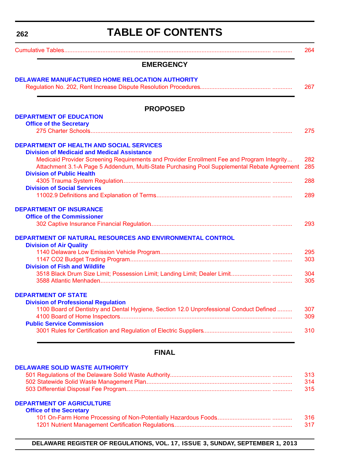<span id="page-3-0"></span>**262**

# **TABLE OF CONTENTS**

|                                                                                                                                                                                                                               | 264        |
|-------------------------------------------------------------------------------------------------------------------------------------------------------------------------------------------------------------------------------|------------|
| <b>EMERGENCY</b>                                                                                                                                                                                                              |            |
| <b>DELAWARE MANUFACTURED HOME RELOCATION AUTHORITY</b>                                                                                                                                                                        | 267        |
|                                                                                                                                                                                                                               |            |
| <b>PROPOSED</b>                                                                                                                                                                                                               |            |
| <b>DEPARTMENT OF EDUCATION</b><br><b>Office of the Secretary</b>                                                                                                                                                              |            |
|                                                                                                                                                                                                                               | 275        |
| <b>DEPARTMENT OF HEALTH AND SOCIAL SERVICES</b>                                                                                                                                                                               |            |
| <b>Division of Medicaid and Medical Assistance</b>                                                                                                                                                                            |            |
| Medicaid Provider Screening Requirements and Provider Enrollment Fee and Program Integrity<br>Attachment 3.1-A Page 5 Addendum, Multi-State Purchasing Pool Supplemental Rebate Agreement<br><b>Division of Public Health</b> | 282<br>285 |
|                                                                                                                                                                                                                               | 288        |
| <b>Division of Social Services</b>                                                                                                                                                                                            |            |
|                                                                                                                                                                                                                               | 289        |
| <b>DEPARTMENT OF INSURANCE</b>                                                                                                                                                                                                |            |
| <b>Office of the Commissioner</b>                                                                                                                                                                                             | 293        |
|                                                                                                                                                                                                                               |            |
| DEPARTMENT OF NATURAL RESOURCES AND ENVIRONMENTAL CONTROL                                                                                                                                                                     |            |
| <b>Division of Air Quality</b>                                                                                                                                                                                                |            |
|                                                                                                                                                                                                                               | 295<br>303 |
| <b>Division of Fish and Wildlife</b>                                                                                                                                                                                          |            |
|                                                                                                                                                                                                                               | 304        |
|                                                                                                                                                                                                                               | 305        |
| <b>DEPARTMENT OF STATE</b>                                                                                                                                                                                                    |            |
| <b>Division of Professional Regulation</b>                                                                                                                                                                                    |            |
| 1100 Board of Dentistry and Dental Hygiene, Section 12.0 Unprofessional Conduct Defined                                                                                                                                       | 307        |
| <b>Public Service Commission</b>                                                                                                                                                                                              | 309        |
|                                                                                                                                                                                                                               | 310        |
|                                                                                                                                                                                                                               |            |
| <b>FINAL</b>                                                                                                                                                                                                                  |            |
| <b>DELAWARE SOLID WASTE AUTHORITY</b>                                                                                                                                                                                         |            |
|                                                                                                                                                                                                                               | 313        |
|                                                                                                                                                                                                                               | 314        |

#### **[DEPARTMENT OF AGRICULTURE](http://dda.delaware.gov/)**

| <b>Office of the Secretary</b> |      |
|--------------------------------|------|
|                                | 316  |
|                                | -317 |

[503 Differential Disposal Fee Program.](#page-56-0)....................................................................................... ............ 315

**DELAWARE REGISTER OF REGULATIONS, VOL. 17, ISSUE 3, SUNDAY, SEPTEMBER 1, 2013**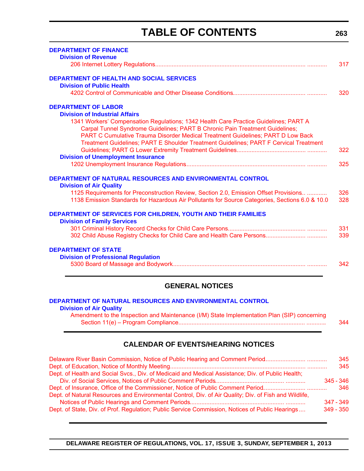# **TABLE OF CONTENTS**

| <b>DEPARTMENT OF FINANCE</b>                                                                    |     |
|-------------------------------------------------------------------------------------------------|-----|
| <b>Division of Revenue</b>                                                                      |     |
|                                                                                                 | 317 |
| <b>DEPARTMENT OF HEALTH AND SOCIAL SERVICES</b>                                                 |     |
| <b>Division of Public Health</b>                                                                |     |
|                                                                                                 | 320 |
| <b>DEPARTMENT OF LABOR</b>                                                                      |     |
| <b>Division of Industrial Affairs</b>                                                           |     |
| 1341 Workers' Compensation Regulations; 1342 Health Care Practice Guidelines; PART A            |     |
| Carpal Tunnel Syndrome Guidelines; PART B Chronic Pain Treatment Guidelines;                    |     |
| PART C Cumulative Trauma Disorder Medical Treatment Guidelines; PART D Low Back                 |     |
| Treatment Guidelines; PART E Shoulder Treatment Guidelines; PART F Cervical Treatment           |     |
|                                                                                                 | 322 |
| <b>Division of Unemployment Insurance</b>                                                       |     |
|                                                                                                 | 325 |
| DEPARTMENT OF NATURAL RESOURCES AND ENVIRONMENTAL CONTROL                                       |     |
| <b>Division of Air Quality</b>                                                                  |     |
|                                                                                                 | 326 |
| 1125 Requirements for Preconstruction Review, Section 2.0, Emission Offset Provisions           |     |
| 1138 Emission Standards for Hazardous Air Pollutants for Source Categories, Sections 6.0 & 10.0 | 328 |
| DEPARTMENT OF SERVICES FOR CHILDREN, YOUTH AND THEIR FAMILIES                                   |     |
| <b>Division of Family Services</b>                                                              |     |
|                                                                                                 | 331 |
|                                                                                                 | 339 |
| <b>DEPARTMENT OF STATE</b>                                                                      |     |
| <b>Division of Professional Regulation</b>                                                      |     |
|                                                                                                 | 342 |
|                                                                                                 |     |

### **GENERAL NOTICES**

**Division of Air Quality** [Amendment to the Inspection and Maintenance \(I/M\) State Implementation Plan \(SIP\) concerning](#page-85-0) ......Section 11(e) – Program Compliance............................................................................. ............ 344

### **CALENDAR OF EVENTS/HEARING NOTICES**

| Delaware River Basin Commission, Notice of Public Hearing and Comment Period                          | 345         |
|-------------------------------------------------------------------------------------------------------|-------------|
|                                                                                                       | 345         |
| Dept. of Health and Social Svcs., Div. of Medicaid and Medical Assistance; Div. of Public Health;     |             |
|                                                                                                       | $345 - 346$ |
| Dept. of Insurance, Office of the Commissioner, Notice of Public Comment Period                       | 346         |
| Dept. of Natural Resources and Environmental Control, Div. of Air Quality; Div. of Fish and Wildlife, |             |
|                                                                                                       | $347 - 349$ |
| Dept. of State, Div. of Prof. Regulation; Public Service Commission, Notices of Public Hearings       | $349 - 350$ |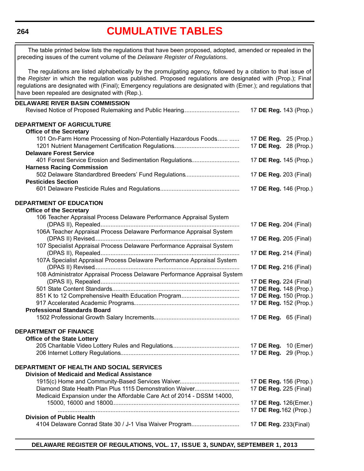**264**

# **[CUMULATIVE TABLES](#page-3-0)**

**DELAWARE RIVER BASIN COMMISSION** Revised Notice of Proposed Rulemaking and Public Hearing.................................. 17 **DE Reg.** 143 (Prop.) **DEPARTMENT OF AGRICULTURE Office of the Secretary** 101 On-Farm Home Processing of Non-Potentially Hazardous Foods....... ...... 17 **DE Reg.** 25 (Prop.) 1201 Nutrient Management Certification Regulations........................................ 17 **DE Reg.** 28 (Prop.) **Delaware Forest Service** 401 Forest Service Erosion and Sedimentation Regulations............................. 17 **DE Reg.** 145 (Prop.) **Harness Racing Commission** 502 Delaware Standardbred Breeders' Fund Regulations................................. 17 **DE Reg.** 203 (Final) **Pesticides Section** 601 Delaware Pesticide Rules and Regulations................................................. 17 **DE Reg.** 146 (Prop.) **DEPARTMENT OF EDUCATION Office of the Secretary** 106 Teacher Appraisal Process Delaware Performance Appraisal System (DPAS II), Repealed..................................................................................... 17 **DE Reg.** 204 (Final) 106A Teacher Appraisal Process Delaware Performance Appraisal System (DPAS II) Revised........................................................................................ 17 **DE Reg.** 205 (Final) 107 Specialist Appraisal Process Delaware Performance Appraisal System (DPAS II), Repealed..................................................................................... 17 **DE Reg.** 214 (Final) 107A Specialist Appraisal Process Delaware Performance Appraisal System (DPAS II) Revised........................................................................................ 17 **DE Reg.** 216 (Final) 108 Administrator Appraisal Process Delaware Performance Appraisal System (DPAS II), Repealed..................................................................................... 17 **DE Reg.** 224 (Final) 501 State Content Standards.............................................................................. 17 **DE Reg.** 148 (Prop.) 851 K to 12 Comprehensive Health Education Program.................................... 17 **DE Reg.** 150 (Prop.) 917 Accelerated Academic Programs................................................................ 17 **DE Reg.** 152 (Prop.) **Professional Standards Board** 1502 Professional Growth Salary Increments.................................................... 17 **DE Reg.** 65 (Final) **DEPARTMENT OF FINANCE Office of the State Lottery** 205 Charitable Video Lottery Rules and Regulations......................................... 17 **DE Reg.** 10 (Emer) 206 Internet Lottery Regulations........................................................................ 17 **DE Reg.** 29 (Prop.) **DEPARTMENT OF HEALTH AND SOCIAL SERVICES Division of Medicaid and Medical Assistance** 1915(c) Home and Community-Based Services Waiver.................................... 17 **DE Reg.** 156 (Prop.) Diamond State Health Plan Plus 1115 Demonstration Waiver........................... 17 **DE Reg.** 225 (Final) Medicaid Expansion under the Affordable Care Act of 2014 - DSSM 14000, 15000, 16000 and 18000............................................................................. 17 **DE Reg.** 126(Emer.) .............................................................................................................. 17 **DE Reg.**162 (Prop.) **Division of Public Health** 4104 Delaware Conrad State 30 / J-1 Visa Waiver Program.............................. 17 **DE Reg.** 233(Final) The table printed below lists the regulations that have been proposed, adopted, amended or repealed in the preceding issues of the current volume of the *Delaware Register of Regulations*. The regulations are listed alphabetically by the promulgating agency, followed by a citation to that issue of the *Register* in which the regulation was published. Proposed regulations are designated with (Prop.); Final regulations are designated with (Final); Emergency regulations are designated with (Emer.); and regulations that have been repealed are designated with (Rep.).

**DELAWARE REGISTER OF REGULATIONS, VOL. 17, ISSUE 3, SUNDAY, SEPTEMBER 1, 2013**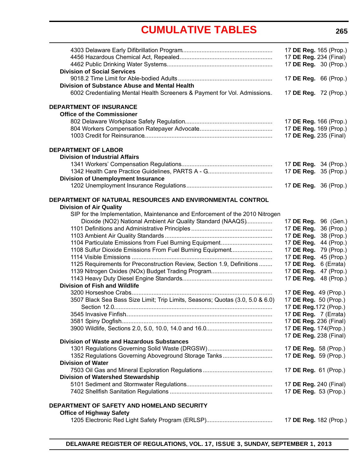# **[CUMULATIVE TABLES](#page-3-0)**

<span id="page-6-0"></span>

|                                                                               |                       | 17 DE Reg. 165 (Prop.)                          |
|-------------------------------------------------------------------------------|-----------------------|-------------------------------------------------|
|                                                                               |                       | 17 DE Reg. 234 (Final)                          |
|                                                                               |                       | 17 DE Reg. 30 (Prop.)                           |
| <b>Division of Social Services</b>                                            |                       |                                                 |
|                                                                               |                       | 17 DE Reg. 66 (Prop.)                           |
| Division of Substance Abuse and Mental Health                                 |                       |                                                 |
| 6002 Credentialing Mental Health Screeners & Payment for Vol. Admissions.     |                       | 17 DE Reg. 72 (Prop.)                           |
| <b>DEPARTMENT OF INSURANCE</b>                                                |                       |                                                 |
| <b>Office of the Commissioner</b>                                             |                       |                                                 |
|                                                                               |                       | 17 DE Reg. 166 (Prop.)                          |
|                                                                               |                       | 17 DE Reg. 169 (Prop.)                          |
|                                                                               |                       | 17 DE Reg. 235 (Final)                          |
| <b>DEPARTMENT OF LABOR</b>                                                    |                       |                                                 |
| <b>Division of Industrial Affairs</b>                                         |                       |                                                 |
|                                                                               |                       | 17 DE Reg. 34 (Prop.)                           |
|                                                                               |                       | 17 DE Reg. 35 (Prop.)                           |
| <b>Division of Unemployment Insurance</b>                                     |                       |                                                 |
|                                                                               |                       | 17 DE Reg. 36 (Prop.)                           |
|                                                                               |                       |                                                 |
| DEPARTMENT OF NATURAL RESOURCES AND ENVIRONMENTAL CONTROL                     |                       |                                                 |
| <b>Division of Air Quality</b>                                                |                       |                                                 |
| SIP for the Implementation, Maintenance and Enforcement of the 2010 Nitrogen  |                       |                                                 |
| Dioxide (NO2) National Ambient Air Quality Standard (NAAQS)                   |                       | 17 DE Reg. 96 (Gen.)                            |
|                                                                               | 17 DE Reg.            | 36 (Prop.)                                      |
|                                                                               | 17 DE Reg.            | 38 (Prop.)                                      |
| 1104 Particulate Emissions from Fuel Burning Equipment                        | 17 DE Reg.            | 44 (Prop.)                                      |
| 1108 Sulfur Dioxide Emissions From Fuel Burning Equipment                     | 17 DE Reg.            | 79 (Prop.)                                      |
|                                                                               | 17 DE Reg.            | 45 (Prop.)                                      |
| 1125 Requirements for Preconstruction Review, Section 1.9, Definitions        | 17 DE Reg.            | 6 (Errata)                                      |
|                                                                               | 17 DE Reg.            | 47 (Prop.)                                      |
|                                                                               | 17 DE Reg.            | 48 (Prop.)                                      |
| <b>Division of Fish and Wildlife</b>                                          |                       |                                                 |
|                                                                               |                       | 17 DE Reg. 49 (Prop.)                           |
| 3507 Black Sea Bass Size Limit; Trip Limits, Seasons; Quotas (3.0, 5.0 & 6.0) |                       | 17 DE Reg. 50 (Prop.)                           |
|                                                                               |                       | 17 DE Reg. 172 (Prop.)<br>17 DE Reg. 7 (Errata) |
|                                                                               |                       |                                                 |
|                                                                               |                       | 17 DE Reg. 236 (Final)                          |
|                                                                               |                       | 17 DE Reg. 174(Prop.)<br>17 DE Reg. 238 (Final) |
| <b>Division of Waste and Hazardous Substances</b>                             |                       |                                                 |
|                                                                               |                       | 17 DE Reg. 58 (Prop.)                           |
| 1352 Regulations Governing Aboveground Storage Tanks                          |                       | 17 DE Reg. 59 (Prop.)                           |
| <b>Division of Water</b>                                                      |                       |                                                 |
|                                                                               | 17 DE Reg. 61 (Prop.) |                                                 |
| <b>Division of Watershed Stewardship</b>                                      |                       |                                                 |
|                                                                               |                       | 17 <b>DE Reg.</b> 240 (Final)                   |
|                                                                               |                       | 17 DE Reg. 53 (Prop.)                           |
|                                                                               |                       |                                                 |
| DEPARTMENT OF SAFETY AND HOMELAND SECURITY                                    |                       |                                                 |
| <b>Office of Highway Safety</b>                                               |                       |                                                 |
|                                                                               |                       | 17 DE Reg. 182 (Prop.)                          |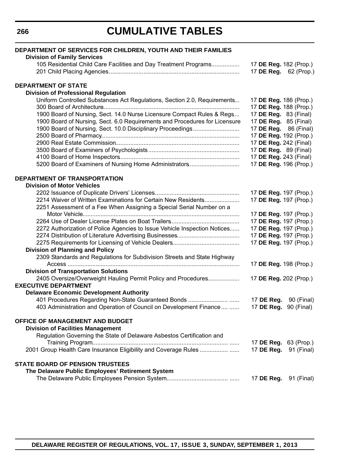# **CUMULATIVE TABLES**

| DEPARTMENT OF SERVICES FOR CHILDREN, YOUTH AND THEIR FAMILIES                                          |                                                 |
|--------------------------------------------------------------------------------------------------------|-------------------------------------------------|
| <b>Division of Family Services</b><br>105 Residential Child Care Facilities and Day Treatment Programs |                                                 |
|                                                                                                        | 17 DE Reg. 182 (Prop.)<br>17 DE Reg. 62 (Prop.) |
| <b>DEPARTMENT OF STATE</b>                                                                             |                                                 |
| <b>Division of Professional Regulation</b>                                                             |                                                 |
| Uniform Controlled Substances Act Regulations, Section 2.0, Requirements                               | 17 DE Reg. 186 (Prop.)                          |
|                                                                                                        | 17 DE Reg. 188 (Prop.)                          |
| 1900 Board of Nursing, Sect. 14.0 Nurse Licensure Compact Rules & Regs                                 | 17 DE Reg. 83 (Final)                           |
| 1900 Board of Nursing, Sect. 6.0 Requirements and Procedures for Licensure                             | 17 DE Reg. 85 (Final)                           |
| 1900 Board of Nursing, Sect. 10.0 Disciplinary Proceedings                                             | 17 DE Reg. 86 (Final)                           |
|                                                                                                        | 17 DE Reg. 192 (Prop.)                          |
|                                                                                                        | 17 DE Reg. 242 (Final)                          |
|                                                                                                        | 17 DE Reg. 89 (Final)                           |
|                                                                                                        | 17 DE Reg. 243 (Final)                          |
| 5200 Board of Examiners of Nursing Home Administrators                                                 | 17 DE Reg. 196 (Prop.)                          |
| DEPARTMENT OF TRANSPORTATION                                                                           |                                                 |
| <b>Division of Motor Vehicles</b>                                                                      |                                                 |
|                                                                                                        | 17 DE Reg. 197 (Prop.)                          |
| 2214 Waiver of Written Examinations for Certain New Residents                                          | 17 DE Reg. 197 (Prop.)                          |
| 2251 Assessment of a Fee When Assigning a Special Serial Number on a                                   |                                                 |
|                                                                                                        | 17 DE Reg. 197 (Prop.)                          |
|                                                                                                        | 17 DE Reg. 197 (Prop.)                          |
| 2272 Authorization of Police Agencies to Issue Vehicle Inspection Notices                              | 17 DE Reg. 197 (Prop.)                          |
|                                                                                                        | 17 DE Reg. 197 (Prop.)                          |
|                                                                                                        | 17 DE Reg. 197 (Prop.)                          |
| <b>Division of Planning and Policy</b>                                                                 |                                                 |
| 2309 Standards and Regulations for Subdivision Streets and State Highway                               |                                                 |
|                                                                                                        | 17 DE Reg. 198 (Prop.)                          |
| <b>Division of Transportation Solutions</b>                                                            |                                                 |
| 2405 Oversize/Overweight Hauling Permit Policy and Procedures<br><b>EXECUTIVE DEPARTMENT</b>           | 17 DE Reg. 202 (Prop.)                          |
| <b>Delaware Economic Development Authority</b>                                                         |                                                 |
|                                                                                                        | 17 DE Reg.<br>90 (Final)                        |
| 403 Administration and Operation of Council on Development Finance                                     | 90 (Final)<br>17 DE Reg.                        |
| OFFICE OF MANAGEMENT AND BUDGET                                                                        |                                                 |
| <b>Division of Facilities Management</b>                                                               |                                                 |
| Regulation Governing the State of Delaware Asbestos Certification and                                  |                                                 |
|                                                                                                        | 17 DE Reg.<br>63 (Prop.)                        |
|                                                                                                        | 17 DE Reg.<br>91 (Final)                        |
| <b>STATE BOARD OF PENSION TRUSTEES</b>                                                                 |                                                 |
| The Delaware Public Employees' Retirement System                                                       |                                                 |
|                                                                                                        | 17 <b>DE Reg.</b> 91 (Final)                    |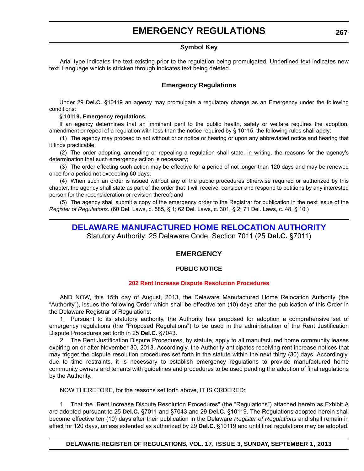### **EMERGENCY REGULATIONS**

#### **Symbol Key**

<span id="page-8-0"></span>Arial type indicates the text existing prior to the regulation being promulgated. Underlined text indicates new text. Language which is stricken through indicates text being deleted.

#### **Emergency Regulations**

Under 29 **Del.C.** §10119 an agency may promulgate a regulatory change as an Emergency under the following conditions:

#### **§ 10119. Emergency regulations.**

If an agency determines that an imminent peril to the public health, safety or welfare requires the adoption, amendment or repeal of a regulation with less than the notice required by § 10115, the following rules shall apply:

(1) The agency may proceed to act without prior notice or hearing or upon any abbreviated notice and hearing that it finds practicable;

(2) The order adopting, amending or repealing a regulation shall state, in writing, the reasons for the agency's determination that such emergency action is necessary;

(3) The order effecting such action may be effective for a period of not longer than 120 days and may be renewed once for a period not exceeding 60 days;

(4) When such an order is issued without any of the public procedures otherwise required or authorized by this chapter, the agency shall state as part of the order that it will receive, consider and respond to petitions by any interested person for the reconsideration or revision thereof; and

(5) The agency shall submit a copy of the emergency order to the Registrar for publication in the next issue of the *Register of Regulations*. (60 Del. Laws, c. 585, § 1; 62 Del. Laws, c. 301, § 2; 71 Del. Laws, c. 48, § 10.)

# **[DELAWARE MANUFACTURED HOME RELOCATION AUTHORITY](http://demhra.delaware.gov/)**

Statutory Authority: 25 Delaware Code, Section 7011 (25 **Del.C.** §7011)

#### **EMERGENCY**

#### **PUBLIC NOTICE**

#### **[202 Rent Increase Dispute Resolution Procedures](#page-3-0)**

AND NOW, this 15th day of August, 2013, the Delaware Manufactured Home Relocation Authority (the "Authority"), issues the following Order which shall be effective ten (10) days after the publication of this Order in the Delaware Registrar of Regulations:

1. Pursuant to its statutory authority, the Authority has proposed for adoption a comprehensive set of emergency regulations (the "Proposed Regulations") to be used in the administration of the Rent Justification Dispute Procedures set forth in 25 **Del.C.** §7043.

2. The Rent Justification Dispute Procedures, by statute, apply to all manufactured home community leases expiring on or after November 30, 2013. Accordingly, the Authority anticipates receiving rent increase notices that may trigger the dispute resolution procedures set forth in the statute within the next thirty (30) days. Accordingly, due to time restraints, it is necessary to establish emergency regulations to provide manufactured home community owners and tenants with guidelines and procedures to be used pending the adoption of final regulations by the Authority.

NOW THEREFORE, for the reasons set forth above, IT IS ORDERED:

1. That the "Rent Increase Dispute Resolution Procedures" (the "Regulations") attached hereto as Exhibit A are adopted pursuant to 25 **Del.C.** §7011 and §7043 and 29 **Del.C.** §10119. The Regulations adopted herein shall become effective ten (10) days after their publication in the Delaware *Register of Regulations* and shall remain in effect for 120 days, unless extended as authorized by 29 **Del.C.** §10119 and until final regulations may be adopted.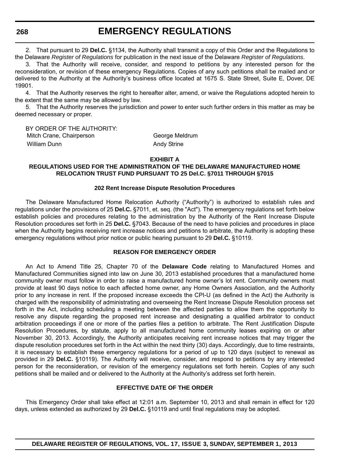**268**

**EMERGENCY REGULATIONS**

2. That pursuant to 29 **Del.C.** §1134, the Authority shall transmit a copy of this Order and the Regulations to the Delaware *Register of Regulations* for publication in the next issue of the Delaware *Register of Regulations*.

3. That the Authority will receive, consider, and respond to petitions by any interested person for the reconsideration, or revision of these emergency Regulations. Copies of any such petitions shall be mailed and or delivered to the Authority at the Authority's business office located at 1675 S. State Street, Suite E, Dover, DE 19901.

4. That the Authority reserves the right to hereafter alter, amend, or waive the Regulations adopted herein to the extent that the same may be allowed by law.

5. That the Authority reserves the jurisdiction and power to enter such further orders in this matter as may be deemed necessary or proper.

BY ORDER OF THE AUTHORITY: Mitch Crane, Chairperson George Meldrum William Dunn **Andy Strine** Andy Strine

**EXHIBIT A**

#### **REGULATIONS USED FOR THE ADMINISTRATION OF THE DELAWARE MANUFACTURED HOME RELOCATION TRUST FUND PURSUANT TO 25 Del.C. §7011 THROUGH §7015**

#### **202 Rent Increase Dispute Resolution Procedures**

The Delaware Manufactured Home Relocation Authority ("Authority") is authorized to establish rules and regulations under the provisions of 25 **Del.C.** §7011, et. seq. (the "Act"). The emergency regulations set forth below establish policies and procedures relating to the administration by the Authority of the Rent Increase Dispute Resolution procedures set forth in 25 **Del.C.** §7043. Because of the need to have policies and procedures in place when the Authority begins receiving rent increase notices and petitions to arbitrate, the Authority is adopting these emergency regulations without prior notice or public hearing pursuant to 29 **Del.C.** §10119.

#### **REASON FOR EMERGENCY ORDER**

An Act to Amend Title 25, Chapter 70 of the **Delaware Code** relating to Manufactured Homes and Manufactured Communities signed into law on June 30, 2013 established procedures that a manufactured home community owner must follow in order to raise a manufactured home owner's lot rent. Community owners must provide at least 90 days notice to each affected home owner, any Home Owners Association, and the Authority prior to any increase in rent. If the proposed increase exceeds the CPI-U (as defined in the Act) the Authority is charged with the responsibility of administrating and overseeing the Rent Increase Dispute Resolution process set forth in the Act, including scheduling a meeting between the affected parties to allow them the opportunity to resolve any dispute regarding the proposed rent increase and designating a qualified arbitrator to conduct arbitration proceedings if one or more of the parties files a petition to arbitrate. The Rent Justification Dispute Resolution Procedures, by statute, apply to all manufactured home community leases expiring on or after November 30, 2013. Accordingly, the Authority anticipates receiving rent increase notices that may trigger the dispute resolution procedures set forth in the Act within the next thirty (30) days. Accordingly, due to time restraints, it is necessary to establish these emergency regulations for a period of up to 120 days (subject to renewal as provided in 29 **Del.C.** §10119). The Authority will receive, consider, and respond to petitions by any interested person for the reconsideration, or revision of the emergency regulations set forth herein. Copies of any such petitions shall be mailed and or delivered to the Authority at the Authority's address set forth herein.

#### **EFFECTIVE DATE OF THE ORDER**

This Emergency Order shall take effect at 12:01 a.m. September 10, 2013 and shall remain in effect for 120 days, unless extended as authorized by 29 **Del.C.** §10119 and until final regulations may be adopted.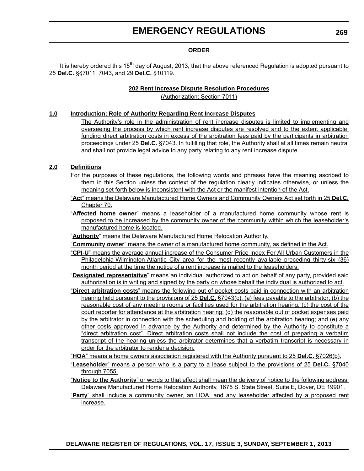### **EMERGENCY REGULATIONS**

#### **ORDER**

It is hereby ordered this 15<sup>th</sup> day of August, 2013, that the above referenced Regulation is adopted pursuant to 25 **Del.C.** §§7011, 7043, and 29 **Del.C.** §10119.

#### **202 Rent Increase Dispute Resolution Procedures**

(Authorization: Section 7011)

#### **1.0 Introduction: Role of Authority Regarding Rent Increase Disputes**

The Authority's role in the administration of rent increase disputes is limited to implementing and overseeing the process by which rent increase disputes are resolved and to the extent applicable, funding direct arbitration costs in excess of the arbitration fees paid by the participants in arbitration proceedings under 25 **Del.C.** §7043. In fulfilling that role, the Authority shall at all times remain neutral and shall not provide legal advice to any party relating to any rent increase dispute.

#### **2.0 Definitions**

- For the purposes of these regulations, the following words and phrases have the meaning ascribed to them in this Section unless the context of the regulation clearly indicates otherwise, or unless the meaning set forth below is inconsistent with the Act or the manifest intention of the Act.
- "**Act**" means the Delaware Manufactured Home Owners and Community Owners Act set forth in 25 **Del.C.** Chapter 70.
- "**Affected home owner**" means a leaseholder of a manufactured home community whose rent is proposed to be increased by the community owner of the community within which the leaseholder's manufactured home is located.
- "**Authority**" means the Delaware Manufactured Home Relocation Authority.
- "**Community owner**" means the owner of a manufactured home community, as defined in the Act.
- "**CPI-U**" means the average annual increase of the Consumer Price Index For All Urban Customers in the Philadelphia-Wilmington-Atlantic City area for the most recently available preceding thirty-six (36) month period at the time the notice of a rent increase is mailed to the leaseholders.
- "**Designated representative**" means an individual authorized to act on behalf of any party, provided said authorization is in writing and signed by the party on whose behalf the individual is authorized to act.
- "**Direct arbitration costs**" means the following out of pocket costs paid in connection with an arbitration hearing held pursuant to the provisions of 25 **Del.C.** §7043(c): (a) fees payable to the arbitrator; (b) the reasonable cost of any meeting rooms or facilities used for the arbitration hearing; (c) the cost of the court reporter for attendance at the arbitration hearing; (d) the reasonable out of pocket expenses paid by the arbitrator in connection with the scheduling and holding of the arbitration hearing; and (e) any other costs approved in advance by the Authority and determined by the Authority to constitute a "direct arbitration cost". Direct arbitration costs shall not include the cost of preparing a verbatim transcript of the hearing unless the arbitrator determines that a verbatim transcript is necessary in order for the arbitrator to render a decision.
- "**HOA**" means a home owners association registered with the Authority pursuant to 25 **Del.C.** §7026(b).
- "**Leaseholder**" means a person who is a party to a lease subject to the provisions of 25 **Del.C.** §7040 through 7055.
- "**Notice to the Authority**" or words to that effect shall mean the delivery of notice to the following address: Delaware Manufactured Home Relocation Authority, 1675 S. State Street, Suite E, Dover, DE 19901.
- "**Party**" shall include a community owner, an HOA, and any leaseholder affected by a proposed rent increase.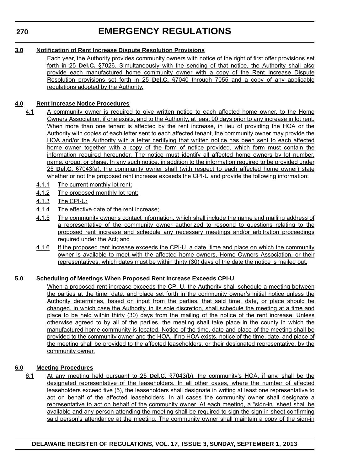### **EMERGENCY REGULATIONS**

#### **3.0 Notification of Rent Increase Dispute Resolution Provisions**

Each year, the Authority provides community owners with notice of the right of first offer provisions set forth in 25 **Del.C.** §7026. Simultaneously with the sending of that notice, the Authority shall also provide each manufactured home community owner with a copy of the Rent Increase Dispute Resolution provisions set forth in 25 **Del.C.** §7040 through 7055 and a copy of any applicable regulations adopted by the Authority.

#### **4.0 Rent Increase Notice Procedures**

- 4.1 A community owner is required to give written notice to each affected home owner, to the Home Owners Association, if one exists, and to the Authority, at least 90 days prior to any increase in lot rent. When more than one tenant is affected by the rent increase, in lieu of providing the HOA or the Authority with copies of each letter sent to each affected tenant, the community owner may provide the HOA and/or the Authority with a letter certifying that written notice has been sent to each affected home owner together with a copy of the form of notice provided, which form must contain the information required hereunder. The notice must identify all affected home owners by lot number, name, group, or phase. In any such notice, in addition to the information required to be provided under 25 **Del.C.** §7043(a), the community owner shall (with respect to each affected home owner) state whether or not the proposed rent increase exceeds the CPI-U and provide the following information:
	- 4.1.1 The current monthly lot rent;
	- 4.1.2 The proposed monthly lot rent;
	- 4.1.3 The CPI-U;
	- 4.1.4 The effective date of the rent increase;
	- 4.1.5 The community owner's contact information, which shall include the name and mailing address of a representative of the community owner authorized to respond to questions relating to the proposed rent increase and schedule any necessary meetings and/or arbitration proceedings required under the Act; and
	- 4.1.6 If the proposed rent increase exceeds the CPI-U, a date, time and place on which the community owner is available to meet with the affected home owners, Home Owners Association, or their representatives, which dates must be within thirty (30) days of the date the notice is mailed out.

#### **5.0 Scheduling of Meetings When Proposed Rent Increase Exceeds CPI-U**

When a proposed rent increase exceeds the CPI-U, the Authority shall schedule a meeting between the parties at the time, date, and place set forth in the community owner's initial notice unless the Authority determines, based on input from the parties, that said time, date, or place should be changed, in which case the Authority, in its sole discretion, shall schedule the meeting at a time and place to be held within thirty (30) days from the mailing of the notice of the rent increase. Unless otherwise agreed to by all of the parties, the meeting shall take place in the county in which the manufactured home community is located. Notice of the time, date and place of the meeting shall be provided to the community owner and the HOA. If no HOA exists, notice of the time, date, and place of the meeting shall be provided to the affected leaseholders, or their designated representative, by the community owner.

#### **6.0 Meeting Procedures**

6.1 At any meeting held pursuant to 25 **Del.C.** §7043(b), the community's HOA, if any, shall be the designated representative of the leaseholders. In all other cases, where the number of affected leaseholders exceed five (5), the leaseholders shall designate in writing at least one representative to act on behalf of the affected leaseholders. In all cases the community owner shall designate a representative to act on behalf of the community owner. At each meeting, a "sign-in" sheet shall be available and any person attending the meeting shall be required to sign the sign-in sheet confirming said person's attendance at the meeting. The community owner shall maintain a copy of the sign-in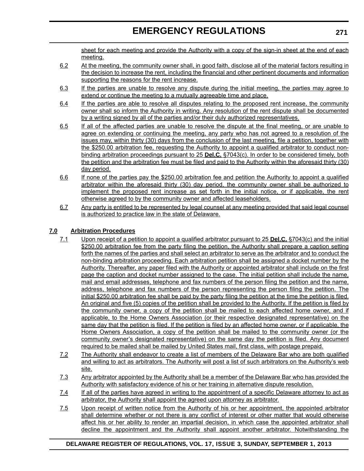sheet for each meeting and provide the Authority with a copy of the sign-in sheet at the end of each meeting.

- 6.2 At the meeting, the community owner shall, in good faith, disclose all of the material factors resulting in the decision to increase the rent, including the financial and other pertinent documents and information supporting the reasons for the rent increase.
- 6.3 If the parties are unable to resolve any dispute during the initial meeting, the parties may agree to extend or continue the meeting to a mutually agreeable time and place.
- 6.4 If the parties are able to resolve all disputes relating to the proposed rent increase, the community owner shall so inform the Authority in writing. Any resolution of the rent dispute shall be documented by a writing signed by all of the parties and/or their duly authorized representatives.
- 6.5 If all of the affected parties are unable to resolve the dispute at the final meeting, or are unable to agree on extending or continuing the meeting, any party who has not agreed to a resolution of the issues may, within thirty (30) days from the conclusion of the last meeting, file a petition, together with the \$250.00 arbitration fee, requesting the Authority to appoint a qualified arbitrator to conduct nonbinding arbitration proceedings pursuant to 25 **Del.C.** §7043(c). In order to be considered timely, both the petition and the arbitration fee must be filed and paid to the Authority within the aforesaid thirty (30) day period.
- 6.6 If none of the parties pay the \$250.00 arbitration fee and petition the Authority to appoint a qualified arbitrator within the aforesaid thirty (30) day period, the community owner shall be authorized to implement the proposed rent increase as set forth in the initial notice, or if applicable, the rent otherwise agreed to by the community owner and affected leaseholders.
- 6.7 Any party is entitled to be represented by legal counsel at any meeting provided that said legal counsel is authorized to practice law in the state of Delaware.

#### **7.0 Arbitration Procedures**

- 7.1 Upon receipt of a petition to appoint a qualified arbitrator pursuant to 25 **Del.C.** §7043(c) and the initial \$250.00 arbitration fee from the party filing the petition, the Authority shall prepare a caption setting forth the names of the parties and shall select an arbitrator to serve as the arbitrator and to conduct the non-binding arbitration proceeding. Each arbitration petition shall be assigned a docket number by the Authority. Thereafter, any paper filed with the Authority or appointed arbitrator shall include on the first page the caption and docket number assigned to the case. The initial petition shall include the name, mail and email addresses, telephone and fax numbers of the person filing the petition and the name, address, telephone and fax numbers of the person representing the person filing the petition. The initial \$250.00 arbitration fee shall be paid by the party filing the petition at the time the petition is filed. An original and five (5) copies of the petition shall be provided to the Authority. If the petition is filed by the community owner, a copy of the petition shall be mailed to each affected home owner, and if applicable, to the Home Owners Association (or their respective designated representative) on the same day that the petition is filed. If the petition is filed by an affected home owner, or if applicable, the Home Owners Association, a copy of the petition shall be mailed to the community owner (or the community owner's designated representative) on the same day the petition is filed. Any document required to be mailed shall be mailed by United States mail, first class, with postage prepaid.
- 7.2 The Authority shall endeavor to create a list of members of the Delaware Bar who are both qualified and willing to act as arbitrators. The Authority will post a list of such arbitrators on the Authority's web site.
- 7.3 Any arbitrator appointed by the Authority shall be a member of the Delaware Bar who has provided the Authority with satisfactory evidence of his or her training in alternative dispute resolution.
- 7.4 If all of the parties have agreed in writing to the appointment of a specific Delaware attorney to act as arbitrator, the Authority shall appoint the agreed upon attorney as arbitrator.
- 7.5 Upon receipt of written notice from the Authority of his or her appointment, the appointed arbitrator shall determine whether or not there is any conflict of interest or other matter that would otherwise affect his or her ability to render an impartial decision, in which case the appointed arbitrator shall decline the appointment and the Authority shall appoint another arbitrator. Notwithstanding the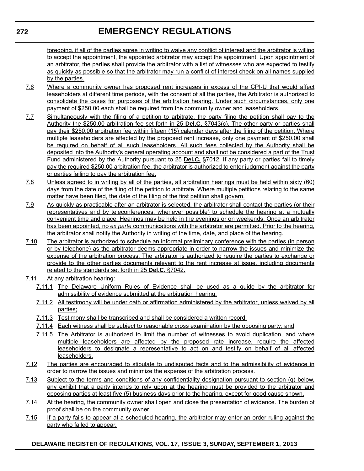### **EMERGENCY REGULATIONS**

foregoing, if all of the parties agree in writing to waive any conflict of interest and the arbitrator is willing to accept the appointment, the appointed arbitrator may accept the appointment. Upon appointment of an arbitrator, the parties shall provide the arbitrator with a list of witnesses who are expected to testify as quickly as possible so that the arbitrator may run a conflict of interest check on all names supplied by the parties.

- 7.6 Where a community owner has proposed rent increases in excess of the CPI-U that would affect leaseholders at different time periods, with the consent of all the parties, the Arbitrator is authorized to consolidate the cases for purposes of the arbitration hearing. Under such circumstances, only one payment of \$250.00 each shall be required from the community owner and leaseholders.
- 7.7 Simultaneously with the filing of a petition to arbitrate, the party filing the petition shall pay to the Authority the \$250.00 arbitration fee set forth in 25 **Del.C.** §7043(c). The other party or parties shall pay their \$250.00 arbitration fee within fifteen (15) calendar days after the filing of the petition. Where multiple leaseholders are affected by the proposed rent increase, only one payment of \$250.00 shall be required on behalf of all such leaseholders. All such fees collected by the Authority shall be deposited into the Authority's general operating account and shall not be considered a part of the Trust Fund administered by the Authority pursuant to 25 **Del.C.** §7012. If any party or parties fail to timely pay the required \$250.00 arbitration fee, the arbitrator is authorized to enter judgment against the party or parties failing to pay the arbitration fee.
- 7.8 Unless agreed to in writing by all of the parties, all arbitration hearings must be held within sixty (60) days from the date of the filing of the petition to arbitrate. Where multiple petitions relating to the same matter have been filed, the date of the filing of the first petition shall govern.
- 7.9 As quickly as practicable after an arbitrator is selected, the arbitrator shall contact the parties (or their representatives and by teleconferences, whenever possible) to schedule the hearing at a mutually convenient time and place. Hearings may be held in the evenings or on weekends. Once an arbitrator has been appointed, no *ex parte* communications with the arbitrator are permitted. Prior to the hearing, the arbitrator shall notify the Authority in writing of the time, date, and place of the hearing.
- 7.10 The arbitrator is authorized to schedule an informal preliminary conference with the parties (in person or by telephone) as the arbitrator deems appropriate in order to narrow the issues and minimize the expense of the arbitration process. The arbitrator is authorized to require the parties to exchange or provide to the other parties documents relevant to the rent increase at issue, including documents related to the standards set forth in 25 **Del.C.** §7042.
- 7.11 At any arbitration hearing:
	- 7.11.1 The Delaware Uniform Rules of Evidence shall be used as a guide by the arbitrator for admissibility of evidence submitted at the arbitration hearing;
	- 7.11.2 All testimony will be under oath or affirmation administered by the arbitrator, unless waived by all parties;
	- 7.11.3 Testimony shall be transcribed and shall be considered a written record;
	- 7.11.4 Each witness shall be subject to reasonable cross examination by the opposing party; and
	- 7.11.5 The Arbitrator is authorized to limit the number of witnesses to avoid duplication, and where multiple leaseholders are affected by the proposed rate increase, require the affected leaseholders to designate a representative to act on and testify on behalf of all affected leaseholders.
- 7.12 The parties are encouraged to stipulate to undisputed facts and to the admissibility of evidence in order to narrow the issues and minimize the expense of the arbitration process.
- 7.13 Subject to the terms and conditions of any confidentiality designation pursuant to section (q) below, any exhibit that a party intends to rely upon at the hearing must be provided to the arbitrator and opposing parties at least five (5) business days prior to the hearing, except for good cause shown.
- 7.14 At the hearing, the community owner shall open and close the presentation of evidence. The burden of proof shall be on the community owner.
- 7.15 If a party fails to appear at a scheduled hearing, the arbitrator may enter an order ruling against the party who failed to appear.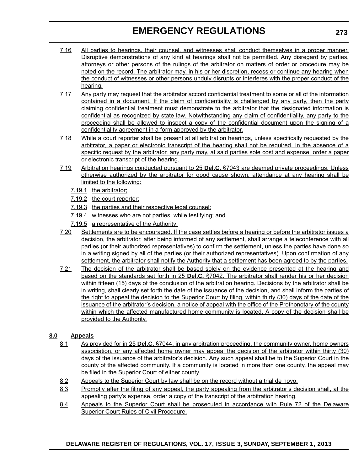### **EMERGENCY REGULATIONS**

- 7.16 All parties to hearings, their counsel, and witnesses shall conduct themselves in a proper manner. Disruptive demonstrations of any kind at hearings shall not be permitted. Any disregard by parties, attorneys or other persons of the rulings of the arbitrator on matters of order or procedure may be noted on the record. The arbitrator may, in his or her discretion, recess or continue any hearing when the conduct of witnesses or other persons unduly disrupts or interferes with the proper conduct of the hearing.
- 7.17 Any party may request that the arbitrator accord confidential treatment to some or all of the information contained in a document. If the claim of confidentiality is challenged by any party, then the party claiming confidential treatment must demonstrate to the arbitrator that the designated information is confidential as recognized by state law. Notwithstanding any claim of confidentiality, any party to the proceeding shall be allowed to inspect a copy of the confidential document upon the signing of a confidentiality agreement in a form approved by the arbitrator.
- 7.18 While a court reporter shall be present at all arbitration hearings, unless specifically requested by the arbitrator, a paper or electronic transcript of the hearing shall not be required. In the absence of a specific request by the arbitrator, any party may, at said parties sole cost and expense, order a paper or electronic transcript of the hearing.
- 7.19 Arbitration hearings conducted pursuant to 25 **Del.C.** §7043 are deemed private proceedings. Unless otherwise authorized by the arbitrator for good cause shown, attendance at any hearing shall be limited to the following:
	- 7.19.1 the arbitrator;
	- 7.19.2 the court reporter;
	- 7.19.3 the parties and their respective legal counsel;
	- 7.19.4 witnesses who are not parties, while testifying; and
	- 7.19.5 a representative of the Authority.
- 7.20 Settlements are to be encouraged. If the case settles before a hearing or before the arbitrator issues a decision, the arbitrator, after being informed of any settlement, shall arrange a teleconference with all parties (or their authorized representatives) to confirm the settlement, unless the parties have done so in a writing signed by all of the parties (or their authorized representatives). Upon confirmation of any settlement, the arbitrator shall notify the Authority that a settlement has been agreed to by the parties.
- 7.21 The decision of the arbitrator shall be based solely on the evidence presented at the hearing and based on the standards set forth in 25 **Del.C.** §7042. The arbitrator shall render his or her decision within fifteen (15) days of the conclusion of the arbitration hearing. Decisions by the arbitrator shall be in writing, shall clearly set forth the date of the issuance of the decision, and shall inform the parties of the right to appeal the decision to the Superior Court by filing, within thirty (30) days of the date of the issuance of the arbitrator's decision, a notice of appeal with the office of the Prothonotary of the county within which the affected manufactured home community is located. A copy of the decision shall be provided to the Authority.

### **8.0 Appeals**

- 8.1 As provided for in 25 **Del.C.** §7044, in any arbitration proceeding, the community owner, home owners association, or any affected home owner may appeal the decision of the arbitrator within thirty (30) days of the issuance of the arbitrator's decision. Any such appeal shall be to the Superior Court in the county of the affected community. If a community is located in more than one county, the appeal may be filed in the Superior Court of either county.
- 8.2 Appeals to the Superior Court by law shall be on the record without a trial de novo.
- 8.3 Promptly after the filing of any appeal, the party appealing from the arbitrator's decision shall, at the appealing party's expense, order a copy of the transcript of the arbitration hearing.
- 8.4 Appeals to the Superior Court shall be prosecuted in accordance with Rule 72 of the Delaware Superior Court Rules of Civil Procedure.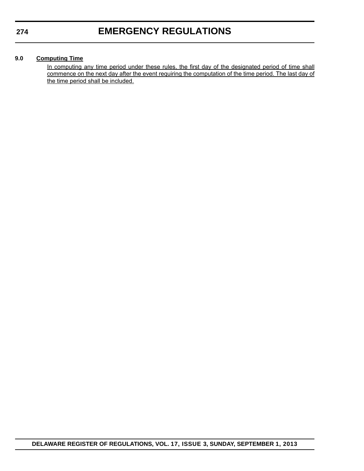#### **9.0 Computing Time**

In computing any time period under these rules, the first day of the designated period of time shall commence on the next day after the event requiring the computation of the time period. The last day of the time period shall be included.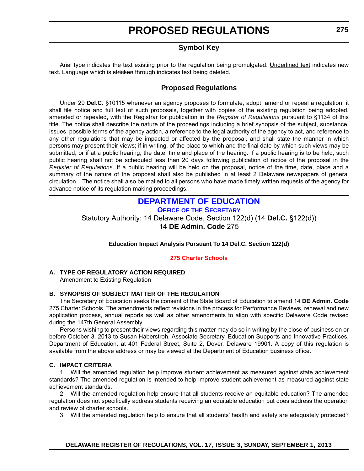### **Symbol Key**

<span id="page-16-0"></span>Arial type indicates the text existing prior to the regulation being promulgated. Underlined text indicates new text. Language which is stricken through indicates text being deleted.

#### **Proposed Regulations**

Under 29 **Del.C.** §10115 whenever an agency proposes to formulate, adopt, amend or repeal a regulation, it shall file notice and full text of such proposals, together with copies of the existing regulation being adopted, amended or repealed, with the Registrar for publication in the *Register of Regulations* pursuant to §1134 of this title. The notice shall describe the nature of the proceedings including a brief synopsis of the subject, substance, issues, possible terms of the agency action, a reference to the legal authority of the agency to act, and reference to any other regulations that may be impacted or affected by the proposal, and shall state the manner in which persons may present their views; if in writing, of the place to which and the final date by which such views may be submitted; or if at a public hearing, the date, time and place of the hearing. If a public hearing is to be held, such public hearing shall not be scheduled less than 20 days following publication of notice of the proposal in the *Register of Regulations*. If a public hearing will be held on the proposal, notice of the time, date, place and a summary of the nature of the proposal shall also be published in at least 2 Delaware newspapers of general circulation. The notice shall also be mailed to all persons who have made timely written requests of the agency for advance notice of its regulation-making proceedings.

### **[DEPARTMENT OF EDUCATION](http://www.doe.k12.de.us/)**

**OFFICE OF THE SECRETARY**

Statutory Authority: 14 Delaware Code, Section 122(d) (14 **Del.C.** §122(d)) 14 **DE Admin. Code** 275

#### **Education Impact Analysis Pursuant To 14 Del.C. Section 122(d)**

#### **[275 Charter Schools](#page-3-0)**

### **A. TYPE OF REGULATORY ACTION REQUIRED**

Amendment to Existing Regulation

#### **B. SYNOPSIS OF SUBJECT MATTER OF THE REGULATION**

The Secretary of Education seeks the consent of the State Board of Education to amend 14 **DE Admin. Code** 275 Charter Schools. The amendments reflect revisions in the process for Performance Reviews, renewal and new application process, annual reports as well as other amendments to align with specific Delaware Code revised during the 147th General Assembly.

Persons wishing to present their views regarding this matter may do so in writing by the close of business on or before October 3, 2013 to Susan Haberstroh, Associate Secretary, Education Supports and Innovative Practices, Department of Education, at 401 Federal Street, Suite 2, Dover, Delaware 19901. A copy of this regulation is available from the above address or may be viewed at the Department of Education business office.

#### **C. IMPACT CRITERIA**

1. Will the amended regulation help improve student achievement as measured against state achievement standards? The amended regulation is intended to help improve student achievement as measured against state achievement standards.

2. Will the amended regulation help ensure that all students receive an equitable education? The amended regulation does not specifically address students receiving an equitable education but does address the operation and review of charter schools.

3. Will the amended regulation help to ensure that all students' health and safety are adequately protected?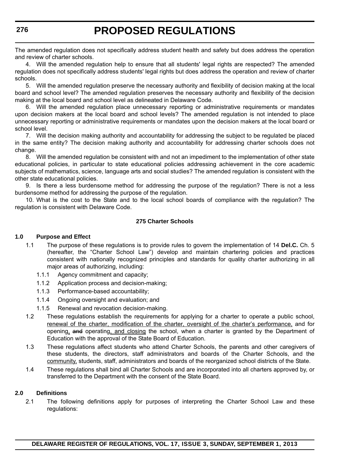The amended regulation does not specifically address student health and safety but does address the operation and review of charter schools.

4. Will the amended regulation help to ensure that all students' legal rights are respected? The amended regulation does not specifically address students' legal rights but does address the operation and review of charter schools.

5. Will the amended regulation preserve the necessary authority and flexibility of decision making at the local board and school level? The amended regulation preserves the necessary authority and flexibility of the decision making at the local board and school level as delineated in Delaware Code.

6. Will the amended regulation place unnecessary reporting or administrative requirements or mandates upon decision makers at the local board and school levels? The amended regulation is not intended to place unnecessary reporting or administrative requirements or mandates upon the decision makers at the local board or school level.

7. Will the decision making authority and accountability for addressing the subject to be regulated be placed in the same entity? The decision making authority and accountability for addressing charter schools does not change.

8. Will the amended regulation be consistent with and not an impediment to the implementation of other state educational policies, in particular to state educational policies addressing achievement in the core academic subjects of mathematics, science, language arts and social studies? The amended regulation is consistent with the other state educational policies.

9. Is there a less burdensome method for addressing the purpose of the regulation? There is not a less burdensome method for addressing the purpose of the regulation.

10. What is the cost to the State and to the local school boards of compliance with the regulation? The regulation is consistent with Delaware Code.

#### **275 Charter Schools**

#### **1.0 Purpose and Effect**

- 1.1 The purpose of these regulations is to provide rules to govern the implementation of 14 **Del.C.** Ch. 5 (hereafter, the "Charter School Law") develop and maintain chartering policies and practices consistent with nationally recognized principles and standards for quality charter authorizing in all major areas of authorizing, including:
	- 1.1.1 Agency commitment and capacity;
	- 1.1.2 Application process and decision-making;
	- 1.1.3 Performance-based accountability;
	- 1.1.4 Ongoing oversight and evaluation; and
	- 1.1.5 Renewal and revocation decision-making.
- 1.2 These regulations establish the requirements for applying for a charter to operate a public school, renewal of the charter, modification of the charter, oversight of the charter's performance, and for opening, and operating, and closing the school, when a charter is granted by the Department of Education with the approval of the State Board of Education.
- 1.3 These regulations affect students who attend Charter Schools, the parents and other caregivers of these students, the directors, staff administrators and boards of the Charter Schools, and the community, students, staff, administrators and boards of the reorganized school districts of the State.
- 1.4 These regulations shall bind all Charter Schools and are incorporated into all charters approved by, or transferred to the Department with the consent of the State Board.

#### **2.0 Definitions**

2.1 The following definitions apply for purposes of interpreting the Charter School Law and these regulations: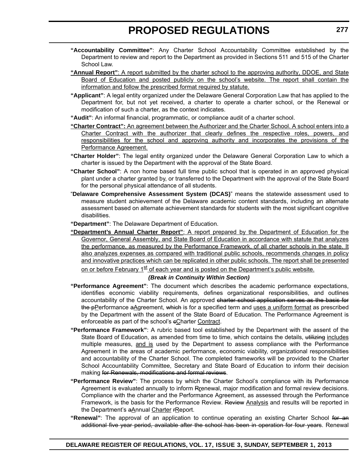- **"Accountability Committee"**: Any Charter School Accountability Committee established by the Department to review and report to the Department as provided in Sections 511 and 515 of the Charter School Law.
- **"Annual Report"**: A report submitted by the charter school to the approving authority, DDOE, and State Board of Education and posted publicly on the school's website. The report shall contain the information and follow the prescribed format required by statute.
- **"Applicant"**: A legal entity organized under the Delaware General Corporation Law that has applied to the Department for, but not yet received, a charter to operate a charter school, or the Renewal or modification of such a charter, as the context indicates.
- **"Audit"**: An informal financial, programmatic, or compliance audit of a charter school.
- **"Charter Contract":** An agreement between the Authorizer and the Charter School. A school enters into a Charter Contract with the authorizer that clearly defines the respective roles, powers, and responsibilities for the school and approving authority and incorporates the provisions of the Performance Agreement.
- **"Charter Holder"**: The legal entity organized under the Delaware General Corporation Law to which a charter is issued by the Department with the approval of the State Board.
- **"Charter School"**: A non home based full time public school that is operated in an approved physical plant under a charter granted by, or transferred to the Department with the approval of the State Board for the personal physical attendance of all students.
- "**Delaware Comprehensive Assessment System (DCAS)**" means the statewide assessment used to measure student achievement of the Delaware academic content standards, including an alternate assessment based on alternate achievement standards for students with the most significant cognitive disabilities.
- **"Department"**: The Delaware Department of Education.
- **"Department's Annual Charter Report"**: A report prepared by the Department of Education for the Governor, General Assembly, and State Board of Education in accordance with statute that analyzes the performance, as measured by the Performance Framework, of all charter schools in the state. It also analyzes expenses as compared with traditional public schools, recommends changes in policy and innovative practices which can be replicated in other public schools. The report shall be presented on or before February  $1^{st}$  of each year and is posted on the Department's public website.

#### *(Break in Continuity Within Section)*

- **"Performance Agreement"**: The document which describes the academic performance expectations, identifies economic viability requirements, defines organizational responsibilities, and outlines accountability of the Charter School. An approved charter school application serves as the basis for the pPerformance aAgreement, which is for a specified term and uses a uniform format as prescribed by the Department with the assent of the State Board of Education. The Performance Agreement is enforceable as part of the school's eCharter Contract.
- **"Performance Framework"**: A rubric based tool established by the Department with the assent of the State Board of Education, as amended from time to time, which contains the details, utilizing includes multiple measures, and is used by the Department to assess compliance with the Performance Agreement in the areas of academic performance, economic viability, organizational responsibilities and accountability of the Charter School. The completed frameworks will be provided to the Charter School Accountability Committee, Secretary and State Board of Education to inform their decision making for Renewals, modifications and formal reviews.
- **"Performance Review"**: The process by which the Charter School's compliance with its Performance Agreement is evaluated annually to inform Rrenewal, major modification and formal review decisions. Compliance with the charter and the Performance Agreement, as assessed through the Performance Framework, is the basis for the Performance Review. Review Analysis and results will be reported in the Department's aAnnual Charter rReport.
- "Renewal": The approval of an application to continue operating an existing Charter School for an additional five year period, available after the school has been in operation for four years. Renewal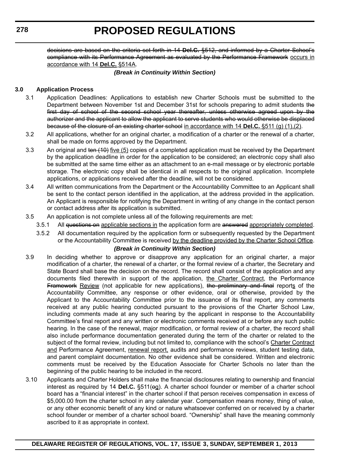decisions are based on the criteria set forth in 14 **Del.C.** §512, and informed by a Charter School's compliance with its Performance Agreement as evaluated by the Performance Framework occurs in accordance with 14 **Del.C.** §514A.

#### *(Break in Continuity Within Section)*

#### **3.0 Application Process**

- 3.1 Application Deadlines: Applications to establish new Charter Schools must be submitted to the Department between November 1st and December 31st for schools preparing to admit students the first day of school of the second school year thereafter, unless otherwise agreed upon by the authorizer and the applicant to allow the applicant to serve students who would otherwise be displaced because of the closure of an existing charter school in accordance with 14 **Del.C.** §511 (g) (1),(2).
- 3.2 All applications, whether for an original charter, a modification of a charter or the renewal of a charter, shall be made on forms approved by the Department.
- 3.3 An original and ten (10) five (5) copies of a completed application must be received by the Department by the application deadline in order for the application to be considered; an electronic copy shall also be submitted at the same time either as an attachment to an e-mail message or by electronic portable storage. The electronic copy shall be identical in all respects to the original application. Incomplete applications, or applications received after the deadline, will not be considered.
- 3.4 All written communications from the Department or the Accountability Committee to an Applicant shall be sent to the contact person identified in the application, at the address provided in the application. An Applicant is responsible for notifying the Department in writing of any change in the contact person or contact address after its application is submitted.
- 3.5 An application is not complete unless all of the following requirements are met:
	- 3.5.1 All questions on applicable sections in the application form are answered appropriately completed.
	- 3.5.2 All documentation required by the application form or subsequently requested by the Department or the Accountability Committee is received by the deadline provided by the Charter School Office.

#### *(Break in Continuity Within Section)*

- 3.9 In deciding whether to approve or disapprove any application for an original charter, a major modification of a charter, the renewal of a charter, or the formal review of a charter, the Secretary and State Board shall base the decision on the record. The record shall consist of the application and any documents filed therewith in support of the application, the Charter Contract, the Performance Framework Review (not applicable for new applications), the preliminary and final reports of the Accountability Committee, any response or other evidence, oral or otherwise, provided by the Applicant to the Accountability Committee prior to the issuance of its final report, any comments received at any public hearing conducted pursuant to the provisions of the Charter School Law, including comments made at any such hearing by the applicant in response to the Accountability Committee's final report and any written or electronic comments received at or before any such public hearing. In the case of the renewal, major modification, or formal review of a charter, the record shall also include performance documentation generated during the term of the charter or related to the subject of the formal review, including but not limited to, compliance with the school's Charter Contract and Performance Agreement, renewal report, audits and performance reviews, student testing data, and parent complaint documentation. No other evidence shall be considered. Written and electronic comments must be received by the Education Associate for Charter Schools no later than the beginning of the public hearing to be included in the record.
- 3.10 Applicants and Charter Holders shall make the financial disclosures relating to ownership and financial interest as required by 14 Del.C. §511(eg). A charter school founder or member of a charter school board has a "financial interest" in the charter school if that person receives compensation in excess of \$5,000.00 from the charter school in any calendar year. Compensation means money, thing of value, or any other economic benefit of any kind or nature whatsoever conferred on or received by a charter school founder or member of a charter school board. "Ownership" shall have the meaning commonly ascribed to it as appropriate in context.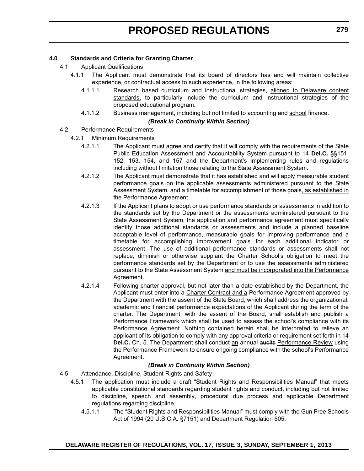#### **4.0 Standards and Criteria for Granting Charter**

- 4.1 Applicant Qualifications
	- 4.1.1 The Applicant must demonstrate that its board of directors has and will maintain collective experience, or contractual access to such experience, in the following areas:
		- 4.1.1.1 Research based curriculum and instructional strategies, aligned to Delaware content standards, to particularly include the curriculum and instructional strategies of the proposed educational program.
		- 4.1.1.2 Business management, including but not limited to accounting and school finance.

#### *(Break in Continuity Within Section)*

#### 4.2 Performance Requirements

- 4.2.1 Minimum Requirements
	- 4.2.1.1 The Applicant must agree and certify that it will comply with the requirements of the State Public Education Assessment and Accountability System pursuant to 14 **Del.C.** §§151, 152, 153, 154, and 157 and the Department's implementing rules and regulations including without limitation those relating to the State Assessment System.
	- 4.2.1.2 The Applicant must demonstrate that it has established and will apply measurable student performance goals on the applicable assessments administered pursuant to the State Assessment System, and a timetable for accomplishment of those goals, as established in the Performance Agreement.
	- 4.2.1.3 If the Applicant plans to adopt or use performance standards or assessments in addition to the standards set by the Department or the assessments administered pursuant to the State Assessment System, the application and performance agreement must specifically identify those additional standards or assessments and include a planned baseline acceptable level of performance, measurable goals for improving performance and a timetable for accomplishing improvement goals for each additional indicator or assessment. The use of additional performance standards or assessments shall not replace, diminish or otherwise supplant the Charter School's obligation to meet the performance standards set by the Department or to use the assessments administered pursuant to the State Assessment System and must be incorporated into the Performance Agreement.
	- 4.2.1.4 Following charter approval, but not later than a date established by the Department, the Applicant must enter into a Charter Contract and a Performance Agreement approved by the Department with the assent of the State Board, which shall address the organizational, academic and financial performance expectations of the Applicant during the term of the charter. The Department, with the assent of the Board, shall establish and publish a Performance Framework which shall be used to assess the school's compliance with its Performance Agreement. Nothing contained herein shall be interpreted to relieve an applicant of its obligation to comply with any approval criteria or requirement set forth in 14 **Del.C.** Ch. 5. The Department shall conduct an annual audits Performance Review using the Performance Framework to ensure ongoing compliance with the school's Performance Agreement.

#### *(Break in Continuity Within Section)*

- 4.5 Attendance, Discipline, Student Rights and Safety
	- 4.5.1 The application must include a draft "Student Rights and Responsibilities Manual" that meets applicable constitutional standards regarding student rights and conduct, including but not limited to discipline, speech and assembly, procedural due process and applicable Department regulations regarding discipline.
		- 4.5.1.1 The "Student Rights and Responsibilities Manual" must comply with the Gun Free Schools Act of 1994 (20 U.S.C.A. §7151) and Department Regulation 605.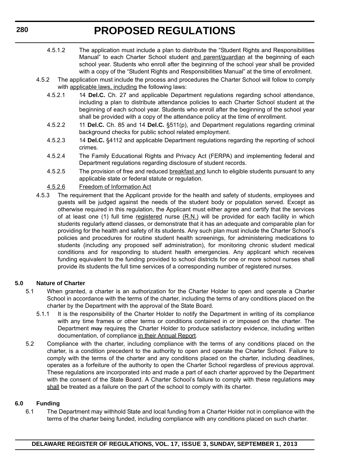- 4.5.1.2 The application must include a plan to distribute the "Student Rights and Responsibilities Manual" to each Charter School student and parent/guardian at the beginning of each school year. Students who enroll after the beginning of the school year shall be provided with a copy of the "Student Rights and Responsibilities Manual" at the time of enrollment.
- 4.5.2 The application must include the process and procedures the Charter School will follow to comply with applicable laws, including the following laws:
	- 4.5.2.1 14 **Del.C.** Ch. 27 and applicable Department regulations regarding school attendance, including a plan to distribute attendance policies to each Charter School student at the beginning of each school year. Students who enroll after the beginning of the school year shall be provided with a copy of the attendance policy at the time of enrollment.
	- 4.5.2.2 11 **Del.C.** Ch. 85 and 14 **Del.C.** §511(p), and Department regulations regarding criminal background checks for public school related employment.
	- 4.5.2.3 14 **Del.C.** §4112 and applicable Department regulations regarding the reporting of school crimes.
	- 4.5.2.4 The Family Educational Rights and Privacy Act (FERPA) and implementing federal and Department regulations regarding disclosure of student records.
	- 4.5.2.5 The provision of free and reduced breakfast and lunch to eligible students pursuant to any applicable state or federal statute or regulation.

#### 4.5.2.6 Freedom of Information Act

4.5.3 The requirement that the Applicant provide for the health and safety of students, employees and guests will be judged against the needs of the student body or population served. Except as otherwise required in this regulation, the Applicant must either agree and certify that the services of at least one (1) full time registered nurse (R.N.) will be provided for each facility in which students regularly attend classes, or demonstrate that it has an adequate and comparable plan for providing for the health and safety of its students. Any such plan must include the Charter School's policies and procedures for routine student health screenings, for administering medications to students (including any proposed self administration), for monitoring chronic student medical conditions and for responding to student health emergencies. Any applicant which receives funding equivalent to the funding provided to school districts for one or more school nurses shall provide its students the full time services of a corresponding number of registered nurses.

#### **5.0 Nature of Charter**

- 5.1 When granted, a charter is an authorization for the Charter Holder to open and operate a Charter School in accordance with the terms of the charter, including the terms of any conditions placed on the charter by the Department with the approval of the State Board.
	- 5.1.1 It is the responsibility of the Charter Holder to notify the Department in writing of its compliance with any time frames or other terms or conditions contained in or imposed on the charter. The Department may requires the Charter Holder to produce satisfactory evidence, including written documentation, of compliance in their Annual Report.
- 5.2 Compliance with the charter, including compliance with the terms of any conditions placed on the charter, is a condition precedent to the authority to open and operate the Charter School. Failure to comply with the terms of the charter and any conditions placed on the charter, including deadlines, operates as a forfeiture of the authority to open the Charter School regardless of previous approval. These regulations are incorporated into and made a part of each charter approved by the Department with the consent of the State Board. A Charter School's failure to comply with these regulations may shall be treated as a failure on the part of the school to comply with its charter.

#### **6.0 Funding**

6.1 The Department may withhold State and local funding from a Charter Holder not in compliance with the terms of the charter being funded, including compliance with any conditions placed on such charter.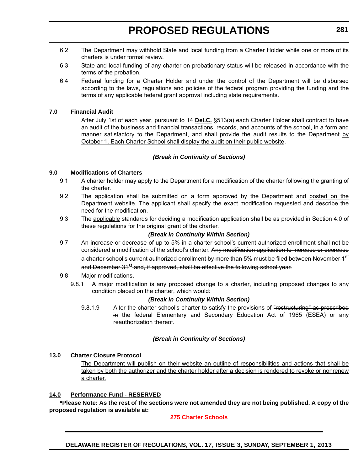- 6.2 The Department may withhold State and local funding from a Charter Holder while one or more of its charters is under formal review.
- 6.3 State and local funding of any charter on probationary status will be released in accordance with the terms of the probation.
- 6.4 Federal funding for a Charter Holder and under the control of the Department will be disbursed according to the laws, regulations and policies of the federal program providing the funding and the terms of any applicable federal grant approval including state requirements.

#### **7.0 Financial Audit**

After July 1st of each year, pursuant to 14 **Del.C.** §513(a) each Charter Holder shall contract to have an audit of the business and financial transactions, records, and accounts of the school, in a form and manner satisfactory to the Department, and shall provide the audit results to the Department  $\underline{b}\underline{v}$ October 1. Each Charter School shall display the audit on their public website.

#### *(Break in Continuity of Sections)*

#### **9.0 Modifications of Charters**

- 9.1 A charter holder may apply to the Department for a modification of the charter following the granting of the charter.
- 9.2 The application shall be submitted on a form approved by the Department and posted on the Department website. The applicant shall specify the exact modification requested and describe the need for the modification.
- 9.3 The applicable standards for deciding a modification application shall be as provided in Section 4.0 of these regulations for the original grant of the charter.

#### *(Break in Continuity Within Section)*

9.7 An increase or decrease of up to 5% in a charter school's current authorized enrollment shall not be considered a modification of the school's charter. Any modification application to increase or decrease a charter school's current authorized enrollment by more than 5% must be filed between November 1<sup>st</sup> and December 31<sup>st</sup> and, if approved, shall be effective the following school year.

#### 9.8 Major modifications.

9.8.1 A major modification is any proposed change to a charter, including proposed changes to any condition placed on the charter, which would:

#### *(Break in Continuity Within Section)*

9.8.1.9 Alter the charter school's charter to satisfy the provisions of "restructuring" as prescribed in the federal Elementary and Secondary Education Act of 1965 (ESEA) or any reauthorization thereof.

#### *(Break in Continuity of Sections)*

#### **13.0 Charter Closure Protocol**

The Department will publish on their website an outline of responsibilities and actions that shall be taken by both the authorizer and the charter holder after a decision is rendered to revoke or nonrenew a charter.

#### **14.0 Performance Fund - RESERVED**

**\*Please Note: As the rest of the sections were not amended they are not being published. A copy of the proposed regulation is available at:**

#### **[275 Charter Schools](http://regulations.delaware.gov/register/september2013/proposed/17 DE Reg 275 09-01-13.pdf)**

**DELAWARE REGISTER OF REGULATIONS, VOL. 17, ISSUE 3, SUNDAY, SEPTEMBER 1, 2013**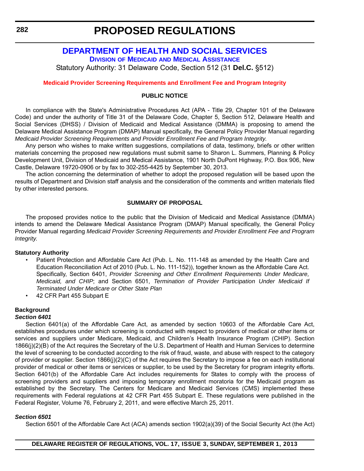#### <span id="page-23-0"></span>**[DEPARTMENT OF HEALTH AND SOCIAL SERVICES](http://www.dhss.delaware.gov/dhss/index.html) DIVISION OF MEDICAID [AND MEDICAL ASSISTANCE](http://www.dhss.delaware.gov/dhss/dmma/)**

Statutory Authority: 31 Delaware Code, Section 512 (31 **Del.C.** §512)

#### **[Medicaid Provider Screening Requirements and Enrollment Fee and Program Integrity](#page-3-0)**

#### **PUBLIC NOTICE**

In compliance with the State's Administrative Procedures Act (APA - Title 29, Chapter 101 of the Delaware Code) and under the authority of Title 31 of the Delaware Code, Chapter 5, Section 512, Delaware Health and Social Services (DHSS) / Division of Medicaid and Medical Assistance (DMMA) is proposing to amend the Delaware Medical Assistance Program (DMAP) Manual specifically, the General Policy Provider Manual regarding *Medicaid Provider Screening Requirements and Provider Enrollment Fee and Program Integrity*.

Any person who wishes to make written suggestions, compilations of data, testimony, briefs or other written materials concerning the proposed new regulations must submit same to Sharon L. Summers, Planning & Policy Development Unit, Division of Medicaid and Medical Assistance, 1901 North DuPont Highway, P.O. Box 906, New Castle, Delaware 19720-0906 or by fax to 302-255-4425 by September 30, 2013.

The action concerning the determination of whether to adopt the proposed regulation will be based upon the results of Department and Division staff analysis and the consideration of the comments and written materials filed by other interested persons.

#### **SUMMARY OF PROPOSAL**

The proposed provides notice to the public that the Division of Medicaid and Medical Assistance (DMMA) intends to amend the Delaware Medical Assistance Program (DMAP) Manual specifically, the General Policy Provider Manual regarding *Medicaid Provider Screening Requirements and Provider Enrollment Fee and Program Integrity*.

#### **Statutory Authority**

- Patient Protection and Affordable Care Act (Pub. L. No. 111-148 as amended by the Health Care and Education Reconciliation Act of 2010 (Pub. L. No. 111-152)), together known as the Affordable Care Act. Specifically, Section 6401, *Provider Screening and Other Enrollment Requirements Under Medicare, Medicaid, and CHIP*; and Section 6501, *Termination of Provider Participation Under Medicaid If Terminated Under Medicare or Other State Plan*
- 42 CFR Part 455 Subpart E

#### **Background**

#### *Section 6401*

Section 6401(a) of the Affordable Care Act, as amended by section 10603 of the Affordable Care Act, establishes procedures under which screening is conducted with respect to providers of medical or other items or services and suppliers under Medicare, Medicaid, and Children's Health Insurance Program (CHIP). Section 1866(j)(2)(B) of the Act requires the Secretary of the U.S. Department of Health and Human Services to determine the level of screening to be conducted according to the risk of fraud, waste, and abuse with respect to the category of provider or supplier. Section 1866(j)(2)(C) of the Act requires the Secretary to impose a fee on each institutional provider of medical or other items or services or supplier, to be used by the Secretary for program integrity efforts. Section 6401(b) of the Affordable Care Act includes requirements for States to comply with the process of screening providers and suppliers and imposing temporary enrollment moratoria for the Medicaid program as established by the Secretary. The Centers for Medicare and Medicaid Services (CMS) implemented these requirements with Federal regulations at 42 CFR Part 455 Subpart E. These regulations were published in the Federal Register, Volume 76, February 2, 2011, and were effective March 25, 2011.

#### *Section 6501*

Section 6501 of the Affordable Care Act (ACA) amends section 1902(a)(39) of the Social Security Act (the Act)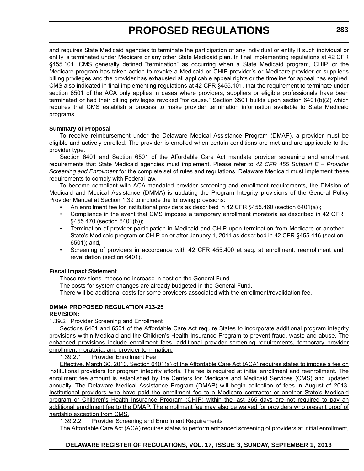and requires State Medicaid agencies to terminate the participation of any individual or entity if such individual or entity is terminated under Medicare or any other State Medicaid plan. In final implementing regulations at 42 CFR §455.101, CMS generally defined "termination" as occurring when a State Medicaid program, CHIP, or the Medicare program has taken action to revoke a Medicaid or CHIP provider's or Medicare provider or supplier's billing privileges and the provider has exhausted all applicable appeal rights or the timeline for appeal has expired. CMS also indicated in final implementing regulations at 42 CFR §455.101, that the requirement to terminate under section 6501 of the ACA only applies in cases where providers, suppliers or eligible professionals have been terminated or had their billing privileges revoked "for cause." Section 6501 builds upon section 6401(b)(2) which requires that CMS establish a process to make provider termination information available to State Medicaid programs.

#### **Summary of Proposal**

To receive reimbursement under the Delaware Medical Assistance Program (DMAP), a provider must be eligible and actively enrolled. The provider is enrolled when certain conditions are met and are applicable to the provider type.

Section 6401 and Section 6501 of the Affordable Care Act mandate provider screening and enrollment requirements that State Medicaid agencies must implement. Please refer to *42 CFR 455 Subpart E – Provider Screening and Enrollment* for the complete set of rules and regulations. Delaware Medicaid must implement these requirements to comply with Federal law.

To become compliant with ACA-mandated provider screening and enrollment requirements, the Division of Medicaid and Medical Assistance (DMMA) is updating the Program Integrity provisions of the General Policy Provider Manual at Section 1.39 to include the following provisions:

- An enrollment fee for institutional providers as described in 42 CFR §455.460 (section 6401(a));
- Compliance in the event that CMS imposes a temporary enrollment moratoria as described in 42 CFR §455.470 (section 6401(b));
- Termination of provider participation in Medicaid and CHIP upon termination from Medicare or another State's Medicaid program or CHIP on or after January 1, 2011 as described in 42 CFR §455.416 (section 6501); and,
- Screening of providers in accordance with 42 CFR 455.400 et seq. at enrollment, reenrollment and revalidation (section 6401).

#### **Fiscal Impact Statement**

These revisions impose no increase in cost on the General Fund.

The costs for system changes are already budgeted in the General Fund.

There will be additional costs for some providers associated with the enrollment/revalidation fee.

#### **DMMA PROPOSED REGULATION #13-25**

#### **REVISION:**

1.39.2 Provider Screening and Enrollment

Sections 6401 and 6501 of the Affordable Care Act require States to incorporate additional program integrity provisions within Medicaid and the Children's Health Insurance Program to prevent fraud, waste and abuse. The enhanced provisions include enrollment fees, additional provider screening requirements, temporary provider enrollment moratoria, and provider termination.

1.39.2.1 Provider Enrollment Fee

Effective, March 30, 2010, Section 6401(a) of the Affordable Care Act (ACA) requires states to impose a fee on institutional providers for program integrity efforts. The fee is required at initial enrollment and reenrollment. The enrollment fee amount is established by the Centers for Medicare and Medicaid Services (CMS) and updated annually. The Delaware Medical Assistance Program (DMAP) will begin collection of fees in August of 2013. Institutional providers who have paid the enrollment fee to a Medicare contractor or another State's Medicaid program or Children's Health Insurance Program (CHIP) within the last 365 days are not required to pay an additional enrollment fee to the DMAP. The enrollment fee may also be waived for providers who present proof of hardship exception from CMS.

1.39.2.2 Provider Screening and Enrollment Requirements

The Affordable Care Act (ACA) requires states to perform enhanced screening of providers at initial enrollment,

#### **DELAWARE REGISTER OF REGULATIONS, VOL. 17, ISSUE 3, SUNDAY, SEPTEMBER 1, 2013**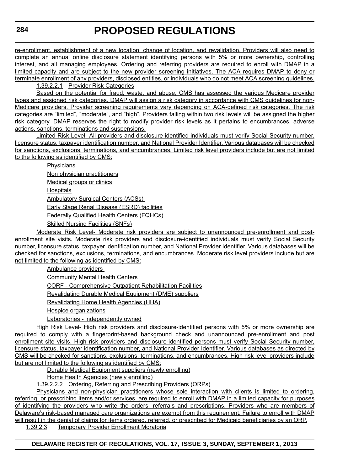re-enrollment, establishment of a new location, change of location, and revalidation. Providers will also need to complete an annual online disclosure statement identifying persons with 5% or more ownership, controlling interest, and all managing employees. Ordering and referring providers are required to enroll with DMAP in a limited capacity and are subject to the new provider screening initiatives. The ACA requires DMAP to deny or terminate enrollment of any providers, disclosed entities, or individuals who do not meet ACA screening guidelines.

1.39.2.2.1 Provider Risk Categories

Based on the potential for fraud, waste, and abuse, CMS has assessed the various Medicare provider types and assigned risk categories. DMAP will assign a risk category in accordance with CMS guidelines for non-Medicare providers. Provider screening requirements vary depending on ACA-defined risk categories. The risk categories are "limited", "moderate", and "high". Providers falling within two risk levels will be assigned the higher risk category. DMAP reserves the right to modify provider risk levels as it pertains to encumbrances, adverse actions, sanctions, terminations and suspensions.

Limited Risk Level- All providers and disclosure-identified individuals must verify Social Security number, licensure status, taxpayer identification number, and National Provider Identifier. Various databases will be checked for sanctions, exclusions, terminations, and encumbrances. Limited risk level providers include but are not limited to the following as identified by CMS:

> **Physicians** Non physician practitioners Medical groups or clinics **Hospitals** Ambulatory Surgical Centers (ACSs) Early Stage Renal Disease (ESRD) facilities Federally Qualified Health Centers (FQHCs) Skilled Nursing Facilities (SNFs)

Moderate Risk Level- Moderate risk providers are subject to unannounced pre-enrollment and postenrollment site visits. Moderate risk providers and disclosure-identified individuals must verify Social Security number, licensure status, taxpayer identification number, and National Provider Identifier. Various databases will be checked for sanctions, exclusions, terminations, and encumbrances. Moderate risk level providers include but are not limited to the following as identified by CMS:

Ambulance providers

Community Mental Health Centers

CORF - Comprehensive Outpatient Rehabilitation Facilities

Revalidating Durable Medical Equipment (DME) suppliers

Revalidating Home Health Agencies (HHA)

Hospice organizations

Laboratories - independently owned

High Risk Level- High risk providers and disclosure-identified persons with 5% or more ownership are required to comply with a fingerprint-based background check and unannounced pre-enrollment and post enrollment site visits. High risk providers and disclosure-identified persons must verify Social Security number, licensure status, taxpayer identification number, and National Provider Identifier. Various databases as directed by CMS will be checked for sanctions, exclusions, terminations, and encumbrances. High risk level providers include but are not limited to the following as identified by CMS:

Durable Medical Equipment suppliers (newly enrolling)

Home Health Agencies (newly enrolling)

1.39.2.2.2 Ordering, Referring and Prescribing Providers (ORPs)

Physicians and non-physician practitioners whose sole interaction with clients is limited to ordering, referring, or prescribing items and/or services, are required to enroll with DMAP in a limited capacity for purposes of identifying the providers who write the orders, referrals and prescriptions. Providers who are members of Delaware's risk-based managed care organizations are exempt from this requirement. Failure to enroll with DMAP will result in the denial of claims for items ordered, referred, or prescribed for Medicaid beneficiaries by an ORP.

1.39.2.3 Temporary Provider Enrollment Moratoria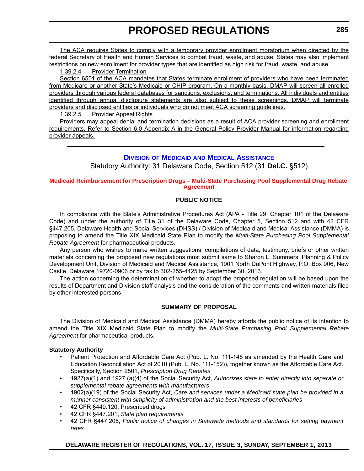<span id="page-26-0"></span>The ACA requires States to comply with a temporary provider enrollment moratorium when directed by the federal Secretary of Health and Human Services to combat fraud, waste, and abuse. States may also implement restrictions on new enrollment for provider types that are identified as high risk for fraud, waste, and abuse.

1.39.2.4 Provider Termination

Section 6501 of the ACA mandates that States terminate enrollment of providers who have been terminated from Medicare or another State's Medicaid or CHIP program. On a monthly basis, DMAP will screen all enrolled providers through various federal databases for sanctions, exclusions, and terminations. All individuals and entities identified through annual disclosure statements are also subject to these screenings. DMAP will terminate providers and disclosed entities or individuals who do not meet ACA screening guidelines.

1.39.2.5 Provider Appeal Rights

Providers may appeal denial and termination decisions as a result of ACA provider screening and enrollment requirements. Refer to Section 6.0 Appendix A in the General Policy Provider Manual for information regarding provider appeals.

#### **DIVISION OF MEDICAID [AND MEDICAL ASSISTANCE](http://www.dhss.delaware.gov/dhss/dmma/)**

Statutory Authority: 31 Delaware Code, Section 512 (31 **Del.C.** §512)

#### **[Medicaid Reimbursement for Prescription Drugs – Multi-State Purchasing Pool Supplemental Drug Rebate](#page-3-0)  Agreement**

#### **PUBLIC NOTICE**

In compliance with the State's Administrative Procedures Act (APA - Title 29, Chapter 101 of the Delaware Code) and under the authority of Title 31 of the Delaware Code, Chapter 5, Section 512 and with 42 CFR §447.205, Delaware Health and Social Services (DHSS) / Division of Medicaid and Medical Assistance (DMMA) is proposing to amend the Title XIX Medicaid State Plan to modify the *Multi-State Purchasing Pool Supplemental Rebate Agreement* for pharmaceutical products.

Any person who wishes to make written suggestions, compilations of data, testimony, briefs or other written materials concerning the proposed new regulations must submit same to Sharon L. Summers, Planning & Policy Development Unit, Division of Medicaid and Medical Assistance, 1901 North DuPont Highway, P.O. Box 906, New Castle, Delaware 19720-0906 or by fax to 302-255-4425 by September 30, 2013.

The action concerning the determination of whether to adopt the proposed regulation will be based upon the results of Department and Division staff analysis and the consideration of the comments and written materials filed by other interested persons.

#### **SUMMARY OF PROPOSAL**

The Division of Medicaid and Medical Assistance (DMMA) hereby affords the public notice of its intention to amend the Title XIX Medicaid State Plan to modify the *Multi-State Purchasing Pool Supplemental Rebate Agreement* for pharmaceutical products.

#### **Statutory Authority**

- Patient Protection and Affordable Care Act (Pub. L. No. 111-148 as amended by the Health Care and Education Reconciliation Act of 2010 (Pub. L. No. 111-152)), together known as the Affordable Care Act. Specifically, Section 2501, *Prescription Drug Rebates*
- 1927(a)(1) and 1927 (a)(4) of the Social Security Act, *Authorizes state to enter directly into separate or supplemental rebate agreements with manufacturers*
- 1902(a)(19) of the Social Security Act, *Care and services under a Medicaid state plan be provided in a manner consistent with simplicity of administration and the best interests of beneficiaries*
- 42 CFR §440.120, Prescribed drugs
- 42 CFR §447.201, *State plan requirements*
- 42 CFR §447.205, *Public notice of changes in Statewide methods and standards for setting payment rates*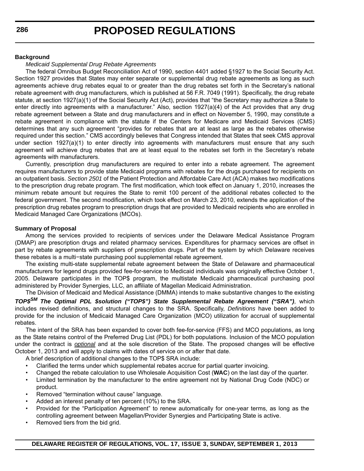#### **Background**

#### *Medicaid Supplemental Drug Rebate Agreements*

The federal Omnibus Budget Reconciliation Act of 1990, section 4401 added §1927 to the Social Security Act. Section 1927 provides that States may enter separate or supplemental drug rebate agreements as long as such agreements achieve drug rebates equal to or greater than the drug rebates set forth in the Secretary's national rebate agreement with drug manufacturers, which is published at 56 F.R. 7049 (1991). Specifically, the drug rebate statute, at section 1927(a)(1) of the Social Security Act (Act), provides that "the Secretary may authorize a State to enter directly into agreements with a manufacturer." Also, section 1927(a)(4) of the Act provides that any drug rebate agreement between a State and drug manufacturers and in effect on November 5, 1990, may constitute a rebate agreement in compliance with the statute if the Centers for Medicare and Medicaid Services (CMS) determines that any such agreement "provides for rebates that are at least as large as the rebates otherwise required under this section." CMS accordingly believes that Congress intended that States that seek CMS approval under section 1927(a)(1) to enter directly into agreements with manufacturers must ensure that any such agreement will achieve drug rebates that are at least equal to the rebates set forth in the Secretary's rebate agreements with manufacturers.

Currently, prescription drug manufacturers are required to enter into a rebate agreement. The agreement requires manufacturers to provide state Medicaid programs with rebates for the drugs purchased for recipients on an outpatient basis. *Section 2501* of the Patient Protection and Affordable Care Act (ACA) makes two modifications to the prescription drug rebate program. The first modification, which took effect on January 1, 2010, increases the minimum rebate amount but requires the State to remit 100 percent of the additional rebates collected to the federal government. The second modification, which took effect on March 23, 2010, extends the application of the prescription drug rebates program to prescription drugs that are provided to Medicaid recipients who are enrolled in Medicaid Managed Care Organizations (MCOs).

#### **Summary of Proposal**

Among the services provided to recipients of services under the Delaware Medical Assistance Program (DMAP) are prescription drugs and related pharmacy services. Expenditures for pharmacy services are offset in part by rebate agreements with suppliers of prescription drugs. Part of the system by which Delaware receives these rebates is a multi−state purchasing pool supplemental rebate agreement.

The existing multi-state supplemental rebate agreement between the State of Delaware and pharmaceutical manufacturers for legend drugs provided fee-for-service to Medicaid individuals was originally effective October 1, 2005. Delaware participates in the TOP\$ program, the multistate Medicaid pharmaceutical purchasing pool administered by Provider Synergies, LLC, an affiliate of Magellan Medicaid Administration.

The Division of Medicaid and Medical Assistance (DMMA) intends to make substantive changes to the existing *TOP\$SM The Optimal PDL \$solution ("TOP\$") State Supplemental Rebate Agreement ("SRA")*, which includes revised definitions, and structural changes to the SRA. Specifically, *Definitions* have been added to provide for the inclusion of Medicaid Managed Care Organization (MCO) utilization for accrual of supplemental rebates.

The intent of the SRA has been expanded to cover both fee-for-service (FFS) and MCO populations, as long as the State retains control of the Preferred Drug List (PDL) for both populations. Inclusion of the MCO population under the contract is *optional* and at the sole discretion of the State. The proposed changes will be effective October 1, 2013 and will apply to claims with dates of service on or after that date.

A brief description of additional changes to the TOP\$ SRA include:

- Clarified the terms under which supplemental rebates accrue for partial quarter invoicing.
- Changed the rebate calculation to use Wholesale Acquisition Cost (**WAC**) on the last day of the quarter.
- Limited termination by the manufacturer to the entire agreement not by National Drug Code (NDC) or product.
- Removed "termination without cause" language.
- Added an interest penalty of ten percent (10%) to the SRA.
- Provided for the "Participation Agreement" to renew automatically for one-year terms, as long as the controlling agreement between Magellan/Provider Synergies and Participating State is active.
- Removed tiers from the bid grid.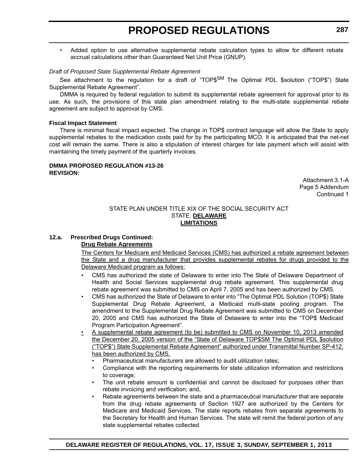• Added option to use alternative supplemental rebate calculation types to allow for different rebate accrual calculations other than Guaranteed Net Unit Price (GNUP).

#### *Draft of Proposed State Supplemental Rebate Agreement*

See attachment to the regulation for a draft of "TOP\$<sup>SM</sup> The Optimal PDL \$solution ("TOP\$") State Supplemental Rebate Agreement".

DMMA is required by federal regulation to submit its supplemental rebate agreement for approval prior to its use. As such, the provisions of this state plan amendment relating to the multi-state supplemental rebate agreement are subject to approval by CMS.

#### **Fiscal Impact Statement**

There is minimal fiscal impact expected. The change in TOP\$ contract language will allow the State to apply supplemental rebates to the medication costs paid for by the participating MCO. It is anticipated that the net-net cost will remain the same. There is also a stipulation of interest charges for late payment which will assist with maintaining the timely payment of the quarterly invoices.

#### **DMMA PROPOSED REGULATION #13-26 REVISION:**

Attachment 3.1-A Page 5 Addendum Continued 1

#### STATE PLAN UNDER TITLE XIX OF THE SOCIAL SECURITY ACT STATE: **DELAWARE LIMITATIONS**

#### **12.a. Prescribed Drugs Continued:**

#### **Drug Rebate Agreements**

The Centers for Medicare and Medicaid Services (CMS) has authorized a rebate agreement between the State and a drug manufacturer that provides supplemental rebates for drugs provided to the Delaware Medicaid program as follows:

- CMS has authorized the state of Delaware to enter into The State of Delaware Department of Health and Social Services supplemental drug rebate agreement. This supplemental drug rebate agreement was submitted to CMS on April 7, 2005 and has been authorized by CMS.
- CMS has authorized the State of Delaware to enter into "The Optimal PDL Solution (TOP\$) State Supplemental Drug Rebate Agreement, a Medicaid multi-state pooling program. The amendment to the Supplemental Drug Rebate Agreement was submitted to CMS on December 20, 2005 and CMS has authorized the State of Delaware to enter into the "TOP\$ Medicaid Program Participation Agreement".
- A supplemental rebate agreement (to be) submitted to CMS on November 10, 2013 amended the December 20, 2005 version of the "State of Delaware TOP\$SM The Optimal PDL \$solution ("TOP\$") State Supplemental Rebate Agreement" authorized under Transmittal Number SP-412, has been authorized by CMS.
	- Pharmaceutical manufacturers are allowed to audit utilization rates;
	- Compliance with the reporting requirements for state utilization information and restrictions to coverage;
	- The unit rebate amount is confidential and cannot be disclosed for purposes other than rebate invoicing and verification; and,
	- Rebate agreements between the state and a pharmaceutical manufacturer that are separate from the drug rebate agreements of Section 1927 are authorized by the Centers for Medicare and Medicaid Services. The state reports rebates from separate agreements to the Secretary for Health and Human Services. The state will remit the federal portion of any state supplemental rebates collected.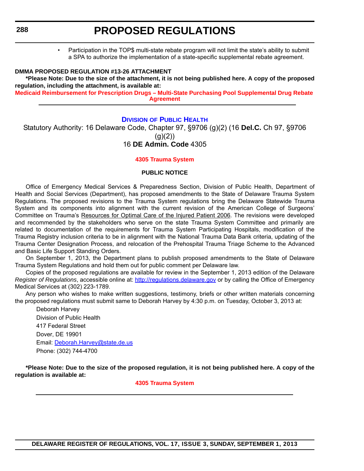• Participation in the TOP\$ multi-state rebate program will not limit the state's ability to submit a SPA to authorize the implementation of a state-specific supplemental rebate agreement.

#### <span id="page-29-0"></span>**DMMA PROPOSED REGULATION #13-26 ATTACHMENT**

**\*Please Note: Due to the size of the attachment, it is not being published here. A copy of the proposed regulation, including the attachment, is available at:**

**[Medicaid Reimbursement for Prescription Drugs – Multi-State Purchasing Pool Supplemental Drug Rebate](http://regulations.delaware.gov/register/september2013/proposed/17 DE Reg 285 09-01-13.pdf)  [Agreement](http://regulations.delaware.gov/register/september2013/proposed/17 DE Reg 285 09-01-13.pdf)**

#### **DIVISION [OF PUBLIC HEALTH](http://www.dhss.delaware.gov/dhss/dph/index.html)**

Statutory Authority: 16 Delaware Code, Chapter 97, §9706 (g)(2) (16 **Del.C.** Ch 97, §9706  $(g)(2)$ 16 **DE Admin. Code** 4305

#### **[4305 Trauma System](#page-3-0)**

#### **PUBLIC NOTICE**

Office of Emergency Medical Services & Preparedness Section, Division of Public Health, Department of Health and Social Services (Department), has proposed amendments to the State of Delaware Trauma System Regulations. The proposed revisions to the Trauma System regulations bring the Delaware Statewide Trauma System and its components into alignment with the current revision of the American College of Surgeons' Committee on Trauma's Resources for Optimal Care of the Injured Patient 2006. The revisions were developed and recommended by the stakeholders who serve on the state Trauma System Committee and primarily are related to documentation of the requirements for Trauma System Participating Hospitals, modification of the Trauma Registry inclusion criteria to be in alignment with the National Trauma Data Bank criteria, updating of the Trauma Center Designation Process, and relocation of the Prehospital Trauma Triage Scheme to the Advanced and Basic Life Support Standing Orders.

On September 1, 2013, the Department plans to publish proposed amendments to the State of Delaware Trauma System Regulations and hold them out for public comment per Delaware law.

Copies of the proposed regulations are available for review in the September 1, 2013 edition of the Delaware *Register of Regulations*, accessible online at:<http://regulations.delaware.gov> or by calling the Office of Emergency Medical Services at (302) 223-1789.

Any person who wishes to make written suggestions, testimony, briefs or other written materials concerning the proposed regulations must submit same to Deborah Harvey by 4:30 p.m. on Tuesday, October 3, 2013 at:

Deborah Harvey Division of Public Health 417 Federal Street Dover, DE 19901 Email: [Deborah.Harvey@state.de.us](mailto:Deborah.Harvey@state.de.us) Phone: (302) 744-4700

**\*Please Note: Due to the size of the proposed regulation, it is not being published here. A copy of the regulation is available at:**

#### **[4305 Trauma System](http://regulations.delaware.gov/register/september2013/proposed/17 DE Reg 288 09-01-13.htm)**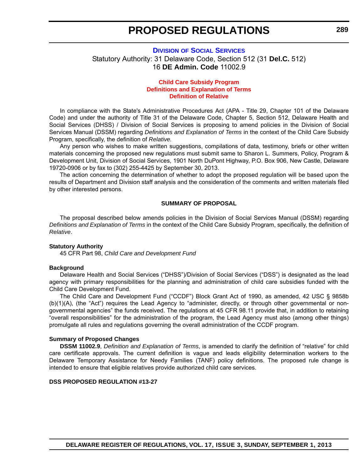#### <span id="page-30-0"></span>**DIVISION [OF SOCIAL SERVICES](http://www.dhss.delaware.gov/dhss/dss/)** Statutory Authority: 31 Delaware Code, Section 512 (31 **Del.C.** 512) 16 **DE Admin. Code** 11002.9

#### **Child Care Subsidy Program [Definitions and Explanation of Terms](#page-3-0) Definition of Relative**

In compliance with the State's Administrative Procedures Act (APA - Title 29, Chapter 101 of the Delaware Code) and under the authority of Title 31 of the Delaware Code, Chapter 5, Section 512, Delaware Health and Social Services (DHSS) / Division of Social Services is proposing to amend policies in the Division of Social Services Manual (DSSM) regarding *Definitions and Explanation of Terms* in the context of the Child Care Subsidy Program, specifically, the definition of *Relative.*

Any person who wishes to make written suggestions, compilations of data, testimony, briefs or other written materials concerning the proposed new regulations must submit same to Sharon L. Summers, Policy, Program & Development Unit, Division of Social Services, 1901 North DuPont Highway, P.O. Box 906, New Castle, Delaware 19720-0906 or by fax to (302) 255-4425 by September 30, 2013.

The action concerning the determination of whether to adopt the proposed regulation will be based upon the results of Department and Division staff analysis and the consideration of the comments and written materials filed by other interested persons.

#### **SUMMARY OF PROPOSAL**

The proposal described below amends policies in the Division of Social Services Manual (DSSM) regarding *Definitions and Explanation of Terms* in the context of the Child Care Subsidy Program, specifically, the definition of *Relative*.

#### **Statutory Authority**

45 CFR Part 98, *Child Care and Development Fund*

#### **Background**

Delaware Health and Social Services ("DHSS")/Division of Social Services ("DSS") is designated as the lead agency with primary responsibilities for the planning and administration of child care subsidies funded with the Child Care Development Fund.

The Child Care and Development Fund ("CCDF") Block Grant Act of 1990, as amended, 42 USC § 9858b (b)(1)(A), (the "Act") requires the Lead Agency to "administer, directly, or through other governmental or nongovernmental agencies" the funds received. The regulations at 45 CFR 98.11 provide that, in addition to retaining "overall responsibilities" for the administration of the program, the Lead Agency must also (among other things) promulgate all rules and regulations governing the overall administration of the CCDF program.

#### **Summary of Proposed Changes**

**DSSM 11002.9**, *Definition and Explanation of Terms*, is amended to clarify the definition of "relative" for child care certificate approvals. The current definition is vague and leads eligibility determination workers to the Delaware Temporary Assistance for Needy Families (TANF) policy definitions. The proposed rule change is intended to ensure that eligible relatives provide authorized child care services.

#### **DSS PROPOSED REGULATION #13-27**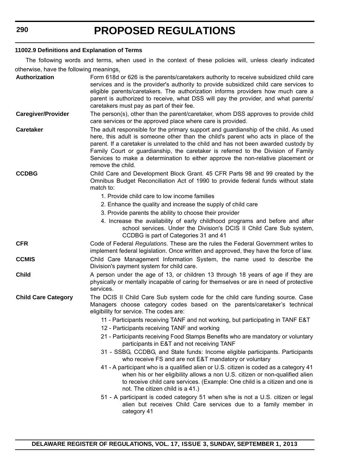#### **11002.9 Definitions and Explanation of Terms**

The following words and terms, when used in the context of these policies will, unless clearly indicated otherwise, have the following meanings.

| Authorization              | Form 618d or 626 is the parents/caretakers authority to receive subsidized child care<br>services and is the provider's authority to provide subsidized child care services to<br>eligible parents/caretakers. The authorization informs providers how much care a<br>parent is authorized to receive, what DSS will pay the provider, and what parents/<br>caretakers must pay as part of their fee.                                                            |
|----------------------------|------------------------------------------------------------------------------------------------------------------------------------------------------------------------------------------------------------------------------------------------------------------------------------------------------------------------------------------------------------------------------------------------------------------------------------------------------------------|
| <b>Caregiver/Provider</b>  | The person(s), other than the parent/caretaker, whom DSS approves to provide child<br>care services or the approved place where care is provided.                                                                                                                                                                                                                                                                                                                |
| <b>Caretaker</b>           | The adult responsible for the primary support and guardianship of the child. As used<br>here, this adult is someone other than the child's parent who acts in place of the<br>parent. If a caretaker is unrelated to the child and has not been awarded custody by<br>Family Court or guardianship, the caretaker is referred to the Division of Family<br>Services to make a determination to either approve the non-relative placement or<br>remove the child. |
| <b>CCDBG</b>               | Child Care and Development Block Grant. 45 CFR Parts 98 and 99 created by the<br>Omnibus Budget Reconciliation Act of 1990 to provide federal funds without state<br>match to:                                                                                                                                                                                                                                                                                   |
|                            | 1. Provide child care to low income families                                                                                                                                                                                                                                                                                                                                                                                                                     |
|                            | 2. Enhance the quality and increase the supply of child care                                                                                                                                                                                                                                                                                                                                                                                                     |
|                            | 3. Provide parents the ability to choose their provider                                                                                                                                                                                                                                                                                                                                                                                                          |
|                            | 4. Increase the availability of early childhood programs and before and after<br>school services. Under the Division's DCIS II Child Care Sub system,<br>CCDBG is part of Categories 31 and 41                                                                                                                                                                                                                                                                   |
| <b>CFR</b>                 | Code of Federal Regulations. These are the rules the Federal Government writes to<br>implement federal legislation. Once written and approved, they have the force of law.                                                                                                                                                                                                                                                                                       |
| <b>CCMIS</b>               | Child Care Management Information System, the name used to describe the<br>Division's payment system for child care.                                                                                                                                                                                                                                                                                                                                             |
| <b>Child</b>               | A person under the age of 13, or children 13 through 18 years of age if they are<br>physically or mentally incapable of caring for themselves or are in need of protective<br>services.                                                                                                                                                                                                                                                                          |
| <b>Child Care Category</b> | The DCIS II Child Care Sub system code for the child care funding source. Case<br>Managers choose category codes based on the parents/caretaker's technical<br>eligibility for service. The codes are:                                                                                                                                                                                                                                                           |
|                            | 11 - Participants receiving TANF and not working, but participating in TANF E&T                                                                                                                                                                                                                                                                                                                                                                                  |
|                            | 12 - Participants receiving TANF and working                                                                                                                                                                                                                                                                                                                                                                                                                     |
|                            | 21 - Participants receiving Food Stamps Benefits who are mandatory or voluntary<br>participants in E&T and not receiving TANF                                                                                                                                                                                                                                                                                                                                    |
|                            | 31 - SSBG, CCDBG, and State funds: Income eligible participants. Participants<br>who receive FS and are not E&T mandatory or voluntary                                                                                                                                                                                                                                                                                                                           |
|                            | 41 - A participant who is a qualified alien or U.S. citizen is coded as a category 41<br>when his or her eligibility allows a non U.S. citizen or non-qualified alien<br>to receive child care services. (Example: One child is a citizen and one is<br>not. The citizen child is a 41.)                                                                                                                                                                         |
|                            | 51 - A participant is coded category 51 when s/he is not a U.S. citizen or legal<br>alien but receives Child Care services due to a family member in<br>category 41                                                                                                                                                                                                                                                                                              |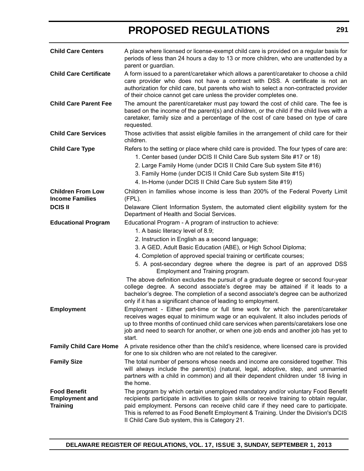| <b>Child Care Centers</b>                                       | A place where licensed or license-exempt child care is provided on a regular basis for<br>periods of less than 24 hours a day to 13 or more children, who are unattended by a<br>parent or guardian.                                                                                                                                                                                                                                                                                                                                                                                                                                                                                                                                  |
|-----------------------------------------------------------------|---------------------------------------------------------------------------------------------------------------------------------------------------------------------------------------------------------------------------------------------------------------------------------------------------------------------------------------------------------------------------------------------------------------------------------------------------------------------------------------------------------------------------------------------------------------------------------------------------------------------------------------------------------------------------------------------------------------------------------------|
| <b>Child Care Certificate</b>                                   | A form issued to a parent/caretaker which allows a parent/caretaker to choose a child<br>care provider who does not have a contract with DSS. A certificate is not an<br>authorization for child care, but parents who wish to select a non-contracted provider<br>of their choice cannot get care unless the provider completes one.                                                                                                                                                                                                                                                                                                                                                                                                 |
| <b>Child Care Parent Fee</b>                                    | The amount the parent/caretaker must pay toward the cost of child care. The fee is<br>based on the income of the parent(s) and children, or the child if the child lives with a<br>caretaker, family size and a percentage of the cost of care based on type of care<br>requested.                                                                                                                                                                                                                                                                                                                                                                                                                                                    |
| <b>Child Care Services</b>                                      | Those activities that assist eligible families in the arrangement of child care for their<br>children.                                                                                                                                                                                                                                                                                                                                                                                                                                                                                                                                                                                                                                |
| <b>Child Care Type</b>                                          | Refers to the setting or place where child care is provided. The four types of care are:<br>1. Center based (under DCIS II Child Care Sub system Site #17 or 18)<br>2. Large Family Home (under DCIS II Child Care Sub system Site #16)<br>3. Family Home (under DCIS II Child Care Sub system Site #15)<br>4. In-Home (under DCIS II Child Care Sub system Site #19)                                                                                                                                                                                                                                                                                                                                                                 |
| <b>Children From Low</b><br><b>Income Families</b>              | Children in families whose income is less than 200% of the Federal Poverty Limit<br>$(FPL)$ .                                                                                                                                                                                                                                                                                                                                                                                                                                                                                                                                                                                                                                         |
| <b>DCIS II</b>                                                  | Delaware Client Information System, the automated client eligibility system for the<br>Department of Health and Social Services.                                                                                                                                                                                                                                                                                                                                                                                                                                                                                                                                                                                                      |
| <b>Educational Program</b>                                      | Educational Program - A program of instruction to achieve:<br>1. A basic literacy level of 8.9;<br>2. Instruction in English as a second language;<br>3. A GED, Adult Basic Education (ABE), or High School Diploma;<br>4. Completion of approved special training or certificate courses;<br>5. A post-secondary degree where the degree is part of an approved DSS<br>Employment and Training program.<br>The above definition excludes the pursuit of a graduate degree or second four-year<br>college degree. A second associate's degree may be attained if it leads to a<br>bachelor's degree. The completion of a second associate's degree can be authorized<br>only if it has a significant chance of leading to employment. |
| <b>Employment</b>                                               | Employment - Either part-time or full time work for which the parent/caretaker<br>receives wages equal to minimum wage or an equivalent. It also includes periods of<br>up to three months of continued child care services when parents/caretakers lose one<br>job and need to search for another, or when one job ends and another job has yet to<br>start.                                                                                                                                                                                                                                                                                                                                                                         |
| <b>Family Child Care Home</b>                                   | A private residence other than the child's residence, where licensed care is provided<br>for one to six children who are not related to the caregiver.                                                                                                                                                                                                                                                                                                                                                                                                                                                                                                                                                                                |
| <b>Family Size</b>                                              | The total number of persons whose needs and income are considered together. This<br>will always include the parent(s) (natural, legal, adoptive, step, and unmarried<br>partners with a child in common) and all their dependent children under 18 living in<br>the home.                                                                                                                                                                                                                                                                                                                                                                                                                                                             |
| <b>Food Benefit</b><br><b>Employment and</b><br><b>Training</b> | The program by which certain unemployed mandatory and/or voluntary Food Benefit<br>recipients participate in activities to gain skills or receive training to obtain regular,<br>paid employment. Persons can receive child care if they need care to participate.<br>This is referred to as Food Benefit Employment & Training. Under the Division's DCIS<br>Il Child Care Sub system, this is Category 21.                                                                                                                                                                                                                                                                                                                          |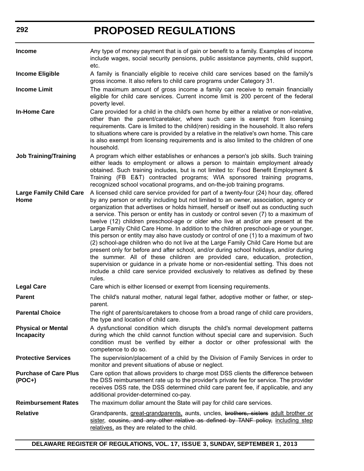| <b>Income</b>                                  | Any type of money payment that is of gain or benefit to a family. Examples of income<br>include wages, social security pensions, public assistance payments, child support,<br>etc.                                                                                                                                                                                                                                                                                                                                                                                                                                                                                                                                                                                                                                                                                                                                                                                                                                                                                                             |
|------------------------------------------------|-------------------------------------------------------------------------------------------------------------------------------------------------------------------------------------------------------------------------------------------------------------------------------------------------------------------------------------------------------------------------------------------------------------------------------------------------------------------------------------------------------------------------------------------------------------------------------------------------------------------------------------------------------------------------------------------------------------------------------------------------------------------------------------------------------------------------------------------------------------------------------------------------------------------------------------------------------------------------------------------------------------------------------------------------------------------------------------------------|
| <b>Income Eligible</b>                         | A family is financially eligible to receive child care services based on the family's<br>gross income. It also refers to child care programs under Category 31.                                                                                                                                                                                                                                                                                                                                                                                                                                                                                                                                                                                                                                                                                                                                                                                                                                                                                                                                 |
| <b>Income Limit</b>                            | The maximum amount of gross income a family can receive to remain financially<br>eligible for child care services. Current income limit is 200 percent of the federal<br>poverty level.                                                                                                                                                                                                                                                                                                                                                                                                                                                                                                                                                                                                                                                                                                                                                                                                                                                                                                         |
| <b>In-Home Care</b>                            | Care provided for a child in the child's own home by either a relative or non-relative,<br>other than the parent/caretaker, where such care is exempt from licensing<br>requirements. Care is limited to the child(ren) residing in the household. It also refers<br>to situations where care is provided by a relative in the relative's own home. This care<br>is also exempt from licensing requirements and is also limited to the children of one<br>household.                                                                                                                                                                                                                                                                                                                                                                                                                                                                                                                                                                                                                            |
| <b>Job Training/Training</b>                   | A program which either establishes or enhances a person's job skills. Such training<br>either leads to employment or allows a person to maintain employment already<br>obtained. Such training includes, but is not limited to: Food Benefit Employment &<br>Training (FB E&T) contracted programs; WIA sponsored training programs,<br>recognized school vocational programs, and on-the-job training programs.                                                                                                                                                                                                                                                                                                                                                                                                                                                                                                                                                                                                                                                                                |
| <b>Large Family Child Care</b><br>Home         | A licensed child care service provided for part of a twenty-four (24) hour day, offered<br>by any person or entity including but not limited to an owner, association, agency or<br>organization that advertises or holds himself, herself or itself out as conducting such<br>a service. This person or entity has in custody or control seven (7) to a maximum of<br>twelve (12) children preschool-age or older who live at and/or are present at the<br>Large Family Child Care Home. In addition to the children preschool-age or younger,<br>this person or entity may also have custody or control of one (1) to a maximum of two<br>(2) school-age children who do not live at the Large Family Child Care Home but are<br>present only for before and after school, and/or during school holidays, and/or during<br>the summer. All of these children are provided care, education, protection,<br>supervision or guidance in a private home or non-residential setting. This does not<br>include a child care service provided exclusively to relatives as defined by these<br>rules. |
| <b>Legal Care</b>                              | Care which is either licensed or exempt from licensing requirements.                                                                                                                                                                                                                                                                                                                                                                                                                                                                                                                                                                                                                                                                                                                                                                                                                                                                                                                                                                                                                            |
| <b>Parent</b>                                  | The child's natural mother, natural legal father, adoptive mother or father, or step-<br>parent.                                                                                                                                                                                                                                                                                                                                                                                                                                                                                                                                                                                                                                                                                                                                                                                                                                                                                                                                                                                                |
| <b>Parental Choice</b>                         | The right of parents/caretakers to choose from a broad range of child care providers,<br>the type and location of child care.                                                                                                                                                                                                                                                                                                                                                                                                                                                                                                                                                                                                                                                                                                                                                                                                                                                                                                                                                                   |
| <b>Physical or Mental</b><br><b>Incapacity</b> | A dysfunctional condition which disrupts the child's normal development patterns<br>during which the child cannot function without special care and supervision. Such<br>condition must be verified by either a doctor or other professional with the<br>competence to do so.                                                                                                                                                                                                                                                                                                                                                                                                                                                                                                                                                                                                                                                                                                                                                                                                                   |
| <b>Protective Services</b>                     | The supervision/placement of a child by the Division of Family Services in order to<br>monitor and prevent situations of abuse or neglect.                                                                                                                                                                                                                                                                                                                                                                                                                                                                                                                                                                                                                                                                                                                                                                                                                                                                                                                                                      |
| <b>Purchase of Care Plus</b><br>$(POC+)$       | Care option that allows providers to charge most DSS clients the difference between<br>the DSS reimbursement rate up to the provider's private fee for service. The provider<br>receives DSS rate, the DSS determined child care parent fee, if applicable, and any<br>additional provider-determined co-pay.                                                                                                                                                                                                                                                                                                                                                                                                                                                                                                                                                                                                                                                                                                                                                                                   |
| <b>Reimbursement Rates</b>                     | The maximum dollar amount the State will pay for child care services.                                                                                                                                                                                                                                                                                                                                                                                                                                                                                                                                                                                                                                                                                                                                                                                                                                                                                                                                                                                                                           |
| <b>Relative</b>                                | Grandparents, great-grandparents, aunts, uncles, brothers, sisters adult brother or<br>sister, cousins, and any other relative as defined by TANF policy, including step<br>relatives, as they are related to the child.                                                                                                                                                                                                                                                                                                                                                                                                                                                                                                                                                                                                                                                                                                                                                                                                                                                                        |

**DELAWARE REGISTER OF REGULATIONS, VOL. 17, ISSUE 3, SUNDAY, SEPTEMBER 1, 2013**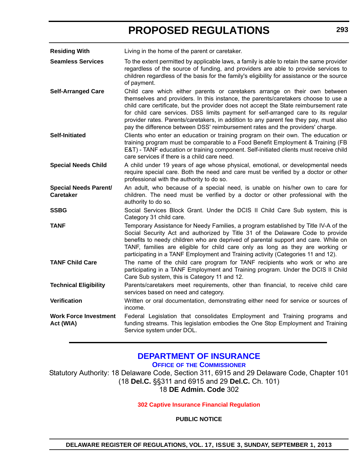<span id="page-34-0"></span>**Residing With** Living in the home of the parent or caretaker.

**Seamless Services** To the extent permitted by applicable laws, a family is able to retain the same provider regardless of the source of funding, and providers are able to provide services to children regardless of the basis for the family's eligibility for assistance or the source of payment.

**Self-Arranged Care** Child care which either parents or caretakers arrange on their own between themselves and providers. In this instance, the parents/caretakers choose to use a child care certificate, but the provider does not accept the State reimbursement rate for child care services. DSS limits payment for self-arranged care to its regular provider rates. Parents/caretakers, in addition to any parent fee they pay, must also pay the difference between DSS' reimbursement rates and the providers' charge.

**Self-Initiated** Clients who enter an education or training program on their own. The education or training program must be comparable to a Food Benefit Employment & Training (FB E&T) - TANF education or training component. Self-initiated clients must receive child care services if there is a child care need.

**Special Needs Child** A child under 19 years of age whose physical, emotional, or developmental needs require special care. Both the need and care must be verified by a doctor or other professional with the authority to do so.

**Special Needs Parent/ Caretaker** An adult, who because of a special need, is unable on his/her own to care for children. The need must be verified by a doctor or other professional with the authority to do so.

**SSBG** Social Services Block Grant. Under the DCIS II Child Care Sub system, this is Category 31 child care.

**TANF** Temporary Assistance for Needy Families, a program established by Title IV-A of the Social Security Act and authorized by Title 31 of the Delaware Code to provide benefits to needy children who are deprived of parental support and care. While on TANF, families are eligible for child care only as long as they are working or participating in a TANF Employment and Training activity (Categories 11 and 12).

**TANF Child Care** The name of the child care program for TANF recipients who work or who are participating in a TANF Employment and Training program. Under the DCIS II Child Care Sub system, this is Category 11 and 12.

**Technical Eligibility** Parents/caretakers meet requirements, other than financial, to receive child care services based on need and category.

**Verification** Written or oral documentation, demonstrating either need for service or sources of income.

**Work Force Investment Act (WIA)** Federal Legislation that consolidates Employment and Training programs and funding streams. This legislation embodies the One Stop Employment and Training Service system under DOL.

### **[DEPARTMENT OF INSURANCE](http://www.delawareinsurance.gov/)**

**OFFICE OF THE COMMISSIONER**

Statutory Authority: 18 Delaware Code, Section 311, 6915 and 29 Delaware Code, Chapter 101 (18 **Del.C.** §§311 and 6915 and 29 **Del.C.** Ch. 101) 18 **DE Admin. Code** 302

**[302 Captive Insurance Financial Regulation](#page-3-0)**

**PUBLIC NOTICE**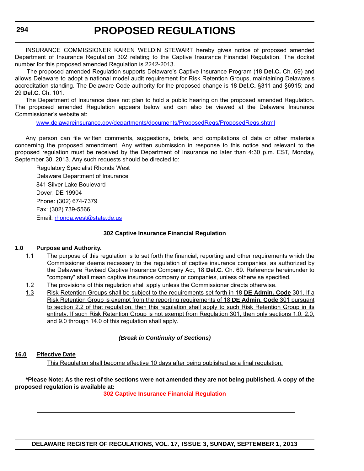INSURANCE COMMISSIONER KAREN WELDIN STEWART hereby gives notice of proposed amended Department of Insurance Regulation 302 relating to the Captive Insurance Financial Regulation. The docket number for this proposed amended Regulation is 2242-2013.

 The proposed amended Regulation supports Delaware's Captive Insurance Program (18 **Del.C.** Ch. 69) and allows Delaware to adopt a national model audit requirement for Risk Retention Groups, maintaining Delaware's accreditation standing. The Delaware Code authority for the proposed change is 18 **Del.C.** §311 and §6915; and 29 **Del.C.** Ch. 101.

The Department of Insurance does not plan to hold a public hearing on the proposed amended Regulation. The proposed amended Regulation appears below and can also be viewed at the Delaware Insurance Commissioner's website at:

[www.delawareinsurance.gov/departments/documents/ProposedRegs/ProposedRegs.shtml](http://www.delawareinsurance.gov/departments/documents/ProposedRegs/ProposedRegs.shtml)

Any person can file written comments, suggestions, briefs, and compilations of data or other materials concerning the proposed amendment. Any written submission in response to this notice and relevant to the proposed regulation must be received by the Department of Insurance no later than 4:30 p.m. EST, Monday, September 30, 2013. Any such requests should be directed to:

Regulatory Specialist Rhonda West Delaware Department of Insurance 841 Silver Lake Boulevard Dover, DE 19904 Phone: (302) 674-7379 Fax: (302) 739-5566 Email: [rhonda.west@state.de.us](mailto:rhonda.west@state.de.us)

#### **302 Captive Insurance Financial Regulation**

#### **1.0 Purpose and Authority.**

- 1.1 The purpose of this regulation is to set forth the financial, reporting and other requirements which the Commissioner deems necessary to the regulation of captive insurance companies, as authorized by the Delaware Revised Captive Insurance Company Act, 18 **Del.C.** Ch. 69. Reference hereinunder to "company" shall mean captive insurance company or companies, unless otherwise specified.
- 1.2 The provisions of this regulation shall apply unless the Commissioner directs otherwise.
- 1.3 Risk Retention Groups shall be subject to the requirements set forth in 18 **DE Admin. Code** 301. If a Risk Retention Group is exempt from the reporting requirements of 18 **DE Admin. Code** 301 pursuant to section 2.2 of that regulation, then this regulation shall apply to such Risk Retention Group in its entirety. If such Risk Retention Group is not exempt from Regulation 301, then only sections 1.0, 2.0, and 9.0 through 14.0 of this regulation shall apply.

#### *(Break in Continuity of Sections)*

#### **16.0 Effective Date**

This Regulation shall become effective 10 days after being published as a final regulation.

#### **\*Please Note: As the rest of the sections were not amended they are not being published. A copy of the proposed regulation is available at:**

#### **[302 Captive Insurance Financial Regulation](http://regulations.delaware.gov/register/september2013/proposed/17 DE Reg 293 09-01-13.pdf)**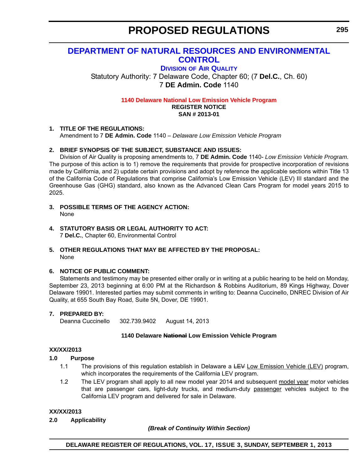# **[DEPARTMENT OF NATURAL RESOURCES AND ENVIRONMENTAL](http://www.dnrec.delaware.gov/air/Pages/Default.aspx)  CONTROL**

**DIVISION OF AIR QUALITY**

Statutory Authority: 7 Delaware Code, Chapter 60; (7 **Del.C.**, Ch. 60) 7 **DE Admin. Code** 1140

**[1140 Delaware National Low Emission Vehicle Program](#page-3-0)**

**REGISTER NOTICE SAN # 2013-01**

# **1. TITLE OF THE REGULATIONS:**

Amendment to 7 **DE Admin. Code** 1140 – *Delaware Low Emission Vehicle Program*

# **2. BRIEF SYNOPSIS OF THE SUBJECT, SUBSTANCE AND ISSUES:**

Division of Air Quality is proposing amendments to, 7 **DE Admin. Code** 1140- *Low Emission Vehicle Program.* The purpose of this action is to 1) remove the requirements that provide for prospective incorporation of revisions made by California, and 2) update certain provisions and adopt by reference the applicable sections within Title 13 of the California Code of Regulations that comprise California's Low Emission Vehicle (LEV) III standard and the Greenhouse Gas (GHG) standard, also known as the Advanced Clean Cars Program for model years 2015 to 2025.

- **3. POSSIBLE TERMS OF THE AGENCY ACTION:** None
- **4. STATUTORY BASIS OR LEGAL AUTHORITY TO ACT:** 7 **Del.C.**, Chapter 60, Environmental Control

# **5. OTHER REGULATIONS THAT MAY BE AFFECTED BY THE PROPOSAL:** None

# **6. NOTICE OF PUBLIC COMMENT:**

Statements and testimony may be presented either orally or in writing at a public hearing to be held on Monday, September 23, 2013 beginning at 6:00 PM at the Richardson & Robbins Auditorium, 89 Kings Highway, Dover Delaware 19901. Interested parties may submit comments in writing to: Deanna Cuccinello, DNREC Division of Air Quality, at 655 South Bay Road, Suite 5N, Dover, DE 19901.

# **7. PREPARED BY:**

Deanna Cuccinello 302.739.9402 August 14, 2013

# **1140 Delaware National Low Emission Vehicle Program**

#### **XX/XX/2013**

# **1.0 Purpose**

- 1.1 The provisions of this regulation establish in Delaware a LEV Low Emission Vehicle (LEV) program, which incorporates the requirements of the California LEV program.
- 1.2 The LEV program shall apply to all new model year 2014 and subsequent model year motor vehicles that are passenger cars, light-duty trucks, and medium-duty passenger vehicles subject to the California LEV program and delivered for sale in Delaware.

# **XX/XX/2013**

**2.0 Applicability**

# *(Break of Continuity Within Section)*

**DELAWARE REGISTER OF REGULATIONS, VOL. 17, ISSUE 3, SUNDAY, SEPTEMBER 1, 2013**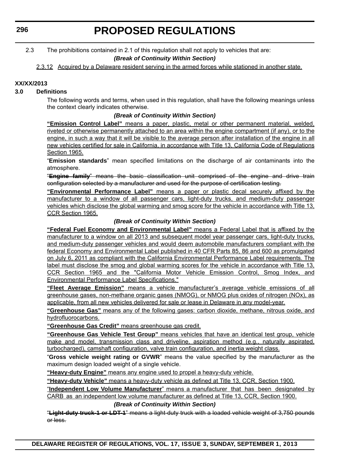2.3 The prohibitions contained in 2.1 of this regulation shall not apply to vehicles that are:

# *(Break of Continuity Within Section)*

2.3.12 Acquired by a Delaware resident serving in the armed forces while stationed in another state.

# **XX/XX/2013**

# **3.0 Definitions**

The following words and terms, when used in this regulation, shall have the following meanings unless the context clearly indicates otherwise.

### *(Break of Continuity Within Section)*

**"Emission Control Label"** means a paper, plastic, metal or other permanent material, welded, riveted or otherwise permanently attached to an area within the engine compartment (if any), or to the engine, in such a way that it will be visible to the average person after installation of the engine in all new vehicles certified for sale in California, in accordance with Title 13, California Code of Regulations Section 1965.

"**Emission standards**" mean specified limitations on the discharge of air contaminants into the atmosphere.

"**Engine family**" means the basic classification unit comprised of the engine and drive train configuration selected by a manufacturer and used for the purpose of certification testing.

**"Environmental Performance Label"** means a paper or plastic decal securely affixed by the manufacturer to a window of all passenger cars, light-duty trucks, and medium-duty passenger vehicles which disclose the global warming and smog score for the vehicle in accordance with Title 13, CCR Section 1965.

# *(Break of Continuity Within Section)*

**"Federal Fuel Economy and Environmental Label"** means a Federal Label that is affixed by the manufacturer to a window on all 2013 and subsequent model year passenger cars, light-duty trucks, and medium-duty passenger vehicles and would deem automobile manufacturers compliant with the federal Economy and Environmental Label published in 40 CFR Parts 85, 86 and 600 as promulgated on July 6, 2011 as compliant with the California Environmental Performance Label requirements. The label must disclose the smog and global warming scores for the vehicle in accordance with Title 13, CCR Section 1965 and the "California Motor Vehicle Emission Control, Smog Index, and Environmental Performance Label Specifications."

**"Fleet Average Emission"** means a vehicle manufacturer's average vehicle emissions of all greenhouse gases, non-methane organic gases (NMOG), or NMOG plus oxides of nitrogen (NOx), as applicable, from all new vehicles delivered for sale or lease in Delaware in any model-year.

**"Greenhouse Gas"** means any of the following gases: carbon dioxide, methane, nitrous oxide, and hydrofluorocarbons.

**"Greenhouse Gas Credit"** means greenhouse gas credit.

**"Greenhouse Gas Vehicle Test Group"** means vehicles that have an identical test group, vehicle make and model, transmission class and driveline, aspiration method (e.g., naturally aspirated, turbocharged), camshaft configuration, valve train configuration, and inertia weight class.

"**Gross vehicle weight rating or GVWR**" means the value specified by the manufacturer as the maximum design loaded weight of a single vehicle.

**"Heavy-duty Engine"** means any engine used to propel a heavy-duty vehicle.

**"Heavy-duty Vehicle"** means a heavy-duty vehicle as defined at Title 13, CCR, Section 1900.

"**Independent Low Volume Manufacturer**" means a manufacturer that has been designated by CARB as an independent low volume manufacturer as defined at Title 13, CCR, Section 1900.

# *(Break of Continuity Within Section)*

"**Light-duty truck-1 or LDT-1**" means a light-duty truck with a loaded vehicle weight of 3,750 pounds or less.

**DELAWARE REGISTER OF REGULATIONS, VOL. 17, ISSUE 3, SUNDAY, SEPTEMBER 1, 2013**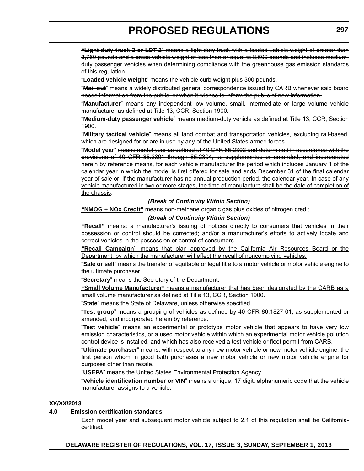**"Light-duty truck-2 or LDT-2**" means a light-duty truck with a loaded vehicle weight of greater than 3,750 pounds and a gross vehicle weight of less than or equal to 8,500 pounds and includes mediumduty passenger vehicles when determining compliance with the greenhouse gas emission standards of this regulation.

"**Loaded vehicle weight**" means the vehicle curb weight plus 300 pounds.

"**Mail out**" means a widely distributed general correspondence issued by CARB whenever said board needs information from the public, or when it wishes to inform the public of new information.

"**Manufacturer**" means any independent low volume, small, intermediate or large volume vehicle manufacturer as defined at Title 13, CCR, Section 1900.

"**Medium-duty passenger vehicle**" means medium-duty vehicle as defined at Title 13, CCR, Section 1900.

"**Military tactical vehicle**" means all land combat and transportation vehicles, excluding rail-based, which are designed for or are in use by any of the United States armed forces.

"**Model year**" means model year as defined at 40 CFR 85.2302 and determined in accordance with the provisions of 40 CFR 85.2301 through 85.2304, as supplemented or amended, and incorporated herein by reference means, for each vehicle manufacturer the period which includes January 1 of the calendar year in which the model is first offered for sale and ends December 31 of the final calendar year of sale or, if the manufacturer has no annual production period, the calendar year. In case of any vehicle manufactured in two or more stages, the time of manufacture shall be the date of completion of the chassis.

# *(Break of Continuity Within Section)*

**"NMOG + NOx Credit"** means non-methane organic gas plus oxides of nitrogen credit.

# *(Break of Continuity Within Section)*

**"Recall"** means: a manufacturer's issuing of notices directly to consumers that vehicles in their possession or control should be corrected; and/or a manufacturer's efforts to actively locate and correct vehicles in the possession or control of consumers.

**"Recall Campaign"** means that plan approved by the California Air Resources Board or the Department, by which the manufacturer will effect the recall of noncomplying vehicles.

"**Sale or sell**" means the transfer of equitable or legal title to a motor vehicle or motor vehicle engine to the ultimate purchaser.

"**Secretary**" means the Secretary of the Department.

**"Small Volume Manufacturer"** means a manufacturer that has been designated by the CARB as a small volume manufacturer as defined at Title 13, CCR, Section 1900.

"**State**" means the State of Delaware, unless otherwise specified.

"**Test group**" means a grouping of vehicles as defined by 40 CFR 86.1827-01, as supplemented or amended, and incorporated herein by reference.

"**Test vehicle**" means an experimental or prototype motor vehicle that appears to have very low emission characteristics, or a used motor vehicle within which an experimental motor vehicle pollution control device is installed, and which has also received a test vehicle or fleet permit from CARB.

"**Ultimate purchaser**" means, with respect to any new motor vehicle or new motor vehicle engine, the first person whom in good faith purchases a new motor vehicle or new motor vehicle engine for purposes other than resale.

"**USEPA**" means the United States Environmental Protection Agency.

"**Vehicle identification number or VIN**" means a unique, 17 digit, alphanumeric code that the vehicle manufacturer assigns to a vehicle.

# **XX/XX/2013**

# **4.0 Emission certification standards**

Each model year and subsequent motor vehicle subject to 2.1 of this regulation shall be Californiacertified*.*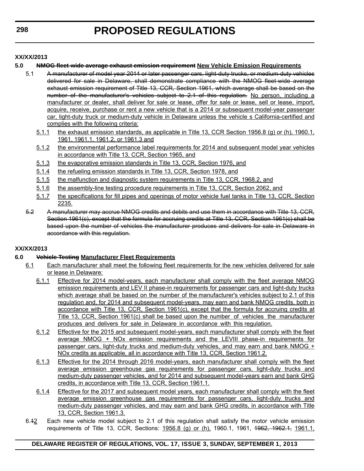# **XX/XX/2013**

# **5.0 NMOG fleet-wide average exhaust emission requirement New Vehicle Emission Requirements**

- 5.1 A manufacturer of model year 2014 or later passenger cars, light-duty trucks, or medium-duty vehicles delivered for sale in Delaware, shall demonstrate compliance with the NMOG fleet-wide average exhaust emission requirement of Title 13, CCR, Section 1961, which average shall be based on the number of the manufacturer's vehicles subject to 2.1 of this regulation. No person, including a manufacturer or dealer, shall deliver for sale or lease, offer for sale or lease, sell or lease, import, acquire, receive, purchase or rent a new vehicle that is a 2014 or subsequent model-year passenger car, light-duty truck or medium-duty vehicle in Delaware unless the vehicle s California-certified and complies with the following criteria:
	- 5.1.1 the exhaust emission standards, as applicable in Title 13, CCR Section 1956.8 (g) or (h), 1960.1, 1961, 1961.1, 1961.2, or 1961.3 and
	- 5.1.2 the environmental performance label requirements for 2014 and subsequent model year vehicles in accordance with Title 13, CCR, Section 1965, and
	- 5.1.3 the evaporative emission standards in Title 13, CCR, Section 1976, and
	- 5.1.4 the refueling emission standards in Title 13, CCR, Section 1978, and
	- 5.1.5 the malfunction and diagnostic system requirements in Title 13, CCR, 1968.2, and
	- 5.1.6 the assembly-line testing procedure requirements in Title 13, CCR, Section 2062, and
	- 5.1.7 the specifications for fill pipes and openings of motor vehicle fuel tanks in Title 13, CCR, Section 2235.
- 5.2 A manufacturer may accrue NMOG credits and debits and use them in accordance with Title 13, CCR, Section 1961(c), except that the formula for accruing credits at Title 13, CCR, Section 1961(c) shall be based upon the number of vehicles the manufacturer produces and delivers for sale in Delaware in accordance with this regulation.

# **XX/XX/2013**

# **6.0 Vehicle Testing Manufacturer Fleet Requirements**

- 6.1 Each manufacturer shall meet the following fleet requirements for the new vehicles delivered for sale or lease in Delaware:
	- 6.1.1 Effective for 2014 model-years, each manufacturer shall comply with the fleet average NMOG emission requirements and LEV II phase-in requirements for passenger cars and light-duty trucks which average shall be based on the number of the manufacturer's vehicles subject to 2.1 of this regulation and, for 2014 and subsequent model-years, may earn and bank NMOG credits, both in accordance with Title 13, CCR, Section 1961(c), except that the formula for accruing credits at Title 13, CCR, Section 1961(c) shall be based upon the number of vehicles the manufacturer produces and delivers for sale in Delaware in accordance with this regulation.
	- 6.1.2 Effective for the 2015 and subsequent model-years, each manufacturer shall comply with the fleet average NMOG + NOx emission requirements and the LEVIII phase-in requirements for passenger cars, light-duty trucks and medium-duty vehicles, and may earn and bank NMOG  $+$ NOx credits as applicable, all in accordance with Title 13, CCR, Section 1961.2.
	- 6.1.3 Effective for the 2014 through 2016 model-years, each manufacturer shall comply with the fleet average emission greenhouse gas requirements for passenger cars, light-duty trucks and medium-duty passenger vehicles, and for 2014 and subsequent model-years earn and bank GHG credits, in accordance with Title 13, CCR, Section 1961.1.
	- 6.1.4 Effective for the 2017 and subsequent model years, each manufacturer shall comply with the fleet average emission greenhouse gas requirements for passenger cars, light-duty trucks and medium-duty passenger vehicles, and may earn and bank GHG credits, in accordance with Title 13, CCR, Section 1961.3.
- 6.42 Each new vehicle model subject to 2.1 of this regulation shall satisfy the motor vehicle emission requirements of Title 13, CCR, Sections: 1956.8 (g) or (h), 1960.1, 1961, <del>1962, 1962.1,</del> 1961.1,

# **DELAWARE REGISTER OF REGULATIONS, VOL. 17, ISSUE 3, SUNDAY, SEPTEMBER 1, 2013**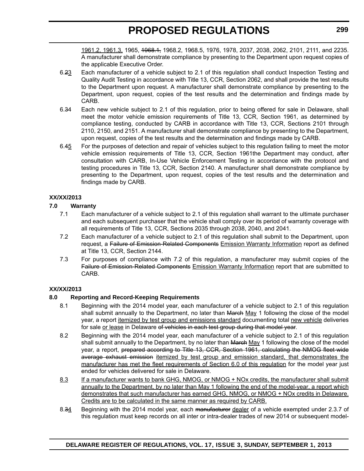1961.2, 1961.3, 1965, 1968.1, 1968.2, 1968.5, 1976, 1978, 2037, 2038, 2062, 2101, 2111, and 2235. A manufacturer shall demonstrate compliance by presenting to the Department upon request copies of the applicable Executive Order.

- 6.23 Each manufacturer of a vehicle subject to 2.1 of this regulation shall conduct Inspection Testing and Quality Audit Testing in accordance with Title 13, CCR, Section 2062, and shall provide the test results to the Department upon request. A manufacturer shall demonstrate compliance by presenting to the Department, upon request, copies of the test results and the determination and findings made by CARB.
- 6.34 Each new vehicle subject to 2.1 of this regulation, prior to being offered for sale in Delaware, shall meet the motor vehicle emission requirements of Title 13, CCR, Section 1961, as determined by compliance testing, conducted by CARB in accordance with Title 13, CCR, Sections 2101 through 2110, 2150, and 2151. A manufacturer shall demonstrate compliance by presenting to the Department, upon request, copies of the test results and the determination and findings made by CARB.
- 6.45 For the purposes of detection and repair of vehicles subject to this regulation failing to meet the motor vehicle emission requirements of Title 13, CCR, Section 1961the Department may conduct, after consultation with CARB, In-Use Vehicle Enforcement Testing in accordance with the protocol and testing procedures in Title 13, CCR, Section 2140. A manufacturer shall demonstrate compliance by presenting to the Department, upon request, copies of the test results and the determination and findings made by CARB.

# **XX/XX/2013**

# **7.0 Warranty**

- 7.1 Each manufacturer of a vehicle subject to 2.1 of this regulation shall warrant to the ultimate purchaser and each subsequent purchaser that the vehicle shall comply over its period of warranty coverage with all requirements of Title 13, CCR, Sections 2035 through 2038, 2040, and 2041.
- 7.2 Each manufacturer of a vehicle subject to 2.1 of this regulation shall submit to the Department, upon request, a Failure of Emission-Related Components Emission Warranty Information report as defined at Title 13, CCR, Section 2144.
- 7.3 For purposes of compliance with 7.2 of this regulation, a manufacturer may submit copies of the Failure of Emission-Related Components Emission Warranty Information report that are submitted to CARB.

# **XX/XX/2013**

# **8.0 Reporting and Record-Keeping Requirements**

- 8.1 Beginning with the 2014 model year, each manufacturer of a vehicle subject to 2.1 of this regulation shall submit annually to the Department, no later than March May 1 following the close of the model year, a report itemized by test group and emissions standard documenting total new vehicle deliveries for sale or lease in Delaware of vehicles in each test group during that model year.
- 8.2 Beginning with the 2014 model year, each manufacturer of a vehicle subject to 2.1 of this regulation shall submit annually to the Department, by no later than March May 1 following the close of the model year, a report, prepared according to Title 13, CCR, Section 1961, calculating the NMOG fleet wide average exhaust emission itemized by test group and emission standard, that demonstrates the manufacturer has met the fleet requirements of Section 6.0 of this regulation for the model year just ended for vehicles delivered for sale in Delaware.
- 8.3 If a manufacturer wants to bank GHG, NMOG, or NMOG + NOx credits, the manufacturer shall submit annually to the Department, by no later than May 1 following the end of the model-year, a report which demonstrates that such manufacturer has earned GHG, NMOG, or NMOG + NOx credits in Delaware. Credits are to be calculated in the same manner as required by CARB.
- 8.34 Beginning with the 2014 model year, each manufacturer dealer of a vehicle exempted under 2.3.7 of this regulation must keep records on all inter or intra-dealer trades of new 2014 or subsequent model-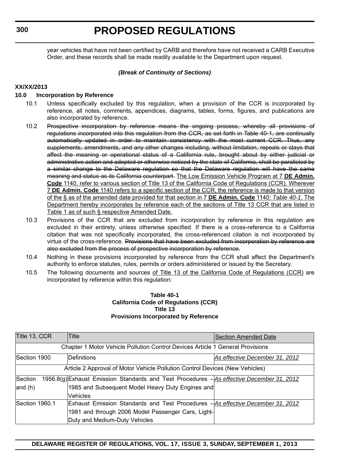year vehicles that have not been certified by CARB and therefore have not received a CARB Executive Order, and these records shall be made readily available to the Department upon request.

# *(Break of Continuity of Sections)*

### **XX/XX/2013**

# **10.0 Incorporation by Reference**

- 10.1 Unless specifically excluded by this regulation, when a provision of the CCR is incorporated by reference, all notes, comments, appendices, diagrams, tables, forms, figures, and publications are also incorporated by reference.
- 10.2 Prospective incorporation by reference means the ongoing process, whereby all provisions of regulations incorporated into this regulation from the CCR, as set forth in Table 40-1, are continually automatically updated in order to maintain consistency with the most current CCR. Thus, any supplements, amendments, and any other changes including, without limitation, repeals or stays that affect the meaning or operational status of a California rule, brought about by either judicial or administrative action and adopted or otherwise noticed by the state of California, shall be paralleled by a similar change to the Delaware regulation so that the Delaware regulation will have the same meaning and status as its California counterpart. The Low Emission Vehicle Program at 7 **DE Admin. Code** 1140, refer to various section of Title 13 of the California Code of Regulations (CCR). Wherever 7 **DE Admin. Code** 1140 refers to a specific section of the CCR, the reference is made to that version of the § as of the amended date provided for that section in 7 **DE Admin. Code** 1140: *Table 40-1*. The Department hereby incorporates by reference each of the sections of Title 13 CCR that are listed in Table 1 as of such § respective Amended Date.
- 10.3 Provisions of the CCR that are excluded from incorporation by reference in this regulation are excluded in their entirety, unless otherwise specified. If there is a cross-reference to a California citation that was not specifically incorporated, the cross-referenced citation is not incorporated by virtue of the cross-reference. Provisions that have been excluded from incorporation by reference are also excluded from the process of prospective incorporation by reference.
- 10.4 Nothing in these provisions incorporated by reference from the CCR shall affect the Department's authority to enforce statutes, rules, permits or orders administered or issued by the Secretary.
- 10.5 The following documents and sources of Title 13 of the California Code of Regulations (CCR) are incorporated by reference within this regulation:

### **Table 40-1 California Code of Regulations (CCR) Title 13 Provisions Incorporated by Reference**

| Title 13, CCR                                                                  | <b>Title</b>                                       | <b>Section Amended Date</b>                                                               |  |  |
|--------------------------------------------------------------------------------|----------------------------------------------------|-------------------------------------------------------------------------------------------|--|--|
| Chapter 1 Motor Vehicle Pollution Control Devices Article 1 General Provisions |                                                    |                                                                                           |  |  |
| Section 1900                                                                   | Definitions                                        | As effective December 31, 2012                                                            |  |  |
| Article 2 Approval of Motor Vehicle Pollution Control Devices (New Vehicles)   |                                                    |                                                                                           |  |  |
| Section                                                                        |                                                    | 1956.8(g) Exhaust Emission Standards and Test Procedures - As effective December 31, 2012 |  |  |
| and $(h)$                                                                      | 1985 and Subsequent Model Heavy Duty Engines and   |                                                                                           |  |  |
|                                                                                | Vehicles                                           |                                                                                           |  |  |
| Section 1960.1                                                                 |                                                    | Exhaust Emission Standards and Test Procedures - As effective December 31, 2012           |  |  |
|                                                                                | 1981 and through 2006 Model Passenger Cars, Light- |                                                                                           |  |  |
|                                                                                | Duty and Medium-Duty Vehicles                      |                                                                                           |  |  |

# **DELAWARE REGISTER OF REGULATIONS, VOL. 17, ISSUE 3, SUNDAY, SEPTEMBER 1, 2013**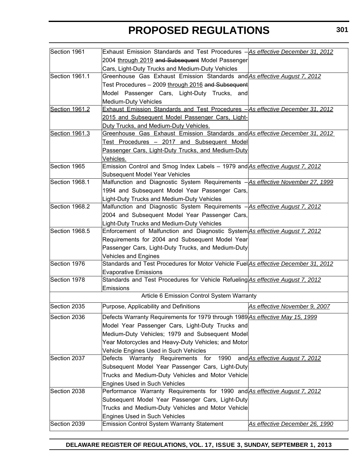| Section 1961   | Exhaust Emission Standards and Test Procedures - As effective December 31, 2012     |                                 |
|----------------|-------------------------------------------------------------------------------------|---------------------------------|
|                | 2004 through 2019 and Subsequent Model Passenger                                    |                                 |
|                | Cars, Light-Duty Trucks and Medium-Duty Vehicles                                    |                                 |
| Section 1961.1 | Greenhouse Gas Exhaust Emission Standards and As effective August 7, 2012           |                                 |
|                | Test Procedures - 2009 through 2016 and Subsequent                                  |                                 |
|                | Model Passenger Cars, Light-Duty Trucks, and                                        |                                 |
|                | Medium-Duty Vehicles                                                                |                                 |
| Section 1961.2 | Exhaust Emission Standards and Test Procedures - As effective December 31, 2012     |                                 |
|                | 2015 and Subsequent Model Passenger Cars, Light-                                    |                                 |
|                | Duty Trucks, and Medium-Duty Vehicles.                                              |                                 |
| Section 1961.3 | Greenhouse Gas Exhaust Emission Standards and As effective December 31, 2012        |                                 |
|                | Test Procedures - 2017 and Subsequent Model                                         |                                 |
|                | Passenger Cars, Light-Duty Trucks, and Medium-Duty                                  |                                 |
|                | Vehicles.                                                                           |                                 |
| Section 1965   | Emission Control and Smog Index Labels - 1979 and As effective August 7, 2012       |                                 |
|                | <b>Subsequent Model Year Vehicles</b>                                               |                                 |
| Section 1968.1 | Malfunction and Diagnostic System Requirements - As effective November 27, 1999     |                                 |
|                | 1994 and Subsequent Model Year Passenger Cars,                                      |                                 |
|                | Light-Duty Trucks and Medium-Duty Vehicles                                          |                                 |
| Section 1968.2 | Malfunction and Diagnostic System Requirements -As effective August 7, 2012         |                                 |
|                | 2004 and Subsequent Model Year Passenger Cars,                                      |                                 |
|                | Light-Duty Trucks and Medium-Duty Vehicles                                          |                                 |
| Section 1968.5 | Enforcement of Malfunction and Diagnostic System As effective August 7, 2012        |                                 |
|                | Requirements for 2004 and Subsequent Model Year                                     |                                 |
|                | Passenger Cars, Light-Duty Trucks, and Medium-Duty                                  |                                 |
|                | <b>Vehicles and Engines</b>                                                         |                                 |
| Section 1976   | Standards and Test Procedures for Motor Vehicle Fuel As effective December 31, 2012 |                                 |
|                | <b>Evaporative Emissions</b>                                                        |                                 |
| Section 1978   | Standards and Test Procedures for Vehicle Refueling As effective August 7, 2012     |                                 |
|                | Emissions                                                                           |                                 |
|                | Article 6 Emission Control System Warranty                                          |                                 |
| Section 2035   | Purpose, Applicability and Definitions                                              | As effective November 9, 2007   |
| Section 2036   | Defects Warranty Requirements for 1979 through 1989 As effective May 15, 1999       |                                 |
|                | Model Year Passenger Cars, Light-Duty Trucks and                                    |                                 |
|                | Medium-Duty Vehicles; 1979 and Subsequent Model                                     |                                 |
|                | Year Motorcycles and Heavy-Duty Vehicles; and Motor                                 |                                 |
|                | Vehicle Engines Used in Such Vehicles                                               |                                 |
| Section 2037   | Defects Warranty Requirements for<br>1990                                           | and As effective August 7, 2012 |
|                | Subsequent Model Year Passenger Cars, Light-Duty                                    |                                 |
|                | Trucks and Medium-Duty Vehicles and Motor Vehicle                                   |                                 |
|                | <b>Engines Used in Such Vehicles</b>                                                |                                 |
| Section 2038   | Performance Warranty Requirements for 1990 and As effective August 7, 2012          |                                 |
|                | Subsequent Model Year Passenger Cars, Light-Duty                                    |                                 |
|                | Trucks and Medium-Duty Vehicles and Motor Vehicle                                   |                                 |
|                | <b>Engines Used in Such Vehicles</b>                                                |                                 |
| Section 2039   | <b>Emission Control System Warranty Statement</b>                                   | As effective December 26, 1990  |
|                |                                                                                     |                                 |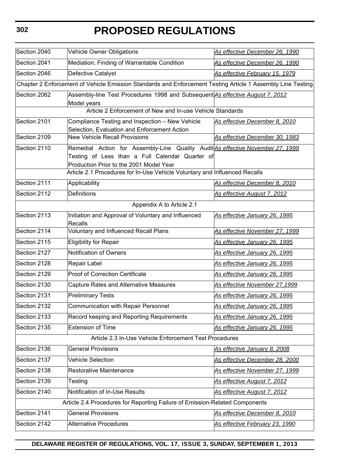| Section 2040                                                                                                | <b>Vehicle Owner Obligations</b>                                                                | As effective December 26, 1990 |  |
|-------------------------------------------------------------------------------------------------------------|-------------------------------------------------------------------------------------------------|--------------------------------|--|
| Section 2041                                                                                                | Mediation; Finding of Warrantable Condition                                                     | As effective December 26, 1990 |  |
| Section 2046                                                                                                | Defective Catalyst                                                                              | As effective February 15, 1979 |  |
| Chapter 2 Enforcement of Vehicle Emission Standards and Enforcement Testing Article 1 Assembly Line Testing |                                                                                                 |                                |  |
| Section 2062                                                                                                | Assembly-line Test Procedures 1998 and Subsequent As effective August 7, 2012                   |                                |  |
|                                                                                                             | Model years<br>Article 2 Enforcement of New and In-use Vehicle Standards                        |                                |  |
|                                                                                                             |                                                                                                 |                                |  |
| Section 2101                                                                                                | Compliance Testing and Inspection - New Vehicle<br>Selection, Evaluation and Enforcement Action | As effective December 8, 2010  |  |
| Section 2109                                                                                                | <b>New Vehicle Recall Provisions</b>                                                            | As effective December 30, 1983 |  |
| Section 2110                                                                                                | Remedial Action for Assembly-Line Quality Audit As effective November 27, 1999                  |                                |  |
|                                                                                                             | Testing of Less than a Full Calendar Quarter of                                                 |                                |  |
|                                                                                                             | Production Prior to the 2001 Model Year                                                         |                                |  |
|                                                                                                             | Article 2.1 Procedures for In-Use Vehicle Voluntary and Influenced Recalls                      |                                |  |
| Section 2111                                                                                                | Applicability                                                                                   | As effective December 8, 2010  |  |
| Section 2112                                                                                                | <b>Definitions</b>                                                                              | As effective August 7, 2012    |  |
|                                                                                                             | Appendix A to Article 2.1                                                                       |                                |  |
| Section 2113                                                                                                | Initiation and Approval of Voluntary and Influenced<br>Recalls                                  | As effective January 26, 1995  |  |
| Section 2114                                                                                                | Voluntary and Influenced Recall Plans                                                           | As effective November 27, 1999 |  |
| Section 2115                                                                                                | <b>Eligibility for Repair</b>                                                                   | As effective January 26, 1995  |  |
| Section 2127                                                                                                | Notification of Owners                                                                          | As effective January 26, 1995  |  |
| Section 2128                                                                                                | Repair Label                                                                                    | As effective January 26, 1995  |  |
| Section 2129                                                                                                | <b>Proof of Correction Certificate</b>                                                          | As effective January 26, 1995  |  |
| Section 2130                                                                                                | <b>Capture Rates and Alternative Measures</b>                                                   | As effective November 27,1999  |  |
| Section 2131                                                                                                | <b>Preliminary Tests</b>                                                                        | As effective January 26, 1995  |  |
| Section 2132                                                                                                | <b>Communication with Repair Personnel</b>                                                      | As effective January 26, 1995  |  |
| Section 2133                                                                                                | Record keeping and Reporting Requirements                                                       | As effective January 26, 1995  |  |
| Section 2135                                                                                                | <b>Extension of Time</b>                                                                        | As effective January 26, 1995  |  |
|                                                                                                             | Article 2.3 In-Use Vehicle Enforcement Test Procedures                                          |                                |  |
| Section 2136                                                                                                | <b>General Provisions</b>                                                                       | As effective January 8, 2008   |  |
| Section 2137                                                                                                | <b>Vehicle Selection</b>                                                                        | As effective December 28, 2000 |  |
| Section 2138                                                                                                | Restorative Maintenance                                                                         | As effective November 27, 1999 |  |
| Section 2139                                                                                                | Testing                                                                                         | As effective August 7, 2012    |  |
| Section 2140                                                                                                | Notification of In-Use Results                                                                  | As effective August 7, 2012    |  |
| Article 2.4 Procedures for Reporting Failure of Emission-Related Components                                 |                                                                                                 |                                |  |
| Section 2141                                                                                                | <b>General Provisions</b>                                                                       | As effective December 8, 2010  |  |
| Section 2142                                                                                                | <b>Alternative Procedures</b>                                                                   | As effective February 23, 1990 |  |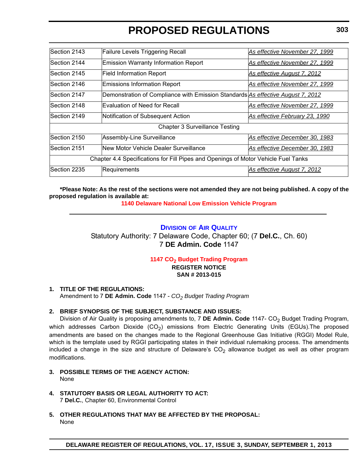| Section 2143                                                                       | <b>Failure Levels Triggering Recall</b>                                         | As effective November 27, 1999     |  |
|------------------------------------------------------------------------------------|---------------------------------------------------------------------------------|------------------------------------|--|
| Section 2144                                                                       | Emission Warranty Information Report                                            | As effective November 27, 1999     |  |
| Section 2145                                                                       | <b>Field Information Report</b>                                                 | <u>As effective August 7, 2012</u> |  |
| Section 2146                                                                       | Emissions Information Report                                                    | As effective November 27, 1999     |  |
| Section 2147                                                                       | Demonstration of Compliance with Emission Standards As effective August 7, 2012 |                                    |  |
| Section 2148                                                                       | lEvaluation of Need for Recall                                                  | As effective November 27, 1999     |  |
| Section 2149                                                                       | Notification of Subsequent Action                                               | As effective February 23, 1990     |  |
| <b>Chapter 3 Surveillance Testing</b>                                              |                                                                                 |                                    |  |
| Section 2150                                                                       | Assembly-Line Surveillance                                                      | As effective December 30, 1983     |  |
| Section 2151                                                                       | New Motor Vehicle Dealer Surveillance                                           | As effective December 30, 1983     |  |
| Chapter 4.4 Specifications for Fill Pipes and Openings of Motor Vehicle Fuel Tanks |                                                                                 |                                    |  |
| Section 2235                                                                       | Requirements                                                                    | As effective August 7, 2012        |  |

**\*Please Note: As the rest of the sections were not amended they are not being published. A copy of the proposed regulation is available at:**

**[1140 Delaware National Low Emission Vehicle Program](http://regulations.delaware.gov/register/september2013/proposed/17 DE Reg 295 09-01-13.pdf)**

# **DIVISION [OF AIR QUALITY](http://www.dnrec.delaware.gov/air/Pages/Default.aspx)**

Statutory Authority: 7 Delaware Code, Chapter 60; (7 **Del.C.**, Ch. 60) 7 **DE Admin. Code** 1147

# **1147 CO<sub>2</sub> Budget Trading Program**

**REGISTER NOTICE SAN # 2013-015**

# **1. TITLE OF THE REGULATIONS:**

Amendment to 7 **DE Admin. Code** 1147 - *CO2 Budget Trading Program*

# **2. BRIEF SYNOPSIS OF THE SUBJECT, SUBSTANCE AND ISSUES:**

Division of Air Quality is proposing amendments to, 7 DE Admin. Code 1147- CO<sub>2</sub> Budget Trading Program, which addresses Carbon Dioxide  $(CO<sub>2</sub>)$  emissions from Electric Generating Units (EGUs). The proposed amendments are based on the changes made to the Regional Greenhouse Gas Initiative (RGGI) Model Rule, which is the template used by RGGI participating states in their individual rulemaking process. The amendments included a change in the size and structure of Delaware's  $CO<sub>2</sub>$  allowance budget as well as other program modifications.

- **3. POSSIBLE TERMS OF THE AGENCY ACTION:** None
- **4. STATUTORY BASIS OR LEGAL AUTHORITY TO ACT:** 7 **Del.C.**, Chapter 60, Environmental Control
- **5. OTHER REGULATIONS THAT MAY BE AFFECTED BY THE PROPOSAL:** None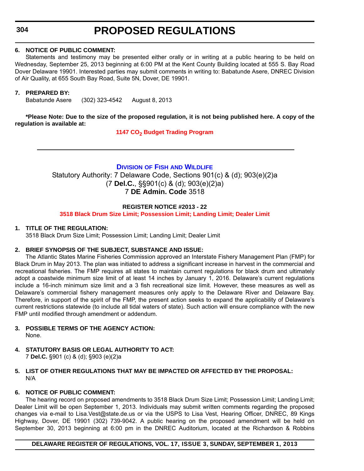# **304**

# **PROPOSED REGULATIONS**

### **6. NOTICE OF PUBLIC COMMENT:**

Statements and testimony may be presented either orally or in writing at a public hearing to be held on Wednesday, September 25, 2013 beginning at 6:00 PM at the Kent County Building located at 555 S. Bay Road Dover Delaware 19901. Interested parties may submit comments in writing to: Babatunde Asere, DNREC Division of Air Quality, at 655 South Bay Road, Suite 5N, Dover, DE 19901.

### **7. PREPARED BY:**

Babatunde Asere (302) 323-4542 August 8, 2013

# **\*Please Note: Due to the size of the proposed regulation, it is not being published here. A copy of the regulation is available at:**

**[1147 CO2](http://regulations.delaware.gov/register/september2013/proposed/17 DE Reg 303 09-01-13.htm) Budget Trading Program**

# **DIVISION OF FISH [AND WILDLIFE](http://www.dnrec.delaware.gov/fw/Pages/FWPortal.aspx)**

Statutory Authority: 7 Delaware Code, Sections 901(c) & (d); 903(e)(2)a (7 **Del.C.**, §§901(c) & (d); 903(e)(2)a) 7 **DE Admin. Code** 3518

#### **REGISTER NOTICE #2013 - 22**

**[3518 Black Drum Size Limit; Possession Limit; Landing Limit; Dealer Limit](#page-3-0)**

#### **1. TITLE OF THE REGULATION:**

3518 Black Drum Size Limit; Possession Limit; Landing Limit; Dealer Limit

# **2. BRIEF SYNOPSIS OF THE SUBJECT, SUBSTANCE AND ISSUE:**

The Atlantic States Marine Fisheries Commission approved an Interstate Fishery Management Plan (FMP) for Black Drum in May 2013. The plan was initiated to address a significant increase in harvest in the commercial and recreational fisheries. The FMP requires all states to maintain current regulations for black drum and ultimately adopt a coastwide minimum size limit of at least 14 inches by January 1, 2016. Delaware's current regulations include a 16-inch minimum size limit and a 3 fish recreational size limit. However, these measures as well as Delaware's commercial fishery management measures only apply to the Delaware River and Delaware Bay. Therefore, in support of the spirit of the FMP, the present action seeks to expand the applicability of Delaware's current restrictions statewide (to include all tidal waters of state). Such action will ensure compliance with the new FMP until modified through amendment or addendum.

- **3. POSSIBLE TERMS OF THE AGENCY ACTION:** None.
- **4. STATUTORY BASIS OR LEGAL AUTHORITY TO ACT:**  7 **Del.C.** §901 (c) & (d); §903 (e)(2)a
- **5. LIST OF OTHER REGULATIONS THAT MAY BE IMPACTED OR AFFECTED BY THE PROPOSAL:** N/A

#### **6. NOTICE OF PUBLIC COMMENT:**

The hearing record on proposed amendments to 3518 Black Drum Size Limit; Possession Limit; Landing Limit; Dealer Limit will be open September 1, 2013. Individuals may submit written comments regarding the proposed changes via e-mail to Lisa.Vest@state.de.us or via the USPS to Lisa Vest, Hearing Officer, DNREC, 89 Kings Highway, Dover, DE 19901 (302) 739-9042. A public hearing on the proposed amendment will be held on September 30, 2013 beginning at 6:00 pm in the DNREC Auditorium, located at the Richardson & Robbins

#### **DELAWARE REGISTER OF REGULATIONS, VOL. 17, ISSUE 3, SUNDAY, SEPTEMBER 1, 2013**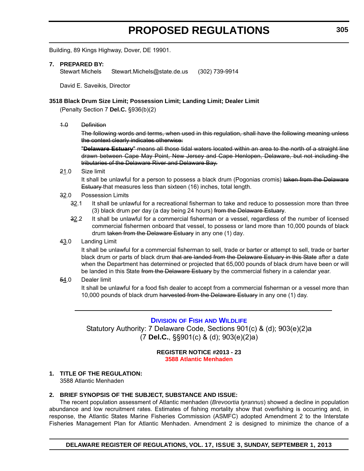Building, 89 Kings Highway, Dover, DE 19901.

#### **7. PREPARED BY:**

Stewart Michels Stewart.Michels@state.de.us (302) 739-9914

David E. Saveikis, Director

### **3518 Black Drum Size Limit; Possession Limit; Landing Limit; Dealer Limit**

(Penalty Section 7 **Del.C.** §936(b)(2)

1.0 Definition

The following words and terms, when used in this regulation, shall have the following meaning unless the context clearly indicates otherwise:

"**Delaware Estuary**" means all those tidal waters located within an area to the north of a straight line drawn between Cape May Point, New Jersey and Cape Henlopen, Delaware, but not including the tributaries of the Delaware River and Delaware Bay.

21.0 Size limit

It shall be unlawful for a person to possess a black drum (Pogonias cromis) taken from the Delaware Estuary that measures less than sixteen (16) inches, total length.

- 32.0 Possession Limits
	- 32.1 It shall be unlawful for a recreational fisherman to take and reduce to possession more than three (3) black drum per day (a day being 24 hours) from the Delaware Estuary.
	- 32.2 It shall be unlawful for a commercial fisherman or a vessel, regardless of the number of licensed commercial fishermen onboard that vessel, to possess or land more than 10,000 pounds of black drum taken from the Delaware Estuary in any one (1) day.
- 43.0 Landing Limit

It shall be unlawful for a commercial fisherman to sell, trade or barter or attempt to sell, trade or barter black drum or parts of black drum that are landed from the Delaware Estuary in this State after a date when the Department has determined or projected that 65,000 pounds of black drum have been or will be landed in this State from the Delaware Estuary by the commercial fishery in a calendar year.

54.0 Dealer limit

It shall be unlawful for a food fish dealer to accept from a commercial fisherman or a vessel more than 10,000 pounds of black drum harvested from the Delaware Estuary in any one (1) day.

# **DIVISION OF FISH [AND WILDLIFE](http://www.dnrec.delaware.gov/fw/Pages/FWPortal.aspx)**

Statutory Authority: 7 Delaware Code, Sections 901(c) & (d); 903(e)(2)a (7 **Del.C.**, §§901(c) & (d); 903(e)(2)a)

> **REGISTER NOTICE #2013 - 23 [3588 Atlantic Menhaden](#page-3-0)**

# **1. TITLE OF THE REGULATION:**

3588 Atlantic Menhaden

# **2. BRIEF SYNOPSIS OF THE SUBJECT, SUBSTANCE AND ISSUE:**

The recent population assessment of Atlantic menhaden (*Brevoortia tyrannus*) showed a decline in population abundance and low recruitment rates. Estimates of fishing mortality show that overfishing is occurring and, in response, the Atlantic States Marine Fisheries Commission (ASMFC) adopted Amendment 2 to the Interstate Fisheries Management Plan for Atlantic Menhaden. Amendment 2 is designed to minimize the chance of a

**DELAWARE REGISTER OF REGULATIONS, VOL. 17, ISSUE 3, SUNDAY, SEPTEMBER 1, 2013**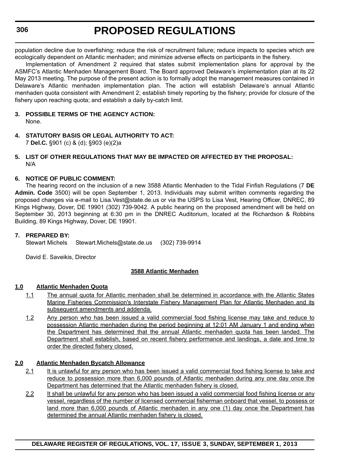population decline due to overfishing; reduce the risk of recruitment failure; reduce impacts to species which are ecologically dependent on Atlantic menhaden; and minimize adverse effects on participants in the fishery.

Implementation of Amendment 2 required that states submit implementation plans for approval by the ASMFC's Atlantic Menhaden Management Board. The Board approved Delaware's implementation plan at its 22 May 2013 meeting. The purpose of the present action is to formally adopt the management measures contained in Delaware's Atlantic menhaden implementation plan. The action will establish Delaware's annual Atlantic menhaden quota consistent with Amendment 2; establish timely reporting by the fishery; provide for closure of the fishery upon reaching quota; and establish a daily by-catch limit.

# **3. POSSIBLE TERMS OF THE AGENCY ACTION:** None.

**4. STATUTORY BASIS OR LEGAL AUTHORITY TO ACT:**  7 **Del.C.** §901 (c) & (d); §903 (e)(2)a

# **5. LIST OF OTHER REGULATIONS THAT MAY BE IMPACTED OR AFFECTED BY THE PROPOSAL:** N/A

# **6. NOTICE OF PUBLIC COMMENT:**

The hearing record on the inclusion of a new 3588 Atlantic Menhaden to the Tidal Finfish Regulations (7 **DE Admin. Code** 3500) will be open September 1, 2013. Individuals may submit written comments regarding the proposed changes via e-mail to Lisa.Vest@state.de.us or via the USPS to Lisa Vest, Hearing Officer, DNREC, 89 Kings Highway, Dover, DE 19901 (302) 739-9042. A public hearing on the proposed amendment will be held on September 30, 2013 beginning at 6:30 pm in the DNREC Auditorium, located at the Richardson & Robbins Building, 89 Kings Highway, Dover, DE 19901.

# **7. PREPARED BY:**

Stewart Michels Stewart.Michels@state.de.us (302) 739-9914

David E. Saveikis, Director

# **3588 Atlantic Menhaden**

# **1.0 Atlantic Menhaden Quota**

- 1.1 The annual quota for Atlantic menhaden shall be determined in accordance with the Atlantic States Marine Fisheries Commission's Interstate Fishery Management Plan for Atlantic Menhaden and its subsequent amendments and addenda.
- 1.2 Any person who has been issued a valid commercial food fishing license may take and reduce to possession Atlantic menhaden during the period beginning at 12:01 AM January 1 and ending when the Department has determined that the annual Atlantic menhaden quota has been landed. The Department shall establish, based on recent fishery performance and landings, a date and time to order the directed fishery closed.

# **2.0 Atlantic Menhaden Bycatch Allowance**

- 2.1 It is unlawful for any person who has been issued a valid commercial food fishing license to take and reduce to possession more than 6,000 pounds of Atlantic menhaden during any one day once the Department has determined that the Atlantic menhaden fishery is closed.
- 2.2 It shall be unlawful for any person who has been issued a valid commercial food fishing license or any vessel, regardless of the number of licensed commercial fisherman onboard that vessel, to possess or land more than 6,000 pounds of Atlantic menhaden in any one (1) day once the Department has determined the annual Atlantic menhaden fishery is closed.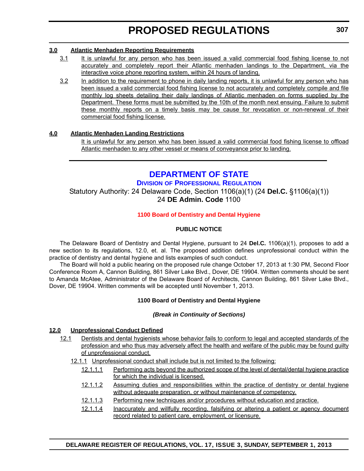# **3.0 Atlantic Menhaden Reporting Requirements**

- 3.1 It is unlawful for any person who has been issued a valid commercial food fishing license to not accurately and completely report their Atlantic menhaden landings to the Department, via the interactive voice phone reporting system, within 24 hours of landing.
- 3.2 In addition to the requirement to phone in daily landing reports, it is unlawful for any person who has been issued a valid commercial food fishing license to not accurately and completely compile and file monthly log sheets detailing their daily landings of Atlantic menhaden on forms supplied by the Department. These forms must be submitted by the 10th of the month next ensuing. Failure to submit these monthly reports on a timely basis may be cause for revocation or non-renewal of their commercial food fishing license.

# **4.0 Atlantic Menhaden Landing Restrictions**

It is unlawful for any person who has been issued a valid commercial food fishing license to offload Atlantic menhaden to any other vessel or means of conveyance prior to landing.

# **[DEPARTMENT OF STATE](http://dpr.delaware.gov/)**

# **DIVISION OF PROFESSIONAL REGULATION**

Statutory Authority: 24 Delaware Code, Section 1106(a)(1) (24 **Del.C.** §1106(a)(1)) 24 **DE Admin. Code** 1100

# **[1100 Board of Dentistry and Dental Hygiene](#page-3-0)**

# **PUBLIC NOTICE**

The Delaware Board of Dentistry and Dental Hygiene, pursuant to 24 **Del.C.** 1106(a)(1), proposes to add a new section to its regulations, 12.0, et. al. The proposed addition defines unprofessional conduct within the practice of dentistry and dental hygiene and lists examples of such conduct.

The Board will hold a public hearing on the proposed rule change October 17, 2013 at 1:30 PM, Second Floor Conference Room A, Cannon Building, 861 Silver Lake Blvd., Dover, DE 19904. Written comments should be sent to Amanda McAtee, Administrator of the Delaware Board of Architects, Cannon Building, 861 Silver Lake Blvd., Dover, DE 19904. Written comments will be accepted until November 1, 2013.

# **1100 Board of Dentistry and Dental Hygiene**

# *(Break in Continuity of Sections)*

# **12.0 Unprofessional Conduct Defined**

- 12.1 Dentists and dental hygienists whose behavior fails to conform to legal and accepted standards of the profession and who thus may adversely affect the health and welfare of the public may be found guilty of unprofessional conduct.
	- 12.1.1 Unprofessional conduct shall include but is not limited to the following:
		- 12.1.1.1 Performing acts beyond the authorized scope of the level of dental/dental hygiene practice for which the individual is licensed.
		- 12.1.1.2 Assuming duties and responsibilities within the practice of dentistry or dental hygiene without adequate preparation, or without maintenance of competency.
		- 12.1.1.3 Performing new techniques and/or procedures without education and practice.
		- 12.1.1.4 Inaccurately and willfully recording, falsifying or altering a patient or agency document record related to patient care, employment, or licensure.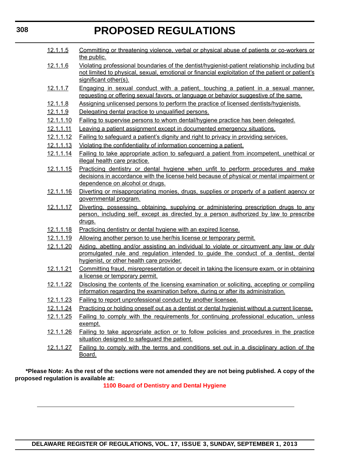| 12.1.1.5         | Committing or threatening violence, verbal or physical abuse of patients or co-workers or<br>the public.                                                                                                                    |  |
|------------------|-----------------------------------------------------------------------------------------------------------------------------------------------------------------------------------------------------------------------------|--|
| 12.1.1.6         | Violating professional boundaries of the dentist/hygienist-patient relationship including but<br>not limited to physical, sexual, emotional or financial exploitation of the patient or patient's<br>significant other(s).  |  |
| 12.1.1.7         | Engaging in sexual conduct with a patient, touching a patient in a sexual manner,<br>requesting or offering sexual favors, or language or behavior suggestive of the same.                                                  |  |
| <u>12.1.1.8</u>  | Assigning unlicensed persons to perform the practice of licensed dentists/hygienists.                                                                                                                                       |  |
| 12.1.1.9         | Delegating dental practice to unqualified persons.                                                                                                                                                                          |  |
| 12.1.1.10        | <b>Failing to supervise persons to whom dental/hygiene practice has been delegated.</b>                                                                                                                                     |  |
| 12.1.1.11        | Leaving a patient assignment except in documented emergency situations.                                                                                                                                                     |  |
| 12.1.1.12        | <b>Failing to safeguard a patient's dignity and right to privacy in providing services.</b>                                                                                                                                 |  |
| 12.1.1.13        | Violating the confidentiality of information concerning a patient.                                                                                                                                                          |  |
| 12.1.1.14        | <b>Failing to take appropriate action to safeguard a patient from incompetent, unethical or</b><br>illegal health care practice.                                                                                            |  |
| 12.1.1.15        | Practicing dentistry or dental hygiene when unfit to perform procedures and make<br>decisions in accordance with the license held because of physical or mental impairment or<br>dependence on alcohol or drugs.            |  |
| 12.1.1.16        | Diverting or misappropriating monies, drugs, supplies or property of a patient agency or<br>governmental program.                                                                                                           |  |
| 12.1.1.17        | Diverting, possessing, obtaining, supplying or administering prescription drugs to any                                                                                                                                      |  |
|                  | person, including self, except as directed by a person authorized by law to prescribe                                                                                                                                       |  |
|                  | <u>drugs.</u>                                                                                                                                                                                                               |  |
| 12.1.1.18        | Practicing dentistry or dental hygiene with an expired license.                                                                                                                                                             |  |
| 12.1.1.19        | Allowing another person to use her/his license or temporary permit.                                                                                                                                                         |  |
| 12.1.1.20        | Aiding, abetting and/or assisting an individual to violate or circumvent any law or duly<br>promulgated rule and regulation intended to guide the conduct of a dentist, dental<br>hygienist, or other health care provider. |  |
| 12.1.1.21        | Committing fraud, misrepresentation or deceit in taking the licensure exam, or in obtaining<br>a license or temporary permit.                                                                                               |  |
| 12.1.1.22        | Disclosing the contents of the licensing examination or soliciting, accepting or compiling<br>information regarding the examination before, during or after its administration.                                             |  |
| 12.1.1.23        | Failing to report unprofessional conduct by another licensee.                                                                                                                                                               |  |
| 12.1.1.24        | Practicing or holding oneself out as a dentist or dental hygienist without a current license.                                                                                                                               |  |
| 12.1.1.25        | Failing to comply with the requirements for continuing professional education, unless<br>exempt.                                                                                                                            |  |
| <u>12.1.1.26</u> | <b>Failing to take appropriate action or to follow policies and procedures in the practice</b><br>situation designed to safeguard the patient.                                                                              |  |
| <u>12.1.1.27</u> | Failing to comply with the terms and conditions set out in a disciplinary action of the<br>Board.                                                                                                                           |  |

**\*Please Note: As the rest of the sections were not amended they are not being published. A copy of the proposed regulation is available at:**

**[1100 Board of Dentistry and Dental Hygiene](http://regulations.delaware.gov/register/september2013/proposed/17 DE Reg 307 09-01-13.pdf)**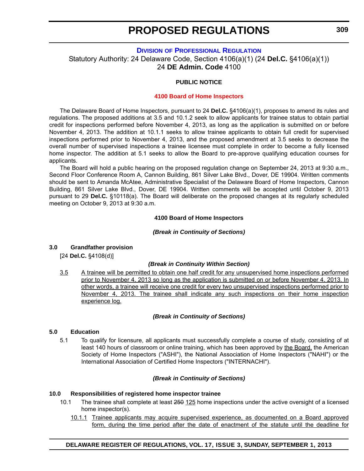### **DIVISION [OF PROFESSIONAL REGULATION](http://dpr.delaware.gov/)**

Statutory Authority: 24 Delaware Code, Section 4106(a)(1) (24 **Del.C.** §4106(a)(1)) 24 **DE Admin. Code** 4100

#### **PUBLIC NOTICE**

#### **[4100 Board of Home Inspectors](#page-3-0)**

The Delaware Board of Home Inspectors, pursuant to 24 **Del.C.** §4106(a)(1), proposes to amend its rules and regulations. The proposed additions at 3.5 and 10.1.2 seek to allow applicants for trainee status to obtain partial credit for inspections performed before November 4, 2013, as long as the application is submitted on or before November 4, 2013. The addition at 10.1.1 seeks to allow trainee applicants to obtain full credit for supervised inspections performed prior to November 4, 2013, and the proposed amendment at 3.5 seeks to decrease the overall number of supervised inspections a trainee licensee must complete in order to become a fully licensed home inspector. The addition at 5.1 seeks to allow the Board to pre-approve qualifying education courses for applicants.

The Board will hold a public hearing on the proposed regulation change on September 24, 2013 at 9:30 a.m., Second Floor Conference Room A, Cannon Building, 861 Silver Lake Blvd., Dover, DE 19904. Written comments should be sent to Amanda McAtee, Administrative Specialist of the Delaware Board of Home Inspectors, Cannon Building, 861 Silver Lake Blvd., Dover, DE 19904. Written comments will be accepted until October 9, 2013 pursuant to 29 **Del.C.** §10118(a). The Board will deliberate on the proposed changes at its regularly scheduled meeting on October 9, 2013 at 9:30 a.m.

#### **4100 Board of Home Inspectors**

#### *(Break in Continuity of Sections)*

#### **3.0 Grandfather provision**

[24 **Del.C.** §4108(d)]

#### *(Break in Continuity Within Section)*

3.5 A trainee will be permitted to obtain one half credit for any unsupervised home inspections performed prior to November 4, 2013 so long as the application is submitted on or before November 4, 2013. In other words, a trainee will receive one credit for every two unsupervised inspections performed prior to November 4, 2013. The trainee shall indicate any such inspections on their home inspection experience log.

#### *(Break in Continuity of Sections)*

#### **5.0 Education**

5.1 To qualify for licensure, all applicants must successfully complete a course of study, consisting of at least 140 hours of classroom or online training, which has been approved by the Board, the American Society of Home Inspectors ("ASHI"), the National Association of Home Inspectors ("NAHI") or the International Association of Certified Home Inspectors ("INTERNACHI").

#### *(Break in Continuity of Sections)*

#### **10.0 Responsibilities of registered home inspector trainee**

- 10.1 The trainee shall complete at least 250 125 home inspections under the active oversight of a licensed home inspector(s).
	- 10.1.1 Trainee applicants may acquire supervised experience, as documented on a Board approved form, during the time period after the date of enactment of the statute until the deadline for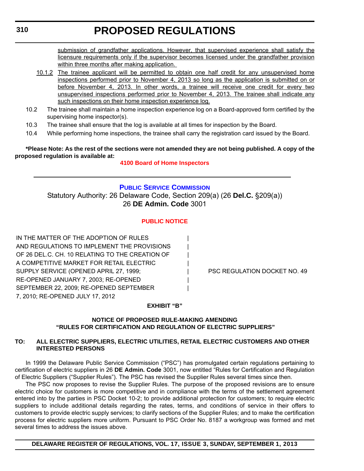submission of grandfather applications. However, that supervised experience shall satisfy the licensure requirements only if the supervisor becomes licensed under the grandfather provision within three months after making application.

10.1.2 The trainee applicant will be permitted to obtain one half credit for any unsupervised home inspections performed prior to November 4, 2013 so long as the application is submitted on or before November 4, 2013. In other words, a trainee will receive one credit for every two unsupervised inspections performed prior to November 4, 2013. The trainee shall indicate any such inspections on their home inspection experience log.

**PROPOSED REGULATIONS**

- 10.2 The trainee shall maintain a home inspection experience log on a Board-approved form certified by the supervising home inspector(s).
- 10.3 The trainee shall ensure that the log is available at all times for inspection by the Board.
- 10.4 While performing home inspections, the trainee shall carry the registration card issued by the Board.

**\*Please Note: As the rest of the sections were not amended they are not being published. A copy of the proposed regulation is available at:**

# **[4100 Board of Home Inspectors](http://regulations.delaware.gov/register/september2013/proposed/17 DE Reg 309 09-01-13.pdf)**

# **[PUBLIC SERVICE COMMISSION](http://depsc.delaware.gov/)** Statutory Authority: 26 Delaware Code, Section 209(a) (26 **Del.C.** §209(a)) 26 **DE Admin. Code** 3001

# **[PUBLIC NOTICE](#page-3-0)**

IN THE MATTER OF THE ADOPTION OF RULES AND REGULATIONS TO IMPLEMENT THE PROVISIONS OF 26 DEL.C. CH. 10 RELATING TO THE CREATION OF A COMPETITIVE MARKET FOR RETAIL ELECTRIC SUPPLY SERVICE (OPENED APRIL 27, 1999; Facebook and the PSC REGULATION DOCKET NO. 49 RE-OPENED JANUARY 7, 2003; RE-OPENED | SEPTEMBER 22, 2009; RE-OPENED SEPTEMBER 7, 2010; RE-OPENED JULY 17, 2012

# **EXHIBIT "B"**

# **NOTICE OF PROPOSED RULE-MAKING AMENDING "RULES FOR CERTIFICATION AND REGULATION OF ELECTRIC SUPPLIERS"**

# **TO: ALL ELECTRIC SUPPLIERS, ELECTRIC UTILITIES, RETAIL ELECTRIC CUSTOMERS AND OTHER INTERESTED PERSONS**

In 1999 the Delaware Public Service Commission ("PSC") has promulgated certain regulations pertaining to certification of electric suppliers in 26 **DE Admin. Code** 3001, now entitled "Rules for Certification and Regulation of Electric Suppliers ("Supplier Rules"). The PSC has revised the Supplier Rules several times since then.

The PSC now proposes to revise the Supplier Rules. The purpose of the proposed revisions are to ensure electric choice for customers is more competitive and in compliance with the terms of the settlement agreement entered into by the parties in PSC Docket 10-2; to provide additional protection for customers; to require electric suppliers to include additional details regarding the rates, terms, and conditions of service in their offers to customers to provide electric supply services; to clarify sections of the Supplier Rules; and to make the certification process for electric suppliers more uniform. Pursuant to PSC Order No. 8187 a workgroup was formed and met several times to address the issues above.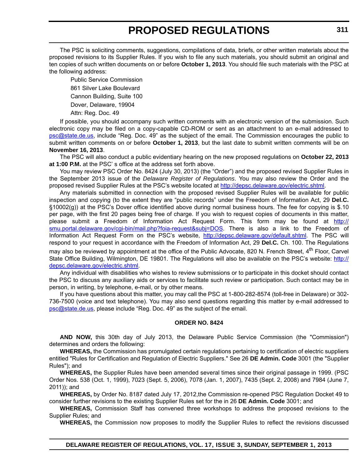The PSC is soliciting comments, suggestions, compilations of data, briefs, or other written materials about the proposed revisions to its Supplier Rules. If you wish to file any such materials, you should submit an original and ten copies of such written documents on or before **October 1, 2013**. You should file such materials with the PSC at the following address:

Public Service Commission 861 Silver Lake Boulevard Cannon Building, Suite 100 Dover, Delaware, 19904 Attn: Reg. Doc. 49

If possible, you should accompany such written comments with an electronic version of the submission. Such electronic copy may be filed on a copy-capable CD-ROM or sent as an attachment to an e-mail addressed to [psc@state.de.us](mailto:psc@state.de.us), include "Reg. Doc. 49" as the subject of the email. The Commission encourages the public to submit written comments on or before **October 1, 2013**, but the last date to submit written comments will be on **November 16, 2013**.

The PSC will also conduct a public evidentiary hearing on the new proposed regulations on **October 22, 2013 at 1:00 P.M.** at the PSC' s office at the address set forth above.

You may review PSC Order No. 8424 (July 30, 2013) (the "Order") and the proposed revised Supplier Rules in the September 2013 issue of the *Delaware Register of Regulations*. You may also review the Order and the proposed revised Supplier Rules at the PSC's website located at [http://depsc.delaware.gov/electric.shtml.](http://depsc.delaware.gov/electric.shtml)

Any materials submitted in connection with the proposed revised Supplier Rules will be available for public inspection and copying (to the extent they are "public records" under the Freedom of Information Act, 29 **Del.C.** §10002(g)) at the PSC's Dover office identified above during normal business hours. The fee for copying is \$.10 per page, with the first 20 pages being free of charge. If you wish to request copies of documents in this matter, please submit a Freedom of Information Act Request Form. This form may be found at [http://](http://smu.portal.delaware.gov/cgi-bin/mail.php?foia-request&subj=DOS) [smu.portal.delaware.gov/cgi-bin/mail.php?foia-request&subj=DOS](http://smu.portal.delaware.gov/cgi-bin/mail.php?foia-request&subj=DOS). There is also a link to the Freedom of Information Act Request Form on the PSC's website, <http://depsc.delaware.gov/default.shtml>. The PSC will respond to your request in accordance with the Freedom of Information Act, 29 **Del.C.** Ch. 100. The Regulations may also be reviewed by appointment at the office of the Public Advocate, 820 N. French Street, 4<sup>th</sup> Floor, Carvel State Office Building, Wilmington, DE 19801. The Regulations will also be available on the PSC's website: [http://](http://depsc.delaware.gov/electric.shtml) [depsc.delaware.gov/electric.shtml.](http://depsc.delaware.gov/electric.shtml)

Any individual with disabilities who wishes to review submissions or to participate in this docket should contact the PSC to discuss any auxiliary aids or services to facilitate such review or participation. Such contact may be in person, in writing, by telephone, e-mail, or by other means.

If you have questions about this matter, you may call the PSC at 1-800-282-8574 (toll-free in Delaware) or 302- 736-7500 (voice and text telephone). You may also send questions regarding this matter by e-mail addressed to [psc@state.de.us](mailto:psc@state.de.us), please include "Reg. Doc. 49" as the subject of the email.

#### **ORDER NO. 8424**

**AND NOW,** this 30th day of July 2013, the Delaware Public Service Commission (the "Commission") determines and orders the following:

**WHEREAS,** the Commission has promulgated certain regulations pertaining to certification of electric suppliers entitled "Rules for Certification and Regulation of Electric Suppliers." See 26 **DE Admin. Code** 3001 (the "Supplier Rules"); and

**WHEREAS,** the Supplier Rules have been amended several times since their original passage in 1999. (PSC Order Nos. 538 (Oct. 1, 1999), 7023 (Sept. 5, 2006), 7078 (Jan. 1, 2007), 7435 (Sept. 2, 2008) and 7984 (June 7, 2011)); and

**WHEREAS,** by Order No. 8187 dated July 17, 2012,the Commission re-opened PSC Regulation Docket 49 to consider further revisions to the existing Supplier Rules set for the in 26 **DE Admin. Code** 3001; and

**WHEREAS,** Commission Staff has convened three workshops to address the proposed revisions to the Supplier Rules; and

**WHEREAS,** the Commission now proposes to modify the Supplier Rules to reflect the revisions discussed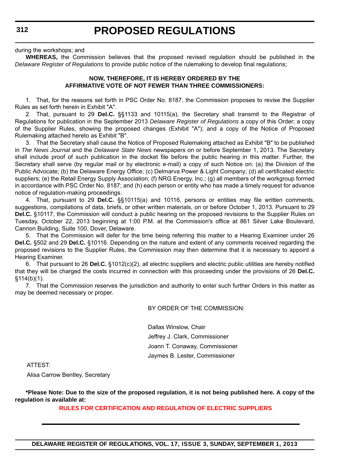#### during the workshops; and

**WHEREAS,** the Commission believes that the proposed revised regulation should be published in the *Delaware Register of Regulations* to provide public notice of the rulemaking to develop final regulations;

#### **NOW, THEREFORE, IT IS HEREBY ORDERED BY THE AFFIRMATIVE VOTE OF NOT FEWER THAN THREE COMMISSIONERS:**

1. That, for the reasons set forth in PSC Order No. 8187, the Commission proposes to revise the Supplier Rules as set forth herein in Exhibit "A".

2. That, pursuant to 29 **Del.C.** §§1133 and 10115(a), the Secretary shall transmit to the Registrar of Regulations for publication in the September 2013 *Delaware Register of Regulations* a copy of this Order; a copy of the Supplier Rules, showing the proposed changes (Exhibit "A"); and a copy of the Notice of Proposed Rulemaking attached hereto as Exhibit "B".

3. That the Secretary shall cause the Notice of Proposed Rulemaking attached as Exhibit "B" to be published in *The News Journal* and the *Delaware State News* newspapers on or before September 1, 2013. The Secretary shall include proof of such publication in the docket file before the public hearing in this matter. Further, the Secretary shall serve (by regular mail or by electronic e-mail) a copy of such Notice on: (a) the Division of the Public Advocate; (b) the Delaware Energy Office; (c) Delmarva Power & Light Company; (d) all certificated electric suppliers; (e) the Retail Energy Supply Association; (f) NRG Energy, Inc.; (g) all members of the workgroup formed in accordance with PSC Order No. 8187; and (h) each person or entity who has made a timely request for advance notice of regulation-making proceedings.

4. That, pursuant to 29 **Del.C.** §§10115(a) and 10116, persons or entities may file written comments, suggestions, compilations of data, briefs, or other written materials, on or before October 1, 2013. Pursuant to 29 **Del.C.** §10117, the Commission will conduct a public hearing on the proposed revisions to the Supplier Rules on Tuesday, October 22, 2013 beginning at 1:00 P.M. at the Commission's office at 861 Silver Lake Boulevard, Cannon Building, Suite 100, Dover, Delaware.

5. That the Commission will defer for the time being referring this matter to a Hearing Examiner under 26 **Del.C.** §502 and 29 **Del.C.** §10116. Depending on the nature and extent of any comments received regarding the proposed revisions to the Supplier Rules, the Commission may then determine that it is necessary to appoint a Hearing Examiner.

6. That pursuant to 26 **Del.C.** §1012(c)(2), all electric suppliers and electric public utilities are hereby notified that they will be charged the costs incurred in connection with this proceeding under the provisions of 26 **Del.C.**  $$114(b)(1)$ .

7. That the Commission reserves the jurisdiction and authority to enter such further Orders in this matter as may be deemed necessary or proper.

BY ORDER OF THE COMMISSION:

Dallas Winslow, Chair Jeffrey J. Clark, Commissioner Joann T. Conaway, Commissioner Jaymes B. Lester, Commissioner

ATTEST:

Alisa Carrow Bentley, Secretary

**\*Please Note: Due to the size of the proposed regulation, it is not being published here. A copy of the regulation is available at:**

**[RULES FOR CERTIFICATION AND REGULATION OF ELECTRIC SUPPLIERS](http://regulations.delaware.gov/register/september2013/proposed/17 DE Reg 310 09-01-13.htm)**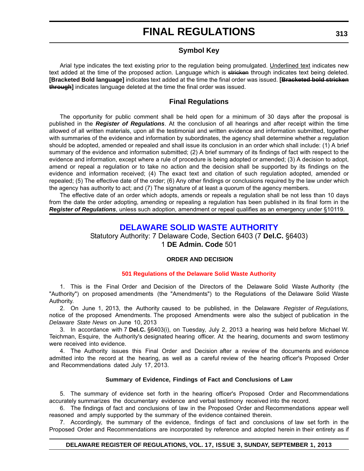# **Symbol Key**

Arial type indicates the text existing prior to the regulation being promulgated. Underlined text indicates new text added at the time of the proposed action. Language which is stricken through indicates text being deleted. **[Bracketed Bold language]** indicates text added at the time the final order was issued. **[Bracketed bold stricken through]** indicates language deleted at the time the final order was issued.

# **Final Regulations**

The opportunity for public comment shall be held open for a minimum of 30 days after the proposal is published in the *Register of Regulations*. At the conclusion of all hearings and after receipt within the time allowed of all written materials, upon all the testimonial and written evidence and information submitted, together with summaries of the evidence and information by subordinates, the agency shall determine whether a regulation should be adopted, amended or repealed and shall issue its conclusion in an order which shall include: (1) A brief summary of the evidence and information submitted; (2) A brief summary of its findings of fact with respect to the evidence and information, except where a rule of procedure is being adopted or amended; (3) A decision to adopt, amend or repeal a regulation or to take no action and the decision shall be supported by its findings on the evidence and information received; (4) The exact text and citation of such regulation adopted, amended or repealed; (5) The effective date of the order; (6) Any other findings or conclusions required by the law under which the agency has authority to act; and (7) The signature of at least a quorum of the agency members.

The effective date of an order which adopts, amends or repeals a regulation shall be not less than 10 days from the date the order adopting, amending or repealing a regulation has been published in its final form in the *Register of Regulations*, unless such adoption, amendment or repeal qualifies as an emergency under §10119.

# **[DELAWARE SOLID WASTE AUTHORITY](http://www.dswa.com/)**

Statutory Authority: 7 Delaware Code, Section 6403 (7 **Del.C.** §6403) 1 **DE Admin. Code** 501

#### **ORDER AND DECISION**

# **[501 Regulations of the Delaware Solid Waste Authority](#page-3-0)**

1. This is the Final Order and Decision of the Directors of the Delaware Solid Waste Authority (the "Authority") on proposed amendments (the "Amendments") to the Regulations of the Delaware Solid Waste Authority.

2. On June 1, 2013, the Authority caused to be published, in the Delaware *Register of Regulations,* notice of the proposed Amendments. The proposed Amendments were also the subject of publication in the *Delaware State News* on June 10, 2013

3. In accordance with 7 **Del.C.** §6403(i), on Tuesday, July 2, 2013 a hearing was held before Michael W. Teichman, Esquire, the Authority's designated hearing officer. At the hearing, documents and sworn testimony were received into evidence.

4. The Authority issues this Final Order and Decision after a review of the documents and evidence admitted into the record at the hearing, as well as a careful review of the hearing officer's Proposed Order and Recommendations dated July 17, 2013.

#### **Summary of Evidence, Findings of Fact and Conclusions of Law**

5. The summary of evidence set forth in the hearing officer's Proposed Order and Recommendations accurately summarizes the documentary evidence and verbal testimony received into the record.

6. The findings of fact and conclusions of law in the Proposed Order and Recommendations appear well reasoned and amply supported by the summary of the evidence contained therein.

7. Accordingly, the summary of the evidence, findings of fact and conclusions of law set forth in the Proposed Order and Recommendations are incorporated by reference and adopted herein in their entirety as if

#### **DELAWARE REGISTER OF REGULATIONS, VOL. 17, ISSUE 3, SUNDAY, SEPTEMBER 1, 2013**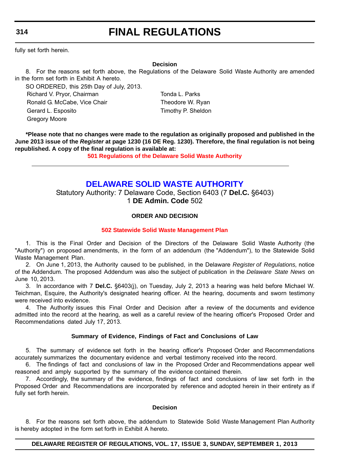**314**

# **FINAL REGULATIONS**

fully set forth herein.

#### **Decision**

8. For the reasons set forth above, the Regulations of the Delaware Solid Waste Authority are amended in the form set forth in Exhibit A hereto.

SO ORDERED, this 25th Day of July, 2013. Richard V. Pryor, Chairman Tonda L. Parks Ronald G. McCabe, Vice Chair Theodore W. Ryan Gerard L. Esposito **Timothy P. Sheldon** Gregory Moore

**\*Please note that no changes were made to the regulation as originally proposed and published in the June 2013 issue of the** *Register* **at page 1230 (16 DE Reg. 1230). Therefore, the final regulation is not being republished. A copy of the final regulation is available at:**

**[501 Regulations of the Delaware Solid Waste Authority](http://regulations.delaware.gov/register/september2013/final/17 DE Reg 313 09-01-13.htm)**

# **[DELAWARE SOLID WASTE AUTHORITY](http://www.dswa.com/)**

Statutory Authority: 7 Delaware Code, Section 6403 (7 **Del.C.** §6403) 1 **DE Admin. Code** 502

# **ORDER AND DECISION**

#### **[502 Statewide Solid Waste Management Plan](#page-3-0)**

1. This is the Final Order and Decision of the Directors of the Delaware Solid Waste Authority (the "Authority") on proposed amendments, in the form of an addendum (the "Addendum"), to the Statewide Solid Waste Management Plan.

2. On June 1, 2013, the Authority caused to be published, in the Delaware *Register of Regulations,* notice of the Addendum. The proposed Addendum was also the subject of publication in the *Delaware State News* on June 10, 2013.

3. In accordance with 7 **Del.C.** §6403(j), on Tuesday, July 2, 2013 a hearing was held before Michael W. Teichman, Esquire, the Authority's designated hearing officer. At the hearing, documents and sworn testimony were received into evidence.

4. The Authority issues this Final Order and Decision after a review of the documents and evidence admitted into the record at the hearing, as well as a careful review of the hearing officer's Proposed Order and Recommendations dated July 17, 2013.

#### **Summary of Evidence, Findings of Fact and Conclusions of Law**

5. The summary of evidence set forth in the hearing officer's Proposed Order and Recommendations accurately summarizes the documentary evidence and verbal testimony received into the record.

6. The findings of fact and conclusions of law in the Proposed Order and Recommendations appear well reasoned and amply supported by the summary of the evidence contained therein.

7. Accordingly, the summary of the evidence, findings of fact and conclusions of law set forth in the Proposed Order and Recommendations are incorporated by reference and adopted herein in their entirety as if fully set forth herein.

#### **Decision**

8. For the reasons set forth above, the addendum to Statewide Solid Waste Management Plan Authority is hereby adopted in the form set forth in Exhibit A hereto.

#### **DELAWARE REGISTER OF REGULATIONS, VOL. 17, ISSUE 3, SUNDAY, SEPTEMBER 1, 2013**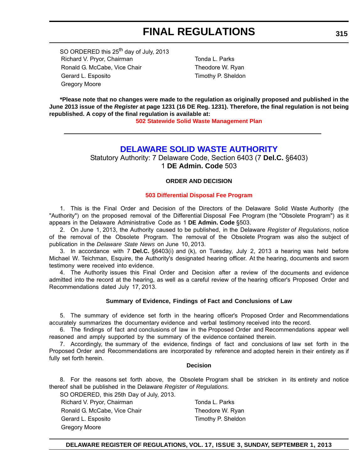SO ORDERED this 25<sup>th</sup> day of July, 2013 Richard V. Pryor, Chairman Tonda L. Parks Ronald G. McCabe, Vice Chair Theodore W. Ryan Gerard L. Esposito **Timothy P. Sheldon** Gregory Moore

**\*Please note that no changes were made to the regulation as originally proposed and published in the June 2013 issue of the** *Register* **at page 1231 (16 DE Reg. 1231). Therefore, the final regulation is not being republished. A copy of the final regulation is available at:**

**[502 Statewide Solid Waste Management Plan](http://regulations.delaware.gov/register/september2013/final/17 DE Reg 314 09-01-13.htm)**

# **[DELAWARE SOLID WASTE AUTHORITY](http://www.dswa.com/)**

Statutory Authority: 7 Delaware Code, Section 6403 (7 **Del.C.** §6403) 1 **DE Admin. Code** 503

#### **ORDER AND DECISION**

#### **[503 Differential Disposal Fee Program](#page-3-0)**

1. This is the Final Order and Decision of the Directors of the Delaware Solid Waste Authority (the "Authority") on the proposed removal of the Differential Disposal Fee Program (the "Obsolete Program") as it appears in the Delaware Administrative Code as 1 **DE Admin. Code** §503.

2. On June 1, 2013, the Authority caused to be published, in the Delaware *Register of Regulations*, notice of the removal of the Obsolete Program. The removal of the Obsolete Program was also the subject of publication in the *Delaware State News* on June 10, 2013.

3. In accordance with 7 **Del.C.** §6403(i) and (k), on Tuesday, July 2, 2013 a hearing was held before Michael W. Teichman, Esquire, the Authority's designated hearing officer. At the hearing, documents and sworn testimony were received into evidence.

4. The Authority issues this Final Order and Decision after a review of the documents and evidence admitted into the record at the hearing, as well as a careful review of the hearing officer's Proposed Order and Recommendations dated July 17, 2013.

#### **Summary of Evidence, Findings of Fact and Conclusions of Law**

5. The summary of evidence set forth in the hearing officer's Proposed Order and Recommendations accurately summarizes the documentary evidence and verbal testimony received into the record.

6. The findings of fact and conclusions of law in the Proposed Order and Recommendations appear well reasoned and amply supported by the summary of the evidence contained therein.

7. Accordingly, the summary of the evidence, findings of fact and conclusions of law set forth in the Proposed Order and Recommendations are incorporated by reference and adopted herein in their entirety as if fully set forth herein.

#### **Decision**

8. For the reasons set forth above, the Obsolete Program shall be stricken in its entirety and notice thereof shall be published in the Delaware *Register of Regulations.*

SO ORDERED, this 25th Day of July, 2013.

Richard V. Pryor, Chairman Tonda L. Parks Ronald G. McCabe, Vice Chair Theodore W. Ryan Gerard L. Esposito Timothy P. Sheldon Gregory Moore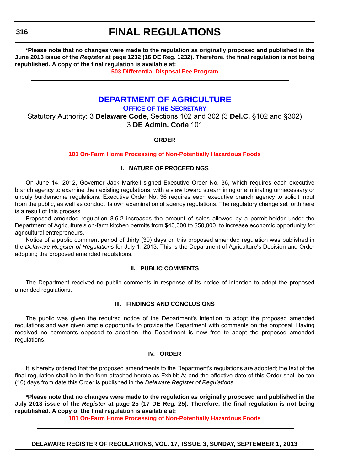**\*Please note that no changes were made to the regulation as originally proposed and published in the June 2013 issue of the** *Register* **at page 1232 (16 DE Reg. 1232). Therefore, the final regulation is not being republished. A copy of the final regulation is available at:**

**[503 Differential Disposal Fee Program](http://regulations.delaware.gov/register/september2013/final/17 DE Reg 315 09-01-13.htm)**

# **[DEPARTMENT OF AGRICULTURE](http://dda.delaware.gov/)**

**OFFICE OF THE SECRETARY**

Statutory Authority: 3 **Delaware Code**, Sections 102 and 302 (3 **Del.C.** §102 and §302) 3 **DE Admin. Code** 101

#### **ORDER**

#### **[101 On-Farm Home Processing of Non-Potentially Hazardous Foods](#page-3-0)**

#### **I. NATURE OF PROCEEDINGS**

On June 14, 2012, Governor Jack Markell signed Executive Order No. 36, which requires each executive branch agency to examine their existing regulations, with a view toward streamlining or eliminating unnecessary or unduly burdensome regulations. Executive Order No. 36 requires each executive branch agency to solicit input from the public, as well as conduct its own examination of agency regulations. The regulatory change set forth here is a result of this process.

Proposed amended regulation 8.6.2 increases the amount of sales allowed by a permit-holder under the Department of Agriculture's on-farm kitchen permits from \$40,000 to \$50,000, to increase economic opportunity for agricultural entrepreneurs.

Notice of a public comment period of thirty (30) days on this proposed amended regulation was published in the *Delaware Register of Regulations* for July 1, 2013. This is the Department of Agriculture's Decision and Order adopting the proposed amended regulations.

#### **II. PUBLIC COMMENTS**

The Department received no public comments in response of its notice of intention to adopt the proposed amended regulations.

#### **III. FINDINGS AND CONCLUSIONS**

The public was given the required notice of the Department's intention to adopt the proposed amended regulations and was given ample opportunity to provide the Department with comments on the proposal. Having received no comments opposed to adoption, the Department is now free to adopt the proposed amended regulations.

#### **IV. ORDER**

It is hereby ordered that the proposed amendments to the Department's regulations are adopted; the text of the final regulation shall be in the form attached hereto as Exhibit A; and the effective date of this Order shall be ten (10) days from date this Order is published in the *Delaware Register of Regulations*.

**\*Please note that no changes were made to the regulation as originally proposed and published in the July 2013 issue of the** *Register* **at page 25 (17 DE Reg. 25). Therefore, the final regulation is not being republished. A copy of the final regulation is available at:**

**[101 On-Farm Home Processing of Non-Potentially Hazardous Foods](http://regulations.delaware.gov/register/september2013/final/17 DE Reg 316 09-01-13.htm)**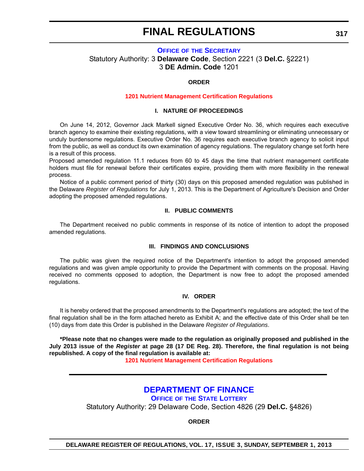# **OFFICE OF [THE SECRETARY](http://dda.delaware.gov/)** Statutory Authority: 3 **Delaware Code**, Section 2221 (3 **Del.C.** §2221) 3 **DE Admin. Code** 1201

#### **ORDER**

#### **[1201 Nutrient Management Certification Regulations](#page-3-0)**

#### **I. NATURE OF PROCEEDINGS**

On June 14, 2012, Governor Jack Markell signed Executive Order No. 36, which requires each executive branch agency to examine their existing regulations, with a view toward streamlining or eliminating unnecessary or unduly burdensome regulations. Executive Order No. 36 requires each executive branch agency to solicit input from the public, as well as conduct its own examination of agency regulations. The regulatory change set forth here is a result of this process.

Proposed amended regulation 11.1 reduces from 60 to 45 days the time that nutrient management certificate holders must file for renewal before their certificates expire, providing them with more flexibility in the renewal process.

Notice of a public comment period of thirty (30) days on this proposed amended regulation was published in the Delaware *Register of Regulations* for July 1, 2013. This is the Department of Agriculture's Decision and Order adopting the proposed amended regulations.

#### **II. PUBLIC COMMENTS**

The Department received no public comments in response of its notice of intention to adopt the proposed amended regulations.

#### **III. FINDINGS AND CONCLUSIONS**

The public was given the required notice of the Department's intention to adopt the proposed amended regulations and was given ample opportunity to provide the Department with comments on the proposal. Having received no comments opposed to adoption, the Department is now free to adopt the proposed amended regulations.

#### **IV. ORDER**

It is hereby ordered that the proposed amendments to the Department's regulations are adopted; the text of the final regulation shall be in the form attached hereto as Exhibit A; and the effective date of this Order shall be ten (10) days from date this Order is published in the Delaware *Register of Regulations*.

**\*Please note that no changes were made to the regulation as originally proposed and published in the July 2013 issue of the** *Register* **at page 28 (17 DE Reg. 28). Therefore, the final regulation is not being republished. A copy of the final regulation is available at:**

**[1201 Nutrient Management Certification Regulations](http://regulations.delaware.gov/register/september2013/final/17 DE Reg 317 09-01-13.htm)**

# **[DEPARTMENT OF FINANCE](http://www.delottery.com/index.asp)**

# **OFFICE OF THE STATE LOTTERY**

Statutory Authority: 29 Delaware Code, Section 4826 (29 **Del.C.** §4826)

**ORDER**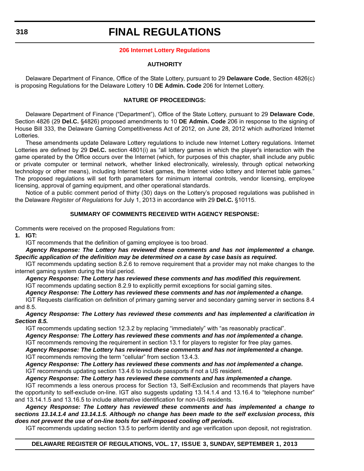#### **[206 Internet Lottery Regulations](#page-4-0)**

#### **AUTHORITY**

Delaware Department of Finance, Office of the State Lottery, pursuant to 29 **Delaware Code**, Section 4826(c) is proposing Regulations for the Delaware Lottery 10 **DE Admin. Code** 206 for Internet Lottery.

#### **NATURE OF PROCEEDINGS:**

Delaware Department of Finance ("Department"), Office of the State Lottery, pursuant to 29 **Delaware Code**, Section 4826 (29 **Del.C.** §4826) proposed amendments to 10 **DE Admin. Code** 206 in response to the signing of House Bill 333, the Delaware Gaming Competitiveness Act of 2012, on June 28, 2012 which authorized Internet Lotteries.

These amendments update Delaware Lottery regulations to include new Internet Lottery regulations. Internet Lotteries are defined by 29 **Del.C.** section 4801(i) as "all lottery games in which the player's interaction with the game operated by the Office occurs over the Internet (which, for purposes of this chapter, shall include any public or private computer or terminal network, whether linked electronically, wirelessly, through optical networking technology or other means), including Internet ticket games, the Internet video lottery and Internet table games." The proposed regulations will set forth parameters for minimum internal controls, vendor licensing, employee licensing, approval of gaming equipment, and other operational standards.

Notice of a public comment period of thirty (30) days on the Lottery's proposed regulations was published in the Delaware *Register of Regulations* for July 1, 2013 in accordance with 29 **Del.C.** §10115.

### **SUMMARY OF COMMENTS RECEIVED WITH AGENCY RESPONSE:**

Comments were received on the proposed Regulations from:

**1. IGT:**

IGT recommends that the definition of gaming employee is too broad.

*Agency Response: The Lottery has reviewed these comments and has not implemented a change. Specific application of the definition may be determined on a case by case basis as required.*

IGT recommends updating section 8.2.6 to remove requirement that a provider may not make changes to the internet gaming system during the trial period.

*Agency Response: The Lottery has reviewed these comments and has modified this requirement.* IGT recommends updating section 8.2.9 to explicitly permit exceptions for social gaming sites.

*Agency Response: The Lottery has reviewed these comments and has not implemented a change.*

IGT Requests clarification on definition of primary gaming server and secondary gaming server in sections 8.4 and 8.5.

*Agency Response: The Lottery has reviewed these comments and has implemented a clarification in Section 8.5.*

IGT recommends updating section 12.3.2 by replacing "immediately" with "as reasonably practical".

*Agency Response: The Lottery has reviewed these comments and has not implemented a change.* IGT recommends removing the requirement in section 13.1 for players to register for free play games.

*Agency Response: The Lottery has reviewed these comments and has not implemented a change.* IGT recommends removing the term "cellular" from section 13.4.3.

*Agency Response: The Lottery has reviewed these comments and has not implemented a change.* IGT recommends updating section 13.4.6 to include passports if not a US resident.

*Agency Response: The Lottery has reviewed these comments and has implemented a change.*

IGT recommends a less onerous process for Section 13, Self-Exclusion and recommends that players have the opportunity to self-exclude on-line. IGT also suggests updating 13.14.1.4 and 13.16.4 to "telephone number" and 13.14.1.5 and 13.16.5 to include alternative identification for non-US residents.

*Agency Response: The Lottery has reviewed these comments and has implemented a change to sections 13.14.1.4 and 13.14.1.5. Although no change has been made to the self exclusion process, this does not prevent the use of on-line tools for self-imposed cooling off periods.*

IGT recommends updating section 13.5 to perform identity and age verification upon deposit, not registration.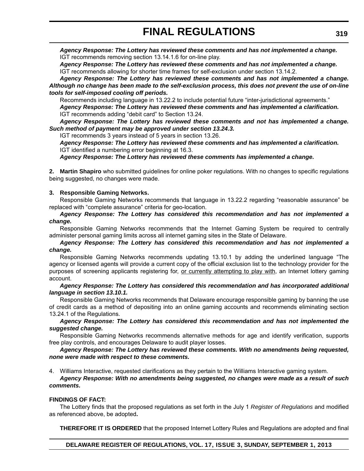*Agency Response: The Lottery has reviewed these comments and has not implemented a change.* IGT recommends removing section 13.14.1.6 for on-line play.

*Agency Response: The Lottery has reviewed these comments and has not implemented a change.* IGT recommends allowing for shorter time frames for self-exclusion under section 13.14.2.

*Agency Response: The Lottery has reviewed these comments and has not implemented a change. Although no change has been made to the self-exclusion process, this does not prevent the use of on-line tools for self-imposed cooling off periods.*

Recommends including language in 13.22.2 to include potential future "inter-jurisdictional agreements."

*Agency Response: The Lottery has reviewed these comments and has implemented a clarification.* IGT recommends adding "debit card" to Section 13.24.

*Agency Response: The Lottery has reviewed these comments and not has implemented a change. Such method of payment may be approved under section 13.24.3.*

IGT recommends 3 years instead of 5 years in section 13.26.

*Agency Response: The Lottery has reviewed these comments and has implemented a clarification.* IGT identified a numbering error beginning at 16.3.

*Agency Response: The Lottery has reviewed these comments has implemented a change.*

**2. Martin Shapiro** who submitted guidelines for online poker regulations. With no changes to specific regulations being suggested, no changes were made.

#### **3. Responsible Gaming Networks.**

Responsible Gaming Networks recommends that language in 13.22.2 regarding "reasonable assurance" be replaced with "complete assurance" criteria for geo-location.

*Agency Response: The Lottery has considered this recommendation and has not implemented a change.*

Responsible Gaming Networks recommends that the Internet Gaming System be required to centrally administer personal gaming limits across all internet gaming sites in the State of Delaware.

#### *Agency Response: The Lottery has considered this recommendation and has not implemented a change.*

Responsible Gaming Networks recommends updating 13.10.1 by adding the underlined language "The agency or licensed agents will provide a current copy of the official exclusion list to the technology provider for the purposes of screening applicants registering for, or currently attempting to play with, an Internet lottery gaming account.

#### *Agency Response: The Lottery has considered this recommendation and has incorporated additional language in section 13.10.1.*

Responsible Gaming Networks recommends that Delaware encourage responsible gaming by banning the use of credit cards as a method of depositing into an online gaming accounts and recommends eliminating section 13.24.1 of the Regulations.

# *Agency Response: The Lottery has considered this recommendation and has not implemented the suggested change.*

Responsible Gaming Networks recommends alternative methods for age and identify verification, supports free play controls, and encourages Delaware to audit player losses.

### *Agency Response: The Lottery has reviewed these comments. With no amendments being requested, none were made with respect to these comments.*

4. Williams Interactive, requested clarifications as they pertain to the Williams Interactive gaming system.

*Agency Response: With no amendments being suggested, no changes were made as a result of such comments.*

# **FINDINGS OF FACT:**

The Lottery finds that the proposed regulations as set forth in the July 1 *Register of Regulations* and modified as referenced above, be adopted**.**

**THEREFORE IT IS ORDERED** that the proposed Internet Lottery Rules and Regulations are adopted and final

# **DELAWARE REGISTER OF REGULATIONS, VOL. 17, ISSUE 3, SUNDAY, SEPTEMBER 1, 2013**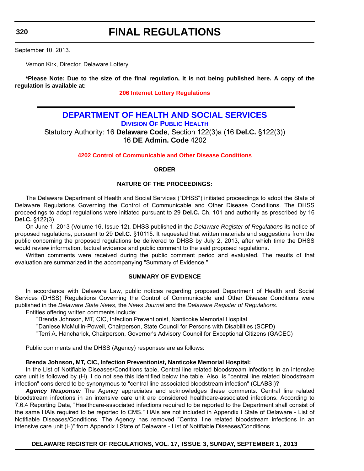**320**

# **FINAL REGULATIONS**

September 10, 2013.

Vernon Kirk, Director, Delaware Lottery

**\*Please Note: Due to the size of the final regulation, it is not being published here. A copy of the regulation is available at:**

### **[206 Internet Lottery Regulations](http://regulations.delaware.gov/register/september2013/final/17 DE Reg 317a 09-01-13.htm)**

# **[DEPARTMENT OF HEALTH AND SOCIAL SERVICES](http://www.dhss.delaware.gov/dhss/dph/index.html) DIVISION OF PUBLIC HEALTH** Statutory Authority: 16 **Delaware Code**, Section 122(3)a (16 **Del.C.** §122(3)) 16 **DE Admin. Code** 4202

#### **[4202 Control of Communicable and Other Disease Conditions](#page-4-0)**

#### **ORDER**

#### **NATURE OF THE PROCEEDINGS:**

The Delaware Department of Health and Social Services ("DHSS") initiated proceedings to adopt the State of Delaware Regulations Governing the Control of Communicable and Other Disease Conditions. The DHSS proceedings to adopt regulations were initiated pursuant to 29 **Del.C.** Ch. 101 and authority as prescribed by 16 **Del.C.** §122(3).

On June 1, 2013 (Volume 16, Issue 12), DHSS published in the *Delaware Register of Regulations* its notice of proposed regulations, pursuant to 29 **Del.C.** §10115. It requested that written materials and suggestions from the public concerning the proposed regulations be delivered to DHSS by July 2, 2013, after which time the DHSS would review information, factual evidence and public comment to the said proposed regulations.

Written comments were received during the public comment period and evaluated. The results of that evaluation are summarized in the accompanying "Summary of Evidence."

#### **SUMMARY OF EVIDENCE**

In accordance with Delaware Law, public notices regarding proposed Department of Health and Social Services (DHSS) Regulations Governing the Control of Communicable and Other Disease Conditions were published in the *Delaware State News*, the *News Journal* and the *Delaware Register of Regulations*. Entities offering written comments include:

"Brenda Johnson, MT, CIC, Infection Preventionist, Nanticoke Memorial Hospital

"Daniese McMullin-Powell, Chairperson, State Council for Persons with Disabilities (SCPD)

"Terri A. Hancharick, Chairperson, Governor's Advisory Council for Exceptional Citizens (GACEC)

Public comments and the DHSS (Agency) responses are as follows:

#### **Brenda Johnson, MT, CIC, Infection Preventionist, Nanticoke Memorial Hospital:**

In the List of Notifiable Diseases/Conditions table, Central line related bloodstream infections in an intensive care unit is followed by (H). I do not see this identified below the table. Also, is "central line related bloodstream infection" considered to be synonymous to "central line associated bloodstream infection" (CLABSI)?

*Agency Response:* The Agency appreciates and acknowledges these comments. Central line related bloodstream infections in an intensive care unit are considered healthcare-associated infections. According to 7.6.4 Reporting Data, "Healthcare-associated infections required to be reported to the Department shall consist of the same HAIs required to be reported to CMS." HAIs are not included in Appendix I State of Delaware - List of Notifiable Diseases/Conditions. The Agency has removed "Central line related bloodstream infections in an intensive care unit (H)" from Appendix I State of Delaware - List of Notifiable Diseases/Conditions.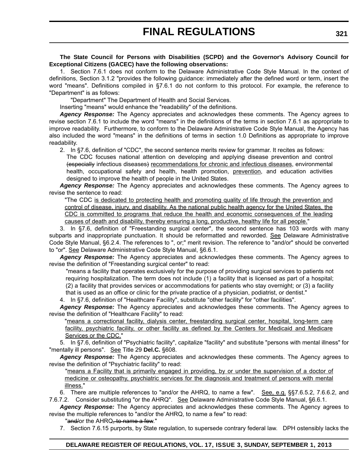**The State Council for Persons with Disabilities (SCPD) and the Governor's Advisory Council for Exceptional Citizens (GACEC) have the following observations:**

1. Section 7.6.1 does not conform to the Delaware Administrative Code Style Manual. In the context of definitions, Section 3.1.2 "provides the following guidance: immediately after the defined word or term, insert the word "means". Definitions compiled in §7.6.1 do not conform to this protocol. For example, the reference to "Department" is as follows:

"Department" The Department of Health and Social Services.

Inserting "means" would enhance the "readability" of the definitions.

*Agency Response:* The Agency appreciates and acknowledges these comments. The Agency agrees to revise section 7.6.1 to include the word "means" in the definitions of the terms in section 7.6.1 as appropriate to improve readability. Furthermore, to conform to the Delaware Administrative Code Style Manual, the Agency has also included the word "means" in the definitions of terms in section 1.0 Definitions as appropriate to improve readability.

 2. In §7.6, definition of "CDC", the second sentence merits review for grammar. It recites as follows: The CDC focuses national attention on developing and applying disease prevention and control (especially infectious diseases) recommendations for chronic and infectious diseases, environmental health, occupational safety and health, health promotion, prevention, and education activities designed to improve the health of people in the United States.

*Agency Response:* The Agency appreciates and acknowledges these comments. The Agency agrees to revise the sentence to read:

"The CDC is dedicated to protecting health and promoting quality of life through the prevention and control of disease, injury, and disability. As the national public health agency for the United States, the CDC is committed to programs that reduce the health and economic consequences of the leading causes of death and disability, thereby ensuring a long, productive, healthy life for all people."

3. In §7.6, definition of "Freestanding surgical center", the second sentence has 103 words with many subparts and inappropriate punctuation. It should be reformatted and reworded. See Delaware Administrative Code Style Manual, §6.2.4. The references to ", or;" merit revision. The reference to "and/or" should be converted to "or". See Delaware Administrative Code Style Manual, §6.6.1.

*Agency Response:* The Agency appreciates and acknowledges these comments. The Agency agrees to revise the definition of "Freestanding surgical center" to read:

 "means a facility that operates exclusively for the purpose of providing surgical services to patients not requiring hospitalization. The term does not include (1) a facility that is licensed as part of a hospital; (2) a facility that provides services or accommodations for patients who stay overnight; or (3) a facility that is used as an office or clinic for the private practice of a physician, podiatrist, or dentist."

4. In §7.6, definition of "Healthcare Facility", substitute "other facility" for "other facilities".

*Agency Response:* The Agency appreciates and acknowledges these comments. The Agency agrees to revise the definition of "Healthcare Facility" to read:

"means a correctional facility, dialysis center, freestanding surgical center, hospital, long-term care facility, psychiatric facility, or other facility as defined by the Centers for Medicaid and Medicare Services or the CDC."

5. In §7.6, definition of "Psychiatric facility", capitalize "facility" and substitute "persons with mental illness" for "mentally ill persons". See Title 29 **Del.C.** §608.

*Agency Response:* The Agency appreciates and acknowledges these comments. The Agency agrees to revise the definition of "Psychiatric facility" to read:

"means a Facility that is primarily engaged in providing, by or under the supervision of a doctor of medicine or osteopathy, psychiatric services for the diagnosis and treatment of persons with mental illness."

6. There are multiple references to "and/or the AHRQ, to name a few". See, e.g. §§7.6.5.2, 7.6.6.2, and 7.6.7.2. Consider substituting "or the AHRQ". See Delaware Administrative Code Style Manual, §6.6.1.

*Agency Response:* The Agency appreciates and acknowledges these comments. The Agency agrees to revise the multiple references to "and/or the AHRQ, to name a few" to read:

"and/or the AHRQ, to name a few."

7. Section 7.6.15 purports, by State regulation, to supersede contrary federal law. DPH ostensibly lacks the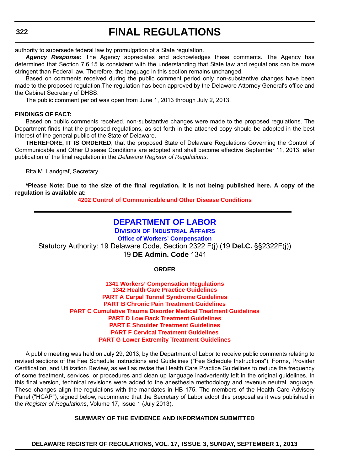authority to supersede federal law by promulgation of a State regulation.

*Agency Response:* The Agency appreciates and acknowledges these comments. The Agency has determined that Section 7.6.15 is consistent with the understanding that State law and regulations can be more stringent than Federal law. Therefore, the language in this section remains unchanged.

Based on comments received during the public comment period only non-substantive changes have been made to the proposed regulation.The regulation has been approved by the Delaware Attorney General's office and the Cabinet Secretary of DHSS.

The public comment period was open from June 1, 2013 through July 2, 2013.

#### **FINDINGS OF FACT:**

Based on public comments received, non-substantive changes were made to the proposed regulations. The Department finds that the proposed regulations, as set forth in the attached copy should be adopted in the best interest of the general public of the State of Delaware.

**THEREFORE, IT IS ORDERED**, that the proposed State of Delaware Regulations Governing the Control of Communicable and Other Disease Conditions are adopted and shall become effective September 11, 2013, after publication of the final regulation in the *Delaware Register of Regulations*.

Rita M. Landgraf, Secretary

**\*Please Note: Due to the size of the final regulation, it is not being published here. A copy of the regulation is available at:**

**[4202 Control of Communicable and Other Disease Conditions](http://regulations.delaware.gov/register/september2013/final/17 DE Reg 320 09-01-13.htm)**

# **[DEPARTMENT OF LABOR](http://dia.delawareworks.com/workers-comp/)**

**DIVISION OF INDUSTRIAL AFFAIRS Office of Workers' Compensation** Statutory Authority: 19 Delaware Code, Section 2322 F(j) (19 **Del.C.** §§2322F(j)) 19 **DE Admin. Code** 1341

**ORDER**

**1341 Workers' Compensation Regulations 1342 Health Care Practice Guidelines PART A Carpal Tunnel Syndrome Guidelines PART B Chronic Pain Treatment Guidelines [PART C Cumulative Trauma Disorder Medical Treatment Guidelines](#page-4-0) PART D Low Back Treatment Guidelines PART E Shoulder Treatment Guidelines PART F Cervical Treatment Guidelines PART G Lower Extremity Treatment Guidelines**

A public meeting was held on July 29, 2013, by the Department of Labor to receive public comments relating to revised sections of the Fee Schedule Instructions and Guidelines ("Fee Schedule Instructions"), Forms, Provider Certification, and Utilization Review, as well as revise the Health Care Practice Guidelines to reduce the frequency of some treatment, services, or procedures and clean up language inadvertently left in the original guidelines. In this final version, technical revisions were added to the anesthesia methodology and revenue neutral language. These changes align the regulations with the mandates in HB 175. The members of the Health Care Advisory Panel ("HCAP"), signed below, recommend that the Secretary of Labor adopt this proposal as it was published in the *Register of Regulations*, Volume 17, Issue 1 (July 2013).

#### **SUMMARY OF THE EVIDENCE AND INFORMATION SUBMITTED**

**DELAWARE REGISTER OF REGULATIONS, VOL. 17, ISSUE 3, SUNDAY, SEPTEMBER 1, 2013**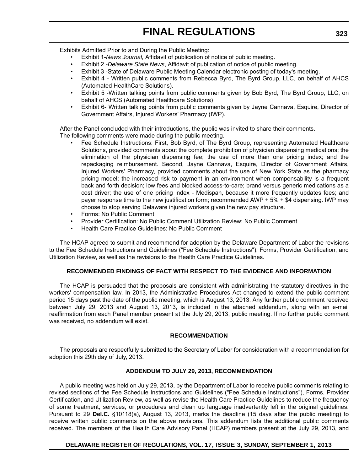Exhibits Admitted Prior to and During the Public Meeting:

- Exhibit 1-*News Journal,* Affidavit of publication of notice of public meeting.
- Exhibit 2 -*Delaware State News*, Affidavit of publication of notice of public meeting.
- Exhibit 3 -State of Delaware Public Meeting Calendar electronic posting of today's meeting.
- Exhibit 4 Written public comments from Rebecca Byrd, The Byrd Group, LLC, on behalf of AHCS (Automated HealthCare Solutions).
- Exhibit 5 -Written talking points from public comments given by Bob Byrd, The Byrd Group, LLC, on behalf of AHCS (Automated Healthcare Solutions)
- Exhibit 6- Written talking points from public comments given by Jayne Cannava, Esquire, Director of Government Affairs, Injured Workers' Pharmacy (IWP).

After the Panel concluded with their introductions, the public was invited to share their comments. The following comments were made during the public meeting.

- Fee Schedule Instructions: First, Bob Byrd, of The Byrd Group, representing Automated Healthcare Solutions, provided comments about the complete prohibition of physician dispensing medications; the elimination of the physician dispensing fee; the use of more than one pricing index; and the repackaging reimbursement. Second, Jayne Cannava, Esquire, Director of Government Affairs, Injured Workers' Pharmacy, provided comments about the use of New York State as the pharmacy pricing model; the increased risk to payment in an environment when compensability is a frequent back and forth decision; low fees and blocked access-to-care; brand versus generic medications as a cost driver; the use of one pricing index - Medispan, because it more frequently updates fees; and payer response time to the new justification form; recommended AWP + 5% + \$4 dispensing. IWP may choose to stop serving Delaware injured workers given the new pay structure.
- Forms: No Public Comment
- Provider Certification: No Public Comment Utilization Review: No Public Comment
- Health Care Practice Guidelines: No Public Comment

The HCAP agreed to submit and recommend for adoption by the Delaware Department of Labor the revisions to the Fee Schedule Instructions and Guidelines ("Fee Schedule Instructions"), Forms, Provider Certification, and Utilization Review, as well as the revisions to the Health Care Practice Guidelines.

# **RECOMMENDED FINDINGS OF FACT WITH RESPECT TO THE EVIDENCE AND INFORMATION**

The HCAP is persuaded that the proposals are consistent with administrating the statutory directives in the workers' compensation law. In 2013, the Administrative Procedures Act changed to extend the public comment period 15 days past the date of the public meeting, which is August 13, 2013. Any further public comment received between July 29, 2013 and August 13, 2013, is included in the attached addendum, along with an e-mail reaffirmation from each Panel member present at the July 29, 2013, public meeting. If no further public comment was received, no addendum will exist.

#### **RECOMMENDATION**

The proposals are respectfully submitted to the Secretary of Labor for consideration with a recommendation for adoption this 29th day of July, 2013.

#### **ADDENDUM TO JULY 29, 2013, RECOMMENDATION**

A public meeting was held on July 29, 2013, by the Department of Labor to receive public comments relating to revised sections of the Fee Schedule Instructions and Guidelines ("Fee Schedule Instructions"), Forms, Provider Certification, and Utilization Review, as well as revise the Health Care Practice Guidelines to reduce the frequency of some treatment, services, or procedures and clean up language inadvertently left in the original guidelines. Pursuant to 29 **Del.C.** §10118(a), August 13, 2013, marks the deadline (15 days after the public meeting) to receive written public comments on the above revisions. This addendum lists the additional public comments received. The members of the Health Care Advisory Panel (HCAP) members present at the July 29, 2013, and

#### **DELAWARE REGISTER OF REGULATIONS, VOL. 17, ISSUE 3, SUNDAY, SEPTEMBER 1, 2013**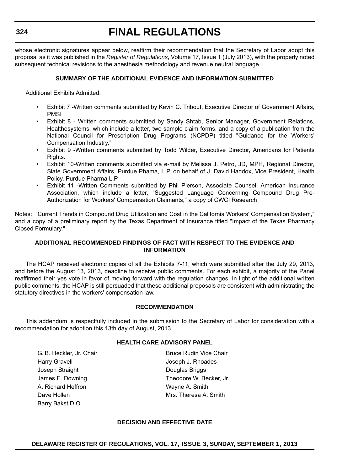whose electronic signatures appear below, reaffirm their recommendation that the Secretary of Labor adopt this proposal as it was published in the *Register of Regulations*, Volume 17, Issue 1 (July 2013), with the properly noted subsequent technical revisions to the anesthesia methodology and revenue neutral language.

# **SUMMARY OF THE ADDITIONAL EVIDENCE AND INFORMATION SUBMITTED**

Additional Exhibits Admitted:

- Exhibit 7 -Written comments submitted by Kevin C. Tribout, Executive Director of Government Affairs, PMSI
- Exhibit 8 Written comments submitted by Sandy Shtab, Senior Manager, Government Relations, Healthesystems, which include a letter, two sample claim forms, and a copy of a publication from the National Council for Prescription Drug Programs (NCPDP) titled "Guidance for the Workers' Compensation Industry."
- Exhibit 9 -Written comments submitted by Todd Wilder, Executive Director, Americans for Patients Rights.
- Exhibit 10-Written comments submitted via e-mail by Melissa J. Petro, JD, MPH, Regional Director, State Government Affairs, Purdue Phama, L.P. on behalf of J. David Haddox, Vice President, Health Policy, Purdue Pharma L.P.
- Exhibit 11 -Written Comments submitted by Phil Pierson, Associate Counsel, American Insurance Association, which include a letter, "Suggested Language Concerning Compound Drug Pre-Authorization for Workers' Compensation Claimants," a copy of CWCI Research

Notes: "Current Trends in Compound Drug Utilization and Cost in the California Workers' Compensation System," and a copy of a preliminary report by the Texas Department of Insurance titled "Impact of the Texas Pharmacy Closed Formulary."

## **ADDITIONAL RECOMMENDED FINDINGS OF FACT WITH RESPECT TO THE EVIDENCE AND INFORMATION**

The HCAP received electronic copies of all the Exhibits 7-11, which were submitted after the July 29, 2013, and before the August 13, 2013, deadline to receive public comments. For each exhibit, a majority of the Panel reaffirmed their yes vote in favor of moving forward with the regulation changes. In light of the additional written public comments, the HCAP is still persuaded that these additional proposals are consistent with administrating the statutory directives in the workers' compensation law.

#### **RECOMMENDATION**

This addendum is respectfully included in the submission to the Secretary of Labor for consideration with a recommendation for adoption this 13th day of August, 2013.

#### **HEALTH CARE ADVISORY PANEL**

G. B. Heckler, Jr. Chair **Bruce Rudin Vice Chair** Bruce Rudin Vice Chair Harry Gravell **Harry Gravell Joseph J. Rhoades** Joseph Straight **Douglas Briggs** A. Richard Heffron **Mayne A. Smith** Dave Hollen **Mrs. Theresa A. Smith** Barry Bakst D.O.

James E. Downing Theodore W. Becker, Jr.

#### **DECISION AND EFFECTIVE DATE**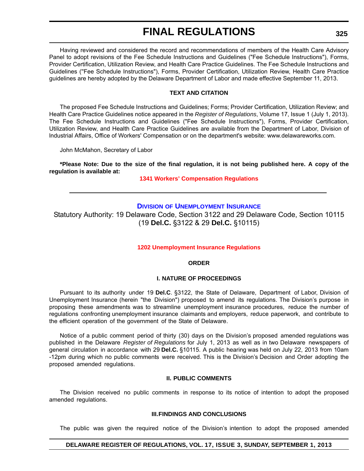Having reviewed and considered the record and recommendations of members of the Health Care Advisory Panel to adopt revisions of the Fee Schedule Instructions and Guidelines ("Fee Schedule Instructions"), Forms, Provider Certification, Utilization Review, and Health Care Practice Guidelines. The Fee Schedule Instructions and Guidelines (''Fee Schedule Instructions"), Forms, Provider Certification, Utilization Review, Health Care Practice guidelines are hereby adopted by the Delaware Department of Labor and made effective September 11, 2013.

#### **TEXT AND CITATION**

The proposed Fee Schedule Instructions and Guidelines; Forms; Provider Certification, Utilization Review; and Health Care Practice Guidelines notice appeared in the *Register of Regulations*, Volume 17, Issue 1 (July 1, 2013). The Fee Schedule Instructions and Guidelines ("Fee Schedule Instructions"), Forms, Provider Certification, Utilization Review, and Health Care Practice Guidelines are available from the Department of Labor, Division of lndustrial Affairs, Office of Workers' Compensation or on the department's website: www.delawareworks.com.

John McMahon, Secretary of Labor

**\*Please Note: Due to the size of the final regulation, it is not being published here. A copy of the regulation is available at:**

**[1341 Workers' Compensation Regulations](http://regulations.delaware.gov/register/september2013/final/17 DE Reg 322 09-01-13.htm)**

# **DIVISION [OF UNEMPLOYMENT INSURANCE](http://ui.delawareworks.com/)**

Statutory Authority: 19 Delaware Code, Section 3122 and 29 Delaware Code, Section 10115 (19 **Del.C.** §3122 & 29 **Del.C.** §10115)

#### **[1202 Unemployment Insurance Regulations](#page-4-0)**

#### **ORDER**

#### **I. NATURE OF PROCEEDINGS**

Pursuant to its authority under 19 **Del.C**. §3122, the State of Delaware, Department of Labor, Division of Unemployment Insurance (herein "the Division") proposed to amend its regulations. The Division's purpose in proposing these amendments was to streamline unemployment insurance procedures, reduce the number of regulations confronting unemployment insurance claimants and employers, reduce paperwork, and contribute to the efficient operation of the government of the State of Delaware.

Notice of a public comment period of thirty (30) days on the Division's proposed amended regulations was published in the Delaware *Register of Regulations* for July 1, 2013 as well as in two Delaware newspapers of general circulation in accordance with 29 **Del.C.** §10115. A public hearing was held on July 22, 2013 from 10am -12pm during which no public comments were received. This is the Division's Decision and Order adopting the proposed amended regulations.

#### **II. PUBLIC COMMENTS**

The Division received no public comments in response to its notice of intention to adopt the proposed amended regulations.

#### **III. FINDINGS AND CONCLUSIONS**

The public was given the required notice of the Division's intention to adopt the proposed amended

#### **DELAWARE REGISTER OF REGULATIONS, VOL. 17, ISSUE 3, SUNDAY, SEPTEMBER 1, 2013**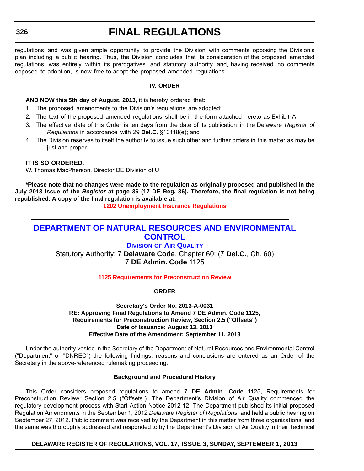regulations and was given ample opportunity to provide the Division with comments opposing the Division's plan including a public hearing. Thus, the Division concludes that its consideration of the proposed amended regulations was entirely within its prerogatives and statutory authority and, having received no comments opposed to adoption, is now free to adopt the proposed amended regulations.

#### **IV. ORDER**

# **AND NOW this 5th day of August, 2013,** it is hereby ordered that:

- 1. The proposed amendments to the Division's regulations are adopted;
- 2. The text of the proposed amended regulations shall be in the form attached hereto as Exhibit A;
- 3. The effective date of this Order is ten days from the date of its publication in the Delaware *Register of Regulations* in accordance with 29 **Del.C.** §10118(e); and
- 4. The Division reserves to itself the authority to issue such other and further orders in this matter as may be just and proper.

#### **IT IS SO ORDERED.**

W. Thomas MacPherson, Director DE Division of UI

**\*Please note that no changes were made to the regulation as originally proposed and published in the July 2013 issue of the** *Register* **at page 36 (17 DE Reg. 36). Therefore, the final regulation is not being republished. A copy of the final regulation is available at:**

**[1202 Unemployment Insurance Regulations](http://regulations.delaware.gov/register/september2013/final/17 DE Reg 325 09-01-13.htm)**

# **[DEPARTMENT OF NATURAL RESOURCES AND ENVIRONMENTAL](http://www.dnrec.delaware.gov/air/Pages/Default.aspx)  CONTROL**

**DIVISION OF AIR QUALITY** Statutory Authority: 7 **Delaware Code**, Chapter 60; (7 **Del.C.**, Ch. 60) 7 **DE Admin. Code** 1125

**[1125 Requirements for Preconstruction Review](#page-4-0)**

**ORDER**

### **Secretary's Order No. 2013-A-0031 RE: Approving Final Regulations to Amend 7 DE Admin. Code 1125, Requirements for Preconstruction Review, Section 2.5 ("Offsets") Date of Issuance: August 13, 2013 Effective Date of the Amendment: September 11, 2013**

Under the authority vested in the Secretary of the Department of Natural Resources and Environmental Control ("Department" or "DNREC") the following findings, reasons and conclusions are entered as an Order of the Secretary in the above-referenced rulemaking proceeding.

#### **Background and Procedural History**

This Order considers proposed regulations to amend 7 **DE Admin. Code** 1125, Requirements for Preconstruction Review: Section 2.5 ("Offsets"). The Department's Division of Air Quality commenced the regulatory development process with Start Action Notice 2012-12. The Department published its initial proposed Regulation Amendments in the September 1, 2012 *Delaware Register of Regulations*, and held a public hearing on September 27, 2012. Public comment was received by the Department in this matter from three organizations, and the same was thoroughly addressed and responded to by the Department's Division of Air Quality in their Technical

**DELAWARE REGISTER OF REGULATIONS, VOL. 17, ISSUE 3, SUNDAY, SEPTEMBER 1, 2013**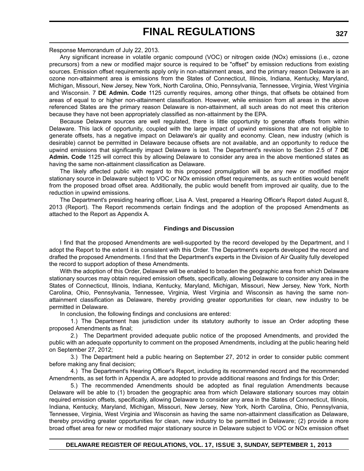Response Memorandum of July 22, 2013.

Any significant increase in volatile organic compound (VOC) or nitrogen oxide (NOx) emissions (i.e., ozone precursors) from a new or modified major source is required to be "offset" by emission reductions from existing sources. Emission offset requirements apply only in non-attainment areas, and the primary reason Delaware is an ozone non-attainment area is emissions from the States of Connecticut, Illinois, Indiana, Kentucky, Maryland, Michigan, Missouri, New Jersey, New York, North Carolina, Ohio, Pennsylvania, Tennessee, Virginia, West Virginia and Wisconsin. 7 **DE Admin. Code** 1125 currently requires, among other things, that offsets be obtained from areas of equal to or higher non-attainment classification. However, while emission from all areas in the above referenced States are the primary reason Delaware is non-attainment, all such areas do not meet this criterion because they have not been appropriately classified as non-attainment by the EPA.

Because Delaware sources are well regulated, there is little opportunity to generate offsets from within Delaware. This lack of opportunity, coupled with the large impact of upwind emissions that are not eligible to generate offsets, has a negative impact on Delaware's air quality and economy. Clean, new industry (which is desirable) cannot be permitted in Delaware because offsets are not available, and an opportunity to reduce the upwind emissions that significantly impact Delaware is lost. The Department's revision to Section 2.5 of 7 **DE Admin. Code** 1125 will correct this by allowing Delaware to consider any area in the above mentioned states as having the same non-attainment classification as Delaware.

The likely affected public with regard to this proposed promulgation will be any new or modified major stationary source in Delaware subject to VOC or NOx emission offset requirements, as such entities would benefit from the proposed broad offset area. Additionally, the public would benefit from improved air quality, due to the reduction in upwind emissions.

The Department's presiding hearing officer, Lisa A. Vest, prepared a Hearing Officer's Report dated August 8, 2013 (Report). The Report recommends certain findings and the adoption of the proposed Amendments as attached to the Report as Appendix A.

#### **Findings and Discussion**

I find that the proposed Amendments are well-supported by the record developed by the Department, and I adopt the Report to the extent it is consistent with this Order. The Department's experts developed the record and drafted the proposed Amendments. I find that the Department's experts in the Division of Air Quality fully developed the record to support adoption of these Amendments.

With the adoption of this Order, Delaware will be enabled to broaden the geographic area from which Delaware stationary sources may obtain required emission offsets, specifically, allowing Delaware to consider any area in the States of Connecticut, Illinois, Indiana, Kentucky, Maryland, Michigan, Missouri, New Jersey, New York, North Carolina, Ohio, Pennsylvania, Tennessee, Virginia, West Virginia and Wisconsin as having the same nonattainment classification as Delaware, thereby providing greater opportunities for clean, new industry to be permitted in Delaware.

In conclusion, the following findings and conclusions are entered:

1.) The Department has jurisdiction under its statutory authority to issue an Order adopting these proposed Amendments as final;

2.) The Department provided adequate public notice of the proposed Amendments, and provided the public with an adequate opportunity to comment on the proposed Amendments, including at the public hearing held on September 27, 2012;

3.) The Department held a public hearing on September 27, 2012 in order to consider public comment before making any final decision;

4.) The Department's Hearing Officer's Report, including its recommended record and the recommended Amendments, as set forth in Appendix A, are adopted to provide additional reasons and findings for this Order;

5.) The recommended Amendments should be adopted as final regulation Amendments because Delaware will be able to (1) broaden the geographic area from which Delaware stationary sources may obtain required emission offsets, specifically, allowing Delaware to consider any area in the States of Connecticut, Illinois, Indiana, Kentucky, Maryland, Michigan, Missouri, New Jersey, New York, North Carolina, Ohio, Pennsylvania, Tennessee, Virginia, West Virginia and Wisconsin as having the same non-attainment classification as Delaware, thereby providing greater opportunities for clean, new industry to be permitted in Delaware; (2) provide a more broad offset area for new or modified major stationary source in Delaware subject to VOC or NOx emission offset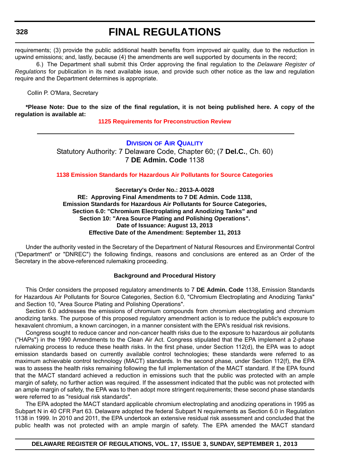requirements; (3) provide the public additional health benefits from improved air quality, due to the reduction in upwind emissions; and, lastly, because (4) the amendments are well supported by documents in the record;

6.) The Department shall submit this Order approving the final regulation to the *Delaware Register of Regulations* for publication in its next available issue, and provide such other notice as the law and regulation require and the Department determines is appropriate.

Collin P. O'Mara, Secretary

**\*Please Note: Due to the size of the final regulation, it is not being published here. A copy of the regulation is available at:**

**[1125 Requirements for Preconstruction Review](http://regulations.delaware.gov/register/september2013/final/17 DE Reg 326 09-01-13.htm)**

**DIVISION [OF AIR QUALITY](http://www.dnrec.delaware.gov/air/Pages/Default.aspx)** Statutory Authority: 7 Delaware Code, Chapter 60; (7 **Del.C.**, Ch. 60) 7 **DE Admin. Code** 1138

**[1138 Emission Standards for Hazardous Air Pollutants for Source Categories](#page-4-0)**

**Secretary's Order No.: 2013-A-0028 RE: Approving Final Amendments to 7 DE Admin. Code 1138, Emission Standards for Hazardous Air Pollutants for Source Categories, Section 6.0: "Chromium Electroplating and Anodizing Tanks" and Section 10: "Area Source Plating and Polishing Operations". Date of Issuance: August 13, 2013 Effective Date of the Amendment: September 11, 2013**

Under the authority vested in the Secretary of the Department of Natural Resources and Environmental Control ("Department" or "DNREC") the following findings, reasons and conclusions are entered as an Order of the Secretary in the above-referenced rulemaking proceeding.

#### **Background and Procedural History**

This Order considers the proposed regulatory amendments to 7 **DE Admin. Code** 1138, Emission Standards for Hazardous Air Pollutants for Source Categories, Section 6.0, "Chromium Electroplating and Anodizing Tanks" and Section 10, "Area Source Plating and Polishing Operations".

Section 6.0 addresses the emissions of chromium compounds from chromium electroplating and chromium anodizing tanks. The purpose of this proposed regulatory amendment action is to reduce the public's exposure to hexavalent chromium, a known carcinogen, in a manner consistent with the EPA's residual risk revisions.

Congress sought to reduce cancer and non-cancer health risks due to the exposure to hazardous air pollutants ("HAPs") in the 1990 Amendments to the Clean Air Act. Congress stipulated that the EPA implement a 2-phase rulemaking process to reduce these health risks. In the first phase, under Section 112(d), the EPA was to adopt emission standards based on currently available control technologies; these standards were referred to as maximum achievable control technology (MACT) standards. In the second phase, under Section 112(f), the EPA was to assess the health risks remaining following the full implementation of the MACT standard. If the EPA found that the MACT standard achieved a reduction in emissions such that the public was protected with an ample margin of safety, no further action was required. If the assessment indicated that the public was not protected with an ample margin of safety, the EPA was to then adopt more stringent requirements; these second phase standards were referred to as "residual risk standards".

The EPA adopted the MACT standard applicable chromium electroplating and anodizing operations in 1995 as Subpart N in 40 CFR Part 63. Delaware adopted the federal Subpart N requirements as Section 6.0 in Regulation 1138 in 1999. In 2010 and 2011, the EPA undertook an extensive residual risk assessment and concluded that the public health was not protected with an ample margin of safety. The EPA amended the MACT standard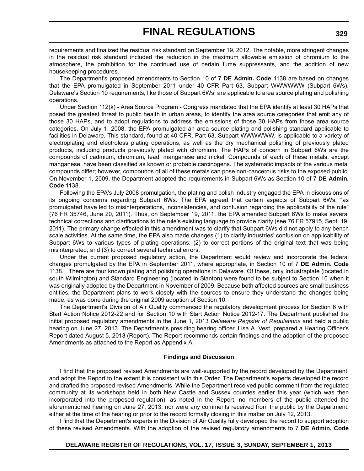requirements and finalized the residual risk standard on September 19, 2012. The notable, more stringent changes in the residual risk standard included the reduction in the maximum allowable emission of chromium to the atmosphere, the prohibition for the continued use of certain fume suppressants, and the addition of new housekeeping procedures.

The Department's proposed amendments to Section 10 of 7 **DE Admin. Code** 1138 are based on changes that the EPA promulgated in September 2011 under 40 CFR Part 63, Subpart WWWWWW (Subpart 6Ws). Delaware's Section 10 requirements, like those of Subpart 6Ws, are applicable to area source plating and polishing operations.

Under Section 112(k) - Area Source Program - Congress mandated that the EPA identify at least 30 HAPs that posed the greatest threat to public health in urban areas, to identify the area source categories that emit any of those 30 HAPs, and to adopt regulations to address the emissions of those 30 HAPs from those area source categories. On July 1, 2008, the EPA promulgated an area source plating and polishing standard applicable to facilities in Delaware. This standard, found at 40 CFR, Part 63, Subpart WWWWWW, is applicable to a variety of electroplating and electroless plating operations, as well as the dry mechanical polishing of previously plated products, including products previously plated with chromium. The HAPs of concern in Subpart 6Ws are the compounds of cadmium, chromium, lead, manganese and nickel. Compounds of each of these metals, except manganese, have been classified as known or probable carcinogens. The systematic impacts of the various metal compounds differ; however, compounds of all of these metals can pose non-cancerous risks to the exposed public. On November 1, 2009, the Department adopted the requirements in Subpart 6Ws as Section 10 of 7 **DE Admin. Code** 1138.

Following the EPA's July 2008 promulgation, the plating and polish industry engaged the EPA in discussions of its ongoing concerns regarding Subpart 6Ws. The EPA agreed that certain aspects of Subpart 6Ws, "as promulgated have led to misinterpretations, inconsistencies, and confusion regarding the applicability of the rule" (76 FR 35746, June 20, 2011). Thus, on September 19, 2011, the EPA amended Subpart 6Ws to make several technical corrections and clarifications to the rule's existing language to provide clarity (see 76 FR 57915, Sept. 19, 2011). The primary change effected in this amendment was to clarify that Subpart 6Ws did not apply to any bench scale activities. At the same time, the EPA also made changes (1) to clarify industries' confusion on applicability of Subpart 6Ws to various types of plating operations; (2) to correct portions of the original text that was being misinterpreted; and (3) to correct several technical errors.

Under the current proposed regulatory action, the Department would review and incorporate the federal changes promulgated by the EPA in September 2011, where appropriate, in Section 10 of 7 **DE Admin. Code** 1138. There are four known plating and polishing operations in Delaware. Of these, only Industraplate (located in south Wilmington) and Standard Engineering (located in Stanton) were found to be subject to Section 10 when it was originally adopted by the Department in November of 2009. Because both affected sources are small business entities, the Department plans to work closely with the sources to ensure they understand the changes being made, as was done during the original 2009 adoption of Section 10.

The Department's Division of Air Quality commenced the regulatory development process for Section 6 with Start Action Notice 2012-22 and for Section 10 with Start Action Notice 2012-17. The Department published the initial proposed regulatory amendments in the June 1, 2013 *Delaware Register of Regulations* and held a public hearing on June 27, 2013. The Department's presiding hearing officer, Lisa A. Vest, prepared a Hearing Officer's Report dated August 5, 2013 (Report). The Report recommends certain findings and the adoption of the proposed Amendments as attached to the Report as Appendix A.

#### **Findings and Discussion**

I find that the proposed revised Amendments are well-supported by the record developed by the Department, and adopt the Report to the extent it is consistent with this Order. The Department's experts developed the record and drafted the proposed revised Amendments. While the Department received public comment from the regulated community at its workshops held in both New Castle and Sussex counties earlier this year (which was then incorporated into the proposed regulation), as noted in the Report, no members of the public attended the aforementioned hearing on June 27, 2013, nor were any comments received from the public by the Department, either at the time of the hearing or prior to the record formally closing in this matter on July 12, 2013.

I find that the Department's experts in the Division of Air Quality fully developed the record to support adoption of these revised Amendments. With the adoption of the revised regulatory amendments to 7 **DE Admin. Code**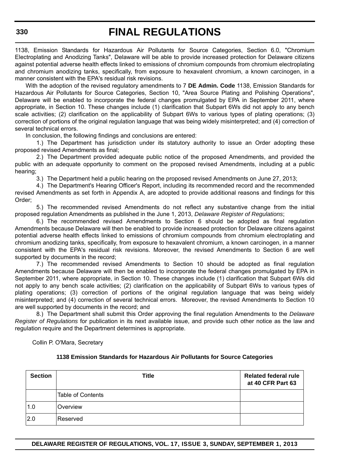1138, Emission Standards for Hazardous Air Pollutants for Source Categories, Section 6.0, "Chromium Electroplating and Anodizing Tanks", Delaware will be able to provide increased protection for Delaware citizens against potential adverse health effects linked to emissions of chromium compounds from chromium electroplating and chromium anodizing tanks, specifically, from exposure to hexavalent chromium, a known carcinogen, in a manner consistent with the EPA's residual risk revisions.

With the adoption of the revised regulatory amendments to 7 **DE Admin. Code** 1138, Emission Standards for Hazardous Air Pollutants for Source Categories, Section 10, "Area Source Plating and Polishing Operations", Delaware will be enabled to incorporate the federal changes promulgated by EPA in September 2011, where appropriate, in Section 10. These changes include (1) clarification that Subpart 6Ws did not apply to any bench scale activities; (2) clarification on the applicability of Subpart 6Ws to various types of plating operations; (3) correction of portions of the original regulation language that was being widely misinterpreted; and (4) correction of several technical errors.

In conclusion, the following findings and conclusions are entered:

1.) The Department has jurisdiction under its statutory authority to issue an Order adopting these proposed revised Amendments as final;

2.) The Department provided adequate public notice of the proposed Amendments, and provided the public with an adequate opportunity to comment on the proposed revised Amendments, including at a public hearing;

3.) The Department held a public hearing on the proposed revised Amendments on June 27, 2013;

4.) The Department's Hearing Officer's Report, including its recommended record and the recommended revised Amendments as set forth in Appendix A, are adopted to provide additional reasons and findings for this Order;

5.) The recommended revised Amendments do not reflect any substantive change from the initial proposed regulation Amendments as published in the June 1, 2013, *Delaware Register of Regulations*;

6.) The recommended revised Amendments to Section 6 should be adopted as final regulation Amendments because Delaware will then be enabled to provide increased protection for Delaware citizens against potential adverse health effects linked to emissions of chromium compounds from chromium electroplating and chromium anodizing tanks, specifically, from exposure to hexavalent chromium, a known carcinogen, in a manner consistent with the EPA's residual risk revisions. Moreover, the revised Amendments to Section 6 are well supported by documents in the record;

7.) The recommended revised Amendments to Section 10 should be adopted as final regulation Amendments because Delaware will then be enabled to incorporate the federal changes promulgated by EPA in September 2011, where appropriate, in Section 10. These changes include (1) clarification that Subpart 6Ws did not apply to any bench scale activities; (2) clarification on the applicability of Subpart 6Ws to various types of plating operations; (3) correction of portions of the original regulation language that was being widely misinterpreted; and (4) correction of several technical errors. Moreover, the revised Amendments to Section 10 are well supported by documents in the record; and

8.) The Department shall submit this Order approving the final regulation Amendments to the *Delaware Register of Regulations* for publication in its next available issue, and provide such other notice as the law and regulation require and the Department determines is appropriate.

Collin P. O'Mara, Secretary

#### **1138 Emission Standards for Hazardous Air Pollutants for Source Categories**

| <b>Section</b> | Title                    | <b>Related federal rule</b><br>at 40 CFR Part 63 |
|----------------|--------------------------|--------------------------------------------------|
|                | <b>Table of Contents</b> |                                                  |
| 1.0            | Overview                 |                                                  |
| 2.0            | Reserved                 |                                                  |

**DELAWARE REGISTER OF REGULATIONS, VOL. 17, ISSUE 3, SUNDAY, SEPTEMBER 1, 2013**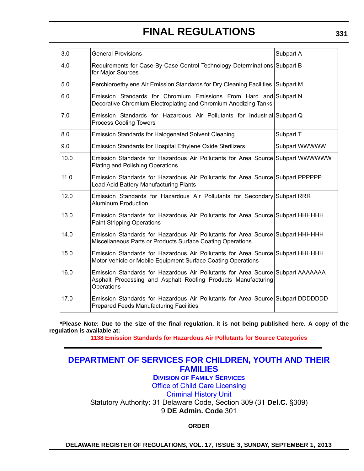| 3.0  | <b>General Provisions</b>                                                                                                                                      | Subpart A     |
|------|----------------------------------------------------------------------------------------------------------------------------------------------------------------|---------------|
| 4.0  | Requirements for Case-By-Case Control Technology Determinations Subpart B<br>for Major Sources                                                                 |               |
| 5.0  | Perchloroethylene Air Emission Standards for Dry Cleaning Facilities Subpart M                                                                                 |               |
| 6.0  | Emission Standards for Chromium Emissions From Hard and Subpart N<br>Decorative Chromium Electroplating and Chromium Anodizing Tanks                           |               |
| 7.0  | Emission Standards for Hazardous Air Pollutants for Industrial Subpart Q<br><b>Process Cooling Towers</b>                                                      |               |
| 8.0  | <b>Emission Standards for Halogenated Solvent Cleaning</b>                                                                                                     | Subpart T     |
| 9.0  | Emission Standards for Hospital Ethylene Oxide Sterilizers                                                                                                     | Subpart WWWWW |
| 10.0 | Emission Standards for Hazardous Air Pollutants for Area Source Subpart WWWWWW<br><b>Plating and Polishing Operations</b>                                      |               |
| 11.0 | Emission Standards for Hazardous Air Pollutants for Area Source Subpart PPPPPP<br>Lead Acid Battery Manufacturing Plants                                       |               |
| 12.0 | Emission Standards for Hazardous Air Pollutants for Secondary Subpart RRR<br><b>Aluminum Production</b>                                                        |               |
| 13.0 | Emission Standards for Hazardous Air Pollutants for Area Source Subpart HHHHHH<br><b>Paint Stripping Operations</b>                                            |               |
| 14.0 | Emission Standards for Hazardous Air Pollutants for Area Source Subpart HHHHHH<br>Miscellaneous Parts or Products Surface Coating Operations                   |               |
| 15.0 | Emission Standards for Hazardous Air Pollutants for Area Source Subpart HHHHHH<br>Motor Vehicle or Mobile Equipment Surface Coating Operations                 |               |
| 16.0 | Emission Standards for Hazardous Air Pollutants for Area Source Subpart AAAAAAA<br>Asphalt Processing and Asphalt Roofing Products Manufacturing<br>Operations |               |
| 17.0 | Emission Standards for Hazardous Air Pollutants for Area Source Subpart DDDDDDD<br><b>Prepared Feeds Manufacturing Facilities</b>                              |               |

**\*Please Note: Due to the size of the final regulation, it is not being published here. A copy of the regulation is available at:**

**[1138 Emission Standards for Hazardous Air Pollutants for Source Categories](http://regulations.delaware.gov/register/september2013/final/17 DE Reg 328 09-01-13.htm)**

# **[DEPARTMENT OF SERVICES FOR CHILDREN, YOUTH AND THEIR](http://kids.delaware.gov/occl/occl.shtml)  FAMILIES**

**DIVISION OF FAMILY SERVICES**

Office of Child Care Licensing

Criminal History Unit

Statutory Authority: 31 Delaware Code, Section 309 (31 **Del.C.** §309) 9 **DE Admin. Code** 301

**ORDER**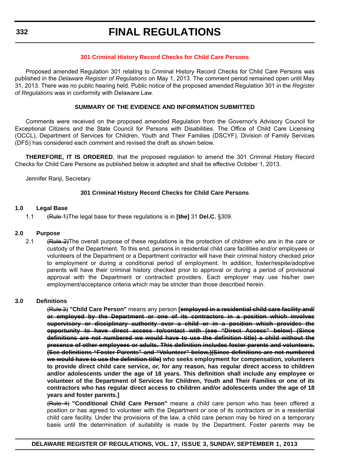#### **[301 Criminal History Record Checks for Child Care Persons](#page-4-0)**

Proposed amended Regulation 301 relating to Criminal History Record Checks for Child Care Persons was published in the *Delaware Register of Regulations* on May 1, 2013. The comment period remained open until May 31, 2013. There was no public hearing held. Public notice of the proposed amended Regulation 301 in the *Register of Regulations* was in conformity with Delaware Law.

#### **SUMMARY OF THE EVIDENCE AND INFORMATION SUBMITTED**

Comments were received on the proposed amended Regulation from the Governor's Advisory Council for Exceptional Citizens and the State Council for Persons with Disabilities. The Office of Child Care Licensing (OCCL), Department of Services for Children, Youth and Their Families (DSCYF), Division of Family Services (DFS) has considered each comment and revised the draft as shown below.

**THEREFORE, IT IS ORDERED**, that the proposed regulation to amend the 301 Criminal History Record Checks for Child Care Persons as published below is adopted and shall be effective October 1, 2013.

Jennifer Ranji, Secretary

#### **301 Criminal History Record Checks for Child Care Persons**

#### **1.0 Legal Base**

1.1 (Rule 1)The legal base for these regulations is in **[the]** 31 **Del.C.** §309.

#### **2.0 Purpose**

2.1 (Rule 2)The overall purpose of these regulations is the protection of children who are in the care or custody of the Department. To this end, persons in residential child care facilities and/or employees or volunteers of the Department or a Department contractor will have their criminal history checked prior to employment or during a conditional period of employment. In addition, foster/respite/adoptive parents will have their criminal history checked prior to approval or during a period of provisional approval with the Department or contracted providers. Each employer may use his/her own employment/acceptance criteria which may be stricter than those described herein.

#### **3.0 Definitions**

(Rule 3) **"Child Care Person"** means any person **[employed in a residential child care facility and/ or employed by the Department or one of its contractors in a position which involves supervisory or disciplinary authority over a child or in a position which provides the opportunity to have direct access to/contact with (see "Direct Access" below) (Since definitions are not numbered we would have to use the definition title) a child without the presence of other employees or adults. This definition includes foster parents and volunteers. (See definitions "Foster Parents" and "Volunteer" below.)(Since definitions are not numbered we would have to use the definition title) who seeks employment for compensation, volunteers to provide direct child care service, or, for any reason, has regular direct access to children and/or adolescents under the age of 18 years. This definition shall include any employee or volunteer of the Department of Services for Children, Youth and Their Families or one of its contractors who has regular direct access to children and/or adolescents under the age of 18 years and foster parents.]**

(Rule 4) **"Conditional Child Care Person"** means a child care person who has been offered a position or has agreed to volunteer with the Department or one of its contractors or in a residential child care facility. Under the provisions of the law, a child care person may be hired on a temporary basis until the determination of suitability is made by the Department. Foster parents may be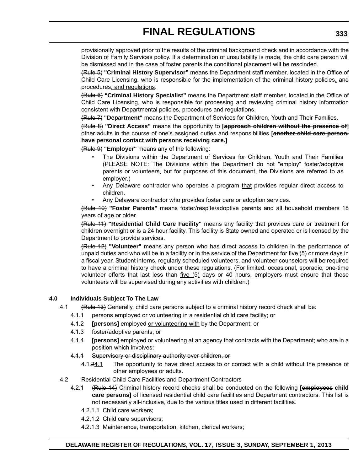provisionally approved prior to the results of the criminal background check and in accordance with the Division of Family Services policy. If a determination of unsuitability is made, the child care person will be dismissed and in the case of foster parents the conditional placement will be rescinded.

(Rule 5) **"Criminal History Supervisor"** means the Department staff member, located in the Office of Child Care Licensing, who is responsible for the implementation of the criminal history policies, and procedures, and regulations.

(Rule 6) **"Criminal History Specialist"** means the Department staff member, located in the Office of Child Care Licensing, who is responsible for processing and reviewing criminal history information consistent with Departmental policies, procedures and regulations.

(Rule 7) **"Department"** means the Department of Services for Children, Youth and Their Families.

(Rule 8) **"Direct Access"** means the opportunity to **[approach children without the presence of]** other adults in the course of one's assigned duties and responsibilities **[another child care person. have personal contact with persons receiving care.]**

(Rule 9) **"Employer"** means any of the following:

- The Divisions within the Department of Services for Children, Youth and Their Families (PLEASE NOTE: The Divisions within the Department do not "employ" foster/adoptive parents or volunteers, but for purposes of this document, the Divisions are referred to as employer.)
- Any Delaware contractor who operates a program that provides regular direct access to children.
- Any Delaware contractor who provides foster care or adoption services.

(Rule 10) **"Foster Parents"** means foster/respite/adoptive parents and all household members 18 years of age or older.

(Rule 11) **"Residential Child Care Facility"** means any facility that provides care or treatment for children overnight or is a 24 hour facility. This facility is State owned and operated or is licensed by the Department to provide services.

(Rule 12) **"Volunteer"** means any person who has direct access to children in the performance of unpaid duties and who will be in a facility or in the service of the Department for five (5) or more days in a fiscal year. Student interns, regularly scheduled volunteers, and volunteer counselors will be required to have a criminal history check under these regulations. (For limited, occasional, sporadic, one-time volunteer efforts that last less than  $five (5)$  days or 40 hours, employers must ensure that these volunteers will be supervised during any activities with children.)

## **4.0 Individuals Subject To The Law**

- 4.1 (Rule 13) Generally, child care persons subject to a criminal history record check shall be:
	- 4.1.1 persons employed or volunteering in a residential child care facility; or
	- 4.1.2 **[persons]** employed or volunteering with by the Department; or
	- 4.1.3 foster/adoptive parents; or
	- 4.1.4 **[persons]** employed or volunteering at an agency that contracts with the Department; who are in a position which involves:
	- 4.1.1 Supervisory or disciplinary authority over children, or
		- 4.1.24.1 The opportunity to have direct access to or contact with a child without the presence of other employees or adults.
- 4.2 Residential Child Care Facilities and Department Contractors
	- 4.2.1 (Rule 14) Criminal history record checks shall be conducted on the following **[employees child care persons]** of licensed residential child care facilities and Department contractors. This list is not necessarily all-inclusive, due to the various titles used in different facilities.
		- 4.2.1.1 Child care workers;
		- 4.2.1.2 Child care supervisors;
		- 4.2.1.3 Maintenance, transportation, kitchen, clerical workers;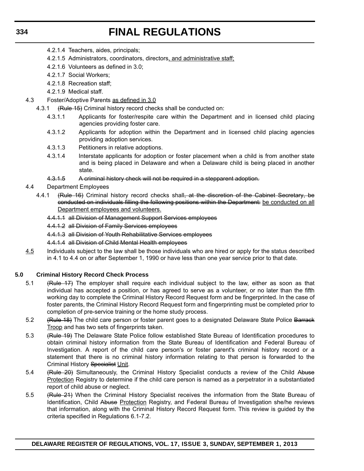- 4.2.1.4 Teachers, aides, principals;
- 4.2.1.5 Administrators, coordinators, directors, and administrative staff;
- 4.2.1.6 Volunteers as defined in 3.0;
- 4.2.1.7 Social Workers;
- 4.2.1.8 Recreation staff;
- 4.2.1.9 Medical staff.
- 4.3 Foster/Adoptive Parents as defined in 3.0
	- 4.3.1 (Rule 15) Criminal history record checks shall be conducted on:
		- 4.3.1.1 Applicants for foster/respite care within the Department and in licensed child placing agencies providing foster care.
		- 4.3.1.2 Applicants for adoption within the Department and in licensed child placing agencies providing adoption services.
		- 4.3.1.3 Petitioners in relative adoptions.
		- 4.3.1.4 Interstate applicants for adoption or foster placement when a child is from another state and is being placed in Delaware and when a Delaware child is being placed in another state.
		- 4.3.1.5 A criminal history check will not be required in a stepparent adoption.
- 4.4 Department Employees
	- 4.4.1 (Rule 16) Criminal history record checks shall, at the discretion of the Cabinet Secretary, be conducted on individuals filling the following positions within the Department: be conducted on all Department employees and volunteers.
		- 4.4.1.1 all Division of Management Support Services employees
		- 4.4.1.2 all Division of Family Services employees
		- 4.4.1.3 all Division of Youth Rehabilitative Services employees
		- 4.4.1.4 all Division of Child Mental Health employees
- 4.5 Individuals subject to the law shall be those individuals who are hired or apply for the status described in 4.1 to 4.4 on or after September 1, 1990 or have less than one year service prior to that date.

## **5.0 Criminal History Record Check Process**

- 5.1 (Rule 17) The employer shall require each individual subject to the law, either as soon as that individual has accepted a position, or has agreed to serve as a volunteer, or no later than the fifth working day to complete the Criminal History Record Request form and be fingerprinted. In the case of foster parents, the Criminal History Record Request form and fingerprinting must be completed prior to completion of pre-service training or the home study process.
- 5.2 (Rule 18) The child care person or foster parent goes to a designated Delaware State Police Barrack Troop and has two sets of fingerprints taken.
- 5.3 (Rule 19) The Delaware State Police follow established State Bureau of Identification procedures to obtain criminal history information from the State Bureau of Identification and Federal Bureau of Investigation. A report of the child care person's or foster parent's criminal history record or a statement that there is no criminal history information relating to that person is forwarded to the Criminal History Specialist Unit.
- 5.4 (Rule 20) Simultaneously, the Criminal History Specialist conducts a review of the Child Abuse Protection Registry to determine if the child care person is named as a perpetrator in a substantiated report of child abuse or neglect.
- 5.5 (Rule 21) When the Criminal History Specialist receives the information from the State Bureau of Identification, Child Abuse Protection Registry, and Federal Bureau of Investigation she/he reviews that information, along with the Criminal History Record Request form. This review is guided by the criteria specified in Regulations 6.1-7.2.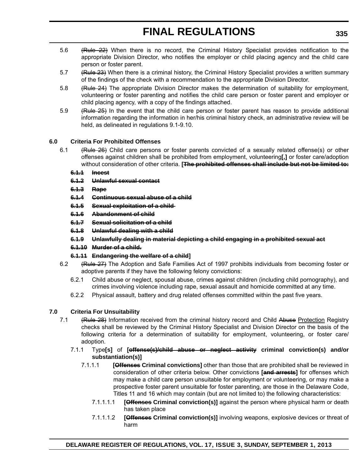- 5.6 (Rule 22) When there is no record, the Criminal History Specialist provides notification to the appropriate Division Director, who notifies the employer or child placing agency and the child care person or foster parent.
- 5.7 (Rule 23) When there is a criminal history, the Criminal History Specialist provides a written summary of the findings of the check with a recommendation to the appropriate Division Director.
- 5.8 (Rule 24) The appropriate Division Director makes the determination of suitability for employment, volunteering or foster parenting and notifies the child care person or foster parent and employer or child placing agency, with a copy of the findings attached.
- 5.9 (Rule 25) In the event that the child care person or foster parent has reason to provide additional information regarding the information in her/his criminal history check, an administrative review will be held, as delineated in regulations 9.1-9.10.

# **6.0 Criteria For Prohibited Offenses**

6.1 (Rule 26) Child care persons or foster parents convicted of a sexually related offense(s) or other offenses against children shall be prohibited from employment, volunteering**[,]** or foster care/adoption without consideration of other criteria. **[The prohibited offenses shall include but not be limited to:**

## **6.1.1 Incest**

- **6.1.2 Unlawful sexual contact**
- **6.1.3 Rape**
- **6.1.4 Continuous sexual abuse of a child**
- **6.1.5 Sexual exploitation of a child**
- **6.1.6 Abandonment of child**
- **6.1.7 Sexual solicitation of a child**
- **6.1.8 Unlawful dealing with a child**
- **6.1.9 Unlawfully dealing in material depicting a child engaging in a prohibited sexual act**
- **6.1.10 Murder of a child.**
- **6.1.11 Endangering the welfare of a child]**
- 6.2 (Rule 27) The Adoption and Safe Families Act of 1997 prohibits individuals from becoming foster or adoptive parents if they have the following felony convictions:
	- 6.2.1 Child abuse or neglect, spousal abuse, crimes against children (including child pornography), and crimes involving violence including rape, sexual assault and homicide committed at any time.
	- 6.2.2 Physical assault, battery and drug related offenses committed within the past five years.

# **7.0 Criteria For Unsuitability**

- 7.1 (Rule 28) Information received from the criminal history record and Child Abuse Protection Registry checks shall be reviewed by the Criminal History Specialist and Division Director on the basis of the following criteria for a determination of suitability for employment, volunteering, or foster care/ adoption.
	- 7.1.1 Type**[s]** of **[offense(s)/child abuse or neglect activity criminal conviction(s) and/or substantiation(s)]**
		- 7.1.1.1 **[Offenses Criminal convictions]** other than those that are prohibited shall be reviewed in consideration of other criteria below. Other convictions **[and arrests]** for offenses which may make a child care person unsuitable for employment or volunteering, or may make a prospective foster parent unsuitable for foster parenting, are those in the Delaware Code, Titles 11 and 16 which may contain (but are not limited to) the following characteristics:
			- 7.1.1.1.1 **[Offenses Criminal conviction(s)]** against the person where physical harm or death has taken place
			- 7.1.1.1.2 **[Offenses Criminal conviction(s)]** involving weapons, explosive devices or threat of harm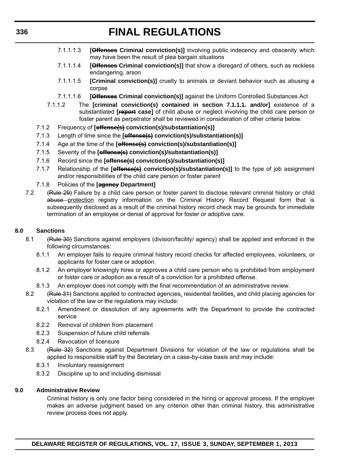- 7.1.1.1.3 **[Offenses Criminal conviction(s)]** involving public indecency and obscenity which may have been the result of plea bargain situations
- 7.1.1.1.4 **[Offenses Criminal conviction(s)]** that show a disregard of others, such as reckless endangering, arson
- 7.1.1.1.5 **[Criminal conviction(s)]** cruelty to animals or deviant behavior such as abusing a corpse
- 7.1.1.1.6 **[Offenses Criminal conviction(s)]** against the Uniform Controlled Substances Act
- 7.1.1.2 The **[criminal conviction(s) contained in section 7.1.1.1. and/or]** existence of a substantiated **[report case]** of child abuse or neglect involving the child care person or foster parent as perpetrator shall be reviewed in consideration of other criteria below.
- 7.1.2 Frequency of **[offense(s) conviction(s)/substantiation(s)]**
- 7.1.3 Length of time since the **[offense(s) conviction(s)/substantiation(s)]**
- 7.1.4 Age at the time of the **[offense(s) conviction(s)/substantiation(s)]**
- 7.1.5 Severity of the **[offense(s) conviction(s)/substantiation(s)]**
- 7.1.6 Record since the **[offense(s) conviction(s)/substantiation(s)]**
- 7.1.7 Relationship of the **[offense(s) conviction(s)/substantiation(s)]** to the type of job assignment and/or responsibilities of the child care person or foster parent
- 7.1.8 Policies of the **[agency Department]**
- 7.2 (Rule 29) Failure by a child care person or foster parent to disclose relevant criminal history or child abuse protection registry information on the Criminal History Record Request form that is subsequently disclosed as a result of the criminal history record check may be grounds for immediate termination of an employee or denial of approval for foster or adoptive care.

## **8.0 Sanctions**

- 8.1 (Rule 30) Sanctions against employers (division/facility/ agency) shall be applied and enforced in the following circumstances:
	- 8.1.1 An employer fails to require criminal history record checks for affected employees, volunteers, or applicants for foster care or adoption.
	- 8.1.2 An employer knowingly hires or approves a child care person who is prohibited from employment or foster care or adoption as a result of a conviction for a prohibited offense.
	- 8.1.3 An employer does not comply with the final recommendation of an administrative review.
- 8.2 (Rule 31) Sanctions applied to contracted agencies, residential facilities, and child placing agencies for violation of the law or the regulations may include:
	- 8.2.1 Amendment or dissolution of any agreements with the Department to provide the contracted service
	- 8.2.2 Removal of children from placement
	- 8.2.3 Suspension of future child referrals
	- 8.2.4 Revocation of licensure
- 8.3 (Rule 32) Sanctions against Department Divisions for violation of the law or regulations shall be applied to responsible staff by the Secretary on a case-by-case basis and may include:
	- 8.3.1 Involuntary reassignment
	- 8.3.2 Discipline up to and including dismissal

## **9.0 Administrative Review**

Criminal history is only one factor being considered in the hiring or approval process. If the employer makes an adverse judgment based on any criterion other than criminal history, this administrative review process does not apply.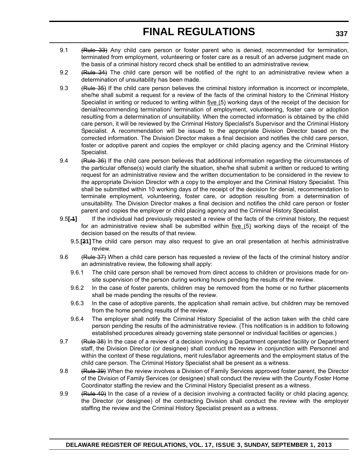- 9.1 (Rule 33) Any child care person or foster parent who is denied, recommended for termination, terminated from employment, volunteering or foster care as a result of an adverse judgment made on the basis of a criminal history record check shall be entitled to an administrative review.
- 9.2 (Rule 34) The child care person will be notified of the right to an administrative review when a determination of unsuitability has been made.
- 9.3 (Rule 35) If the child care person believes the criminal history information is incorrect or incomplete, she/he shall submit a request for a review of the facts of the criminal history to the Criminal History Specialist in writing or reduced to writing within five (5) working days of the receipt of the decision for denial/recommending termination/ termination of employment, volunteering, foster care or adoption resulting from a determination of unsuitability. When the corrected information is obtained by the child care person, it will be reviewed by the Criminal History Specialist's Supervisor and the Criminal History Specialist. A recommendation will be issued to the appropriate Division Director based on the corrected information. The Division Director makes a final decision and notifies the child care person, foster or adoptive parent and copies the employer or child placing agency and the Criminal History Specialist.
- 9.4 (Rule 36) If the child care person believes that additional information regarding the circumstances of the particular offense(s) would clarify the situation, she/he shall submit a written or reduced to writing request for an administrative review and the written documentation to be considered in the review to the appropriate Division Director with a copy to the employer and the Criminal History Specialist. This shall be submitted within 10 working days of the receipt of the decision for denial, recommendation to terminate employment, volunteering, foster care, or adoption resulting from a determination of unsuitability. The Division Director makes a final decision and notifies the child care person or foster parent and copies the employer or child placing agency and the Criminal History Specialist.
- 9.5**[.1]** If the individual had previously requested a review of the facts of the criminal history, the request for an administrative review shall be submitted within five (5) working days of the receipt of the decision based on the results of that review.
	- 9.5.**[21]** The child care person may also request to give an oral presentation at her/his administrative review.
- 9.6 (Rule 37) When a child care person has requested a review of the facts of the criminal history and/or an administrative review, the following shall apply:
	- 9.6.1 The child care person shall be removed from direct access to children or provisions made for onsite supervision of the person during working hours pending the results of the review.
	- 9.6.2 In the case of foster parents, children may be removed from the home or no further placements shall be made pending the results of the review.
	- 9.6.3 In the case of adoptive parents, the application shall remain active, but children may be removed from the home pending results of the review.
	- 9.6.4 The employer shall notify the Criminal History Specialist of the action taken with the child care person pending the results of the administrative review. (This notification is in addition to following established procedures already governing state personnel or individual facilities or agencies.)
- 9.7 (Rule 38) In the case of a review of a decision involving a Department operated facility or Department staff, the Division Director (or designee) shall conduct the review in conjunction with Personnel and within the context of these regulations, merit rules/labor agreements and the employment status of the child care person. The Criminal History Specialist shall be present as a witness.
- 9.8 (Rule 39) When the review involves a Division of Family Services approved foster parent, the Director of the Division of Family Services (or designee) shall conduct the review with the County Foster Home Coordinator staffing the review and the Criminal History Specialist present as a witness.
- 9.9 (Rule 40) In the case of a review of a decision involving a contracted facility or child placing agency, the Director (or designee) of the contracting Division shall conduct the review with the employer staffing the review and the Criminal History Specialist present as a witness.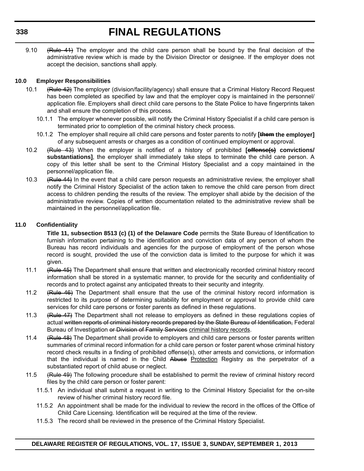9.10 (Rule 41) The employer and the child care person shall be bound by the final decision of the administrative review which is made by the Division Director or designee. If the employer does not accept the decision, sanctions shall apply.

# **10.0 Employer Responsibilities**

- 10.1 (Rule 42) The employer (division/facility/agency) shall ensure that a Criminal History Record Request has been completed as specified by law and that the employer copy is maintained in the personnel/ application file. Employers shall direct child care persons to the State Police to have fingerprints taken and shall ensure the completion of this process.
	- 10.1.1 The employer whenever possible, will notify the Criminal History Specialist if a child care person is terminated prior to completion of the criminal history check process.
	- 10.1.2 The employer shall require all child care persons and foster parents to notify **[them the employer]** of any subsequent arrests or charges as a condition of continued employment or approval.
- 10.2 (Rule 43) When the employer is notified of a history of prohibited **[offense(s) convictions/ substantiations]**, the employer shall immediately take steps to terminate the child care person. A copy of this letter shall be sent to the Criminal History Specialist and a copy maintained in the personnel/application file.
- 10.3 (Rule 44) In the event that a child care person requests an administrative review, the employer shall notify the Criminal History Specialist of the action taken to remove the child care person from direct access to children pending the results of the review. The employer shall abide by the decision of the administrative review. Copies of written documentation related to the administrative review shall be maintained in the personnel/application file.

# **11.0 Confidentiality**

**Title 11, subsection 8513 (c) (1) of the Delaware Code** permits the State Bureau of Identification to furnish information pertaining to the identification and conviction data of any person of whom the Bureau has record individuals and agencies for the purpose of employment of the person whose record is sought, provided the use of the conviction data is limited to the purpose for which it was given.

- 11.1 (Rule 45) The Department shall ensure that written and electronically recorded criminal history record information shall be stored in a systematic manner, to provide for the security and confidentiality of records and to protect against any anticipated threats to their security and integrity.
- 11.2 (Rule 46) The Department shall ensure that the use of the criminal history record information is restricted to its purpose of determining suitability for employment or approval to provide child care services for child care persons or foster parents as defined in these regulations.
- 11.3 (Rule 47) The Department shall not release to employers as defined in these regulations copies of actual written reports of criminal history records prepared by the State Bureau of Identification, Federal Bureau of Investigation or Division of Family Services criminal history records.
- 11.4 (Rule 48) The Department shall provide to employers and child care persons or foster parents written summaries of criminal record information for a child care person or foster parent whose criminal history record check results in a finding of prohibited offense(s), other arrests and convictions, or information that the individual is named in the Child Abuse Protection Registry as the perpetrator of a substantiated report of child abuse or neglect.
- 11.5 (Rule 49) The following procedure shall be established to permit the review of criminal history record files by the child care person or foster parent:
	- 11.5.1 An individual shall submit a request in writing to the Criminal History Specialist for the on-site review of his/her criminal history record file.
	- 11.5.2 An appointment shall be made for the individual to review the record in the offices of the Office of Child Care Licensing. Identification will be required at the time of the review.
	- 11.5.3 The record shall be reviewed in the presence of the Criminal History Specialist.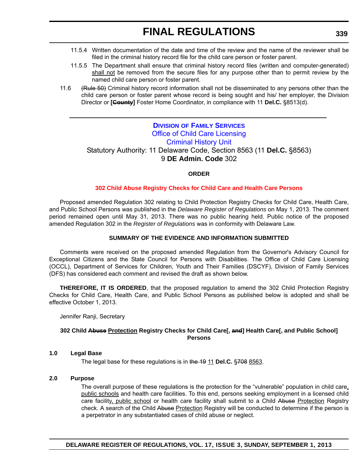- 11.5.4 Written documentation of the date and time of the review and the name of the reviewer shall be filed in the criminal history record file for the child care person or foster parent.
- 11.5.5 The Department shall ensure that criminal history record files (written and computer-generated) shall not be removed from the secure files for any purpose other than to permit review by the named child care person or foster parent.
- 11.6 (Rule 50) Criminal history record information shall not be disseminated to any persons other than the child care person or foster parent whose record is being sought and his/ her employer, the Division Director or **[County]** Foster Home Coordinator, in compliance with 11 **Del.C.** §8513(d).

# **DIVISION OF FAMILY SERVICES** [Office of Child Care Licensing](http://kids.delaware.gov/occl/occl.shtml)  Criminal History Unit

Statutory Authority: 11 Delaware Code, Section 8563 (11 **Del.C.** §8563) 9 **DE Admin. Code** 302

# **ORDER**

## **[302 Child Abuse Registry Checks for Child Care and Health Care Persons](#page-4-0)**

Proposed amended Regulation 302 relating to Child Protection Registry Checks for Child Care, Health Care, and Public School Persons was published in the *Delaware Register of Regulations* on May 1, 2013. The comment period remained open until May 31, 2013. There was no public hearing held. Public notice of the proposed amended Regulation 302 in the *Register of Regulations* was in conformity with Delaware Law.

#### **SUMMARY OF THE EVIDENCE AND INFORMATION SUBMITTED**

Comments were received on the proposed amended Regulation from the Governor's Advisory Council for Exceptional Citizens and the State Council for Persons with Disabilities. The Office of Child Care Licensing (OCCL), Department of Services for Children, Youth and Their Families (DSCYF), Division of Family Services (DFS) has considered each comment and revised the draft as shown below.

**THEREFORE, IT IS ORDERED**, that the proposed regulation to amend the 302 Child Protection Registry Checks for Child Care, Health Care, and Public School Persons as published below is adopted and shall be effective October 1, 2013.

Jennifer Ranji, Secretary

#### **302 Child Abuse Protection Registry Checks for Child Care[, and] Health Care[, and Public School] Persons**

#### **1.0 Legal Base**

The legal base for these regulations is in the 19 11 **Del.C.** §708 8563.

#### **2.0 Purpose**

The overall purpose of these regulations is the protection for the "vulnerable" population in child care, public schools and health care facilities. To this end, persons seeking employment in a licensed child care facility, public school or health care facility shall submit to a Child Abuse Protection Registry check. A search of the Child Abuse Protection Registry will be conducted to determine if the person is a perpetrator in any substantiated cases of child abuse or neglect.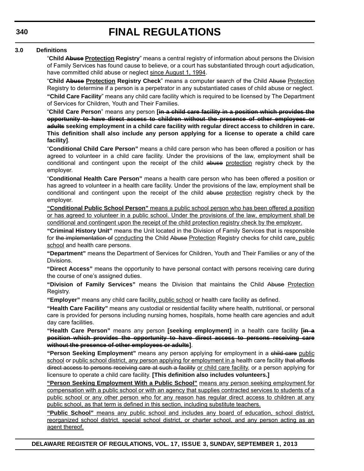# **3.0 Definitions**

"**Child Abuse Protection Registry**" means a central registry of information about persons the Division of Family Services has found cause to believe, or a court has substantiated through court adjudication, have committed child abuse or neglect since August 1, 1994.

"**Child Abuse Protection Registry Check**" means a computer search of the Child Abuse Protection Registry to determine if a person is a perpetrator in any substantiated cases of child abuse or neglect. **"Child Care Facility**" means any child care facility which is required to be licensed by The Department of Services for Children, Youth and Their Families.

"**Child Care Person**" means any person **[in a child care facility in a position which provides the opportunity to have direct access to children without the presence of other employees or adults seeking employment in a child care facility with regular direct access to children in care. This definition shall also include any person applying for a license to operate a child care facility]**.

"**Conditional Child Care Person"** means a child care person who has been offered a position or has agreed to volunteer in a child care facility. Under the provisions of the law, employment shall be conditional and contingent upon the receipt of the child abuse protection registry check by the employer.

"**Conditional Health Care Person"** means a health care person who has been offered a position or has agreed to volunteer in a health care facility. Under the provisions of the law, employment shall be conditional and contingent upon the receipt of the child abuse protection registry check by the employer.

**"Conditional Public School Person"** means a public school person who has been offered a position or has agreed to volunteer in a public school. Under the provisions of the law, employment shall be conditional and contingent upon the receipt of the child protection registry check by the employer.

**"Criminal History Unit"** means the Unit located in the Division of Family Services that is responsible for the implementation of conducting the Child Abuse Protection Registry checks for child care, public school and health care persons.

**"Department"** means the Department of Services for Children, Youth and Their Families or any of the Divisions.

**"Direct Access"** means the opportunity to have personal contact with persons receiving care during the course of one's assigned duties.

**"Division of Family Services"** means the Division that maintains the Child Abuse Protection Registry.

**"Employer"** means any child care facility, public school or health care facility as defined.

**"Health Care Facility"** means any custodial or residential facility where health, nutritional, or personal care is provided for persons including nursing homes, hospitals, home health care agencies and adult day care facilities.

**"Health Care Person"** means any person **[seeking employment]** in a health care facility **[in a position which provides the opportunity to have direct access to persons receiving care without the presence of other employees or adults]**.

**"Person Seeking Employment"** means any person applying for employment in a child care public school or public school district, any person applying for employment in a health care facility that affords direct access to persons receiving care at such a facility or child care facility, or a person applying for licensure to operate a child care facility. **[This definition also includes volunteers.]**

**"Person Seeking Employment With a Public School"** means any person seeking employment for compensation with a public school or with an agency that supplies contracted services to students of a public school or any other person who for any reason has regular direct access to children at any public school, as that term is defined in this section, including substitute teachers.

**"Public School"** means any public school and includes any board of education, school district, reorganized school district, special school district, or charter school, and any person acting as an agent thereof.

**DELAWARE REGISTER OF REGULATIONS, VOL. 17, ISSUE 3, SUNDAY, SEPTEMBER 1, 2013**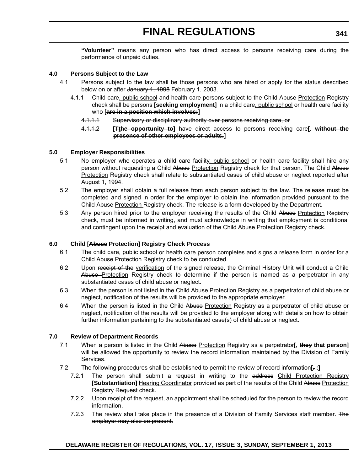**"Volunteer"** means any person who has direct access to persons receiving care during the performance of unpaid duties.

#### **4.0 Persons Subject to the Law**

- 4.1 Persons subject to the law shall be those persons who are hired or apply for the status described below on or after January 1, 1998 February 1, 2003.
	- 4.1.1 Child care, public school and health care persons subject to the Child Abuse Protection Registry check shall be persons **[seeking employment]** in a child care, public school or health care facility who **[are in a position which involves:]**
		- 4.1.1.1 Supervisory or disciplinary authority over persons receiving care, or
		- 4.1.1.2 **[Tthe opportunity to]** have direct access to persons receiving care**[. without the presence of other employees or adults.]**

#### **5.0 Employer Responsibilities**

- 5.1 No employer who operates a child care facility, public school or health care facility shall hire any person without requesting a Child Abuse Protection Registry check for that person. The Child Abuse Protection Registry check shall relate to substantiated cases of child abuse or neglect reported after August 1, 1994.
- 5.2 The employer shall obtain a full release from each person subject to the law. The release must be completed and signed in order for the employer to obtain the information provided pursuant to the Child Abuse Protection Registry check. The release is a form developed by the Department.
- 5.3 Any person hired prior to the employer receiving the results of the Child Abuse Protection Registry check, must be informed in writing, and must acknowledge in writing that employment is conditional and contingent upon the receipt and evaluation of the Child Abuse Protection Registry check.

## **6.0 Child [Abuse Protection] Registry Check Process**

- 6.1 The child care, public school or health care person completes and signs a release form in order for a Child Abuse Protection Registry check to be conducted.
- 6.2 Upon receipt of the verification of the signed release, the Criminal History Unit will conduct a Child Abuse Protection Registry check to determine if the person is named as a perpetrator in any substantiated cases of child abuse or neglect.
- 6.3 When the person is not listed in the Child Abuse Protection Registry as a perpetrator of child abuse or neglect, notification of the results will be provided to the appropriate employer.
- 6.4 When the person is listed in the Child Abuse Protection Registry as a perpetrator of child abuse or neglect, notification of the results will be provided to the employer along with details on how to obtain further information pertaining to the substantiated case(s) of child abuse or neglect.

# **7.0 Review of Department Records**

- 7.1 When a person is listed in the Child Abuse Protection Registry as a perpetrator**[, they that person]** will be allowed the opportunity to review the record information maintained by the Division of Family Services.
- 7.2 The following procedures shall be established to permit the review of record information**[. :]**
	- 7.2.1 The person shall submit a request in writing to the address Child Protection Registry **[Substantiation]** Hearing Coordinator provided as part of the results of the Child Abuse Protection Registry Request check.
	- 7.2.2 Upon receipt of the request, an appointment shall be scheduled for the person to review the record information.
	- 7.2.3 The review shall take place in the presence of a Division of Family Services staff member. The employer may also be present.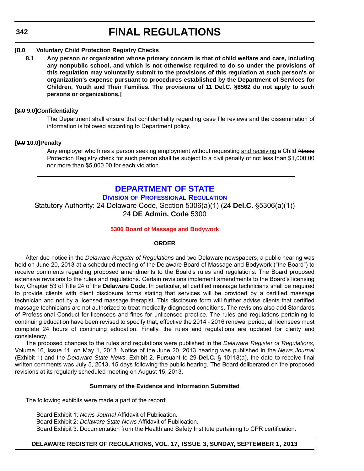## **342**

# **FINAL REGULATIONS**

#### **[8.0 Voluntary Child Protection Registry Checks**

**8.1 Any person or organization whose primary concern is that of child welfare and care, including any nonpublic school, and which is not otherwise required to do so under the provisions of this regulation may voluntarily submit to the provisions of this regulation at such person's or organization's expense pursuant to procedures established by the Department of Services for Children, Youth and Their Families. The provisions of 11 Del.C. §8562 do not apply to such persons or organizations.]**

#### **[8.0 9.0]Confidentiality**

The Department shall ensure that confidentiality regarding case file reviews and the dissemination of information is followed according to Department policy.

#### **[9.0 10.0]Penalty**

Any employer who hires a person seeking employment without requesting and receiving a Child Abuse Protection Registry check for such person shall be subject to a civil penalty of not less than \$1,000.00 nor more than \$5,000.00 for each violation.

# **[DEPARTMENT OF STATE](http://dpr.delaware.gov/)**

**DIVISION OF PROFESSIONAL REGULATION**

Statutory Authority: 24 Delaware Code, Section 5306(a)(1) (24 **Del.C.** §5306(a)(1)) 24 **DE Admin. Code** 5300

## **[5300 Board of Massage and Bodywork](#page-4-0)**

#### **ORDER**

After due notice in the *Delaware Register of Regulations* and two Delaware newspapers, a public hearing was held on June 20, 2013 at a scheduled meeting of the Delaware Board of Massage and Bodywork ("the Board") to receive comments regarding proposed amendments to the Board's rules and regulations. The Board proposed extensive revisions to the rules and regulations. Certain revisions implement amendments to the Board's licensing law, Chapter 53 of Title 24 of the **Delaware Code**. In particular, all certified massage technicians shall be required to provide clients with client disclosure forms stating that services will be provided by a certified massage technician and not by a licensed massage therapist. This disclosure form will further advise clients that certified massage technicians are not authorized to treat medically diagnosed conditions. The revisions also add Standards of Professional Conduct for licensees and fines for unlicensed practice. The rules and regulations pertaining to continuing education have been revised to specify that, effective the 2014 - 2016 renewal period, all licensees must complete 24 hours of continuing education. Finally, the rules and regulations are updated for clarity and consistency.

The proposed changes to the rules and regulations were published in the *Delaware Register of Regulations*, Volume 16, Issue 11, on May 1, 2013. Notice of the June 20, 2013 hearing was published in the *News Journal* (Exhibit 1) and the *Delaware State News*. Exhibit 2. Pursuant to 29 **Del.C.** § 10118(a), the date to receive final written comments was July 5, 2013, 15 days following the public hearing. The Board deliberated on the proposed revisions at its regularly scheduled meeting on August 15, 2013.

#### **Summary of the Evidence and Information Submitted**

The following exhibits were made a part of the record:

Board Exhibit 1: *News Journal* Affidavit of Publication. Board Exhibit 2: *Delaware State News* Affidavit of Publication. Board Exhibit 3: Documentation from the Health and Safety Institute pertaining to CPR certification.

## **DELAWARE REGISTER OF REGULATIONS, VOL. 17, ISSUE 3, SUNDAY, SEPTEMBER 1, 2013**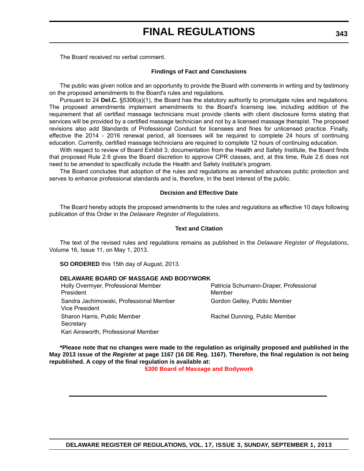The Board received no verbal comment.

#### **Findings of Fact and Conclusions**

The public was given notice and an opportunity to provide the Board with comments in writing and by testimony on the proposed amendments to the Board's rules and regulations.

Pursuant to 24 **Del.C.** §5306(a)(1), the Board has the statutory authority to promulgate rules and regulations. The proposed amendments implement amendments to the Board's licensing law, including addition of the requirement that all certified massage technicians must provide clients with client disclosure forms stating that services will be provided by a certified massage technician and not by a licensed massage therapist. The proposed revisions also add Standards of Professional Conduct for licensees and fines for unlicensed practice. Finally, effective the 2014 - 2016 renewal period, all licensees will be required to complete 24 hours of continuing education. Currently, certified massage technicians are required to complete 12 hours of continuing education.

With respect to review of Board Exhibit 3, documentation from the Health and Safety Institute, the Board finds that proposed Rule 2.6 gives the Board discretion to approve CPR classes, and, at this time, Rule 2.6 does not need to be amended to specifically include the Health and Safety Institute's program.

The Board concludes that adoption of the rules and regulations as amended advances public protection and serves to enhance professional standards and is, therefore, in the best interest of the public.

#### **Decision and Effective Date**

The Board hereby adopts the proposed amendments to the rules and regulations as effective 10 days following publication of this Order in the *Delaware Register of Regulations*.

#### **Text and Citation**

The text of the revised rules and regulations remains as published in the *Delaware Register of Regulations*, Volume 16, Issue 11, on May 1, 2013.

**SO ORDERED** this 15th day of August, 2013.

## **DELAWARE BOARD OF MASSAGE AND BODYWORK**

Holly Overmyer, Professional Member President Patricia Schumann-Draper, Professional Member Sandra Jachimowski, Professional Member Vice President Gordon Gelley, Public Member Sharon Harris, Public Member **Secretary** Rachel Dunning, Public Member Kari Ainsworth, Professional Member

**\*Please note that no changes were made to the regulation as originally proposed and published in the May 2013 issue of the** *Register* **at page 1167 (16 DE Reg. 1167). Therefore, the final regulation is not being republished. A copy of the final regulation is available at:**

**[5300 Board of Massage and Bodywork](http://regulations.delaware.gov/register/september2013/final/17 DE Reg 342 09-01-13.htm)**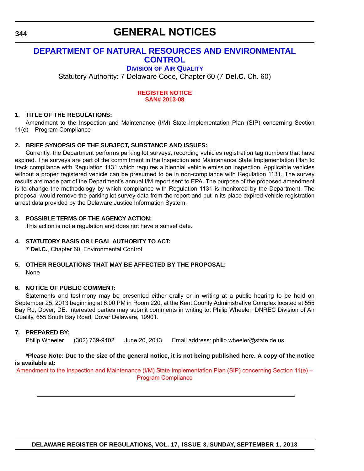# **GENERAL NOTICES**

# **[DEPARTMENT OF NATURAL RESOURCES AND ENVIRONMENTAL](http://www.dnrec.delaware.gov/air/Pages/Default.aspx)  CONTROL**

# **DIVISION OF AIR QUALITY**

Statutory Authority: 7 Delaware Code, Chapter 60 (7 **Del.C.** Ch. 60)

#### **[REGISTER NOTICE](#page-4-0) SAN# 2013-08**

# **1. TITLE OF THE REGULATIONS:**

Amendment to the Inspection and Maintenance (I/M) State Implementation Plan (SIP) concerning Section 11(e) – Program Compliance

# **2. BRIEF SYNOPSIS OF THE SUBJECT, SUBSTANCE AND ISSUES:**

Currently, the Department performs parking lot surveys, recording vehicles registration tag numbers that have expired. The surveys are part of the commitment in the Inspection and Maintenance State Implementation Plan to track compliance with Regulation 1131 which requires a biennial vehicle emission inspection. Applicable vehicles without a proper registered vehicle can be presumed to be in non-compliance with Regulation 1131. The survey results are made part of the Department's annual I/M report sent to EPA. The purpose of the proposed amendment is to change the methodology by which compliance with Regulation 1131 is monitored by the Department. The proposal would remove the parking lot survey data from the report and put in its place expired vehicle registration arrest data provided by the Delaware Justice Information System.

## **3. POSSIBLE TERMS OF THE AGENCY ACTION:**

This action is not a regulation and does not have a sunset date.

## **4. STATUTORY BASIS OR LEGAL AUTHORITY TO ACT:**

7 **Del.C.**, Chapter 60, Environmental Control

## **5. OTHER REGULATIONS THAT MAY BE AFFECTED BY THE PROPOSAL:** None

## **6. NOTICE OF PUBLIC COMMENT:**

Statements and testimony may be presented either orally or in writing at a public hearing to be held on September 25, 2013 beginning at 6:00 PM in Room 220, at the Kent County Administrative Complex located at 555 Bay Rd, Dover, DE. Interested parties may submit comments in writing to: Philip Wheeler, DNREC Division of Air Quality, 655 South Bay Road, Dover Delaware, 19901.

## **7. PREPARED BY:**

Philip Wheeler (302) 739-9402 June 20, 2013 Email address: philip.wheeler@state.de.us

#### **\*Please Note: Due to the size of the general notice, it is not being published here. A copy of the notice is available at:**

Amendment to the Inspection and Maintenance (I/M) State Implementation Plan (SIP) concerning Section 11(e) – Program Compliance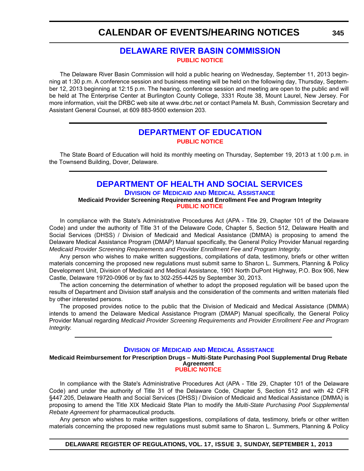# **[DELAWARE RIVER BASIN COMMISSION](http://www.state.nj.us/drbc/) [PUBLIC NOTICE](#page-4-0)**

The Delaware River Basin Commission will hold a public hearing on Wednesday, September 11, 2013 beginning at 1:30 p.m. A conference session and business meeting will be held on the following day, Thursday, September 12, 2013 beginning at 12:15 p.m. The hearing, conference session and meeting are open to the public and will be held at The Enterprise Center at Burlington County College, 3331 Route 38, Mount Laurel, New Jersey. For more information, visit the DRBC web site at www.drbc.net or contact Pamela M. Bush, Commission Secretary and Assistant General Counsel, at 609 883-9500 extension 203.

# **[DEPARTMENT OF EDUCATION](http://www.doe.k12.de.us/) [PUBLIC NOTICE](#page-4-0)**

The State Board of Education will hold its monthly meeting on Thursday, September 19, 2013 at 1:00 p.m. in the Townsend Building, Dover, Delaware.

# **[DEPARTMENT OF HEALTH AND SOCIAL SERVICES](http://www.dhss.delaware.gov/dhss/dmma/) DIVISION OF MEDICAID AND MEDICAL ASSISTANCE**

**Medicaid Provider Screening Requirements and Enrollment Fee and Program Integrity [PUBLIC NOTICE](#page-4-0)**

In compliance with the State's Administrative Procedures Act (APA - Title 29, Chapter 101 of the Delaware Code) and under the authority of Title 31 of the Delaware Code, Chapter 5, Section 512, Delaware Health and Social Services (DHSS) / Division of Medicaid and Medical Assistance (DMMA) is proposing to amend the Delaware Medical Assistance Program (DMAP) Manual specifically, the General Policy Provider Manual regarding *Medicaid Provider Screening Requirements and Provider Enrollment Fee and Program Integrity*.

Any person who wishes to make written suggestions, compilations of data, testimony, briefs or other written materials concerning the proposed new regulations must submit same to Sharon L. Summers, Planning & Policy Development Unit, Division of Medicaid and Medical Assistance, 1901 North DuPont Highway, P.O. Box 906, New Castle, Delaware 19720-0906 or by fax to 302-255-4425 by September 30, 2013.

The action concerning the determination of whether to adopt the proposed regulation will be based upon the results of Department and Division staff analysis and the consideration of the comments and written materials filed by other interested persons.

The proposed provides notice to the public that the Division of Medicaid and Medical Assistance (DMMA) intends to amend the Delaware Medical Assistance Program (DMAP) Manual specifically, the General Policy Provider Manual regarding *Medicaid Provider Screening Requirements and Provider Enrollment Fee and Program Integrity*.

## **DIVISION OF MEDICAID AND MEDICAL A[SSISTANCE](http://www.dhss.delaware.gov/dhss/dmma/)**

**Medicaid Reimbursement for Prescription Drugs – Multi-State Purchasing Pool Supplemental Drug Rebate Agreement [PUBLIC NOTICE](#page-4-0)**

In compliance with the State's Administrative Procedures Act (APA - Title 29, Chapter 101 of the Delaware Code) and under the authority of Title 31 of the Delaware Code, Chapter 5, Section 512 and with 42 CFR §447.205, Delaware Health and Social Services (DHSS) / Division of Medicaid and Medical Assistance (DMMA) is proposing to amend the Title XIX Medicaid State Plan to modify the *Multi-State Purchasing Pool Supplemental Rebate Agreement* for pharmaceutical products.

Any person who wishes to make written suggestions, compilations of data, testimony, briefs or other written materials concerning the proposed new regulations must submit same to Sharon L. Summers, Planning & Policy

#### **DELAWARE REGISTER OF REGULATIONS, VOL. 17, ISSUE 3, SUNDAY, SEPTEMBER 1, 2013**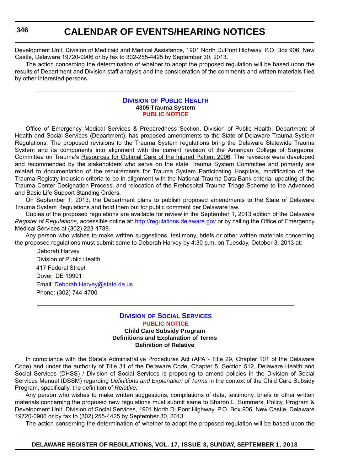Development Unit, Division of Medicaid and Medical Assistance, 1901 North DuPont Highway, P.O. Box 906, New Castle, Delaware 19720-0906 or by fax to 302-255-4425 by September 30, 2013.

The action concerning the determination of whether to adopt the proposed regulation will be based upon the results of Department and Division staff analysis and the consideration of the comments and written materials filed by other interested persons.

#### **D[IVISION](http://www.dhss.delaware.gov/dhss/dph/index.html) OF PUBLIC HEALTH 4305 Trauma System [PUBLIC NOTICE](#page-4-0)**

Office of Emergency Medical Services & Preparedness Section, Division of Public Health, Department of Health and Social Services (Department), has proposed amendments to the State of Delaware Trauma System Regulations. The proposed revisions to the Trauma System regulations bring the Delaware Statewide Trauma System and its components into alignment with the current revision of the American College of Surgeons' Committee on Trauma's Resources for Optimal Care of the Injured Patient 2006. The revisions were developed and recommended by the stakeholders who serve on the state Trauma System Committee and primarily are related to documentation of the requirements for Trauma System Participating Hospitals, modification of the Trauma Registry inclusion criteria to be in alignment with the National Trauma Data Bank criteria, updating of the Trauma Center Designation Process, and relocation of the Prehospital Trauma Triage Scheme to the Advanced and Basic Life Support Standing Orders.

On September 1, 2013, the Department plans to publish proposed amendments to the State of Delaware Trauma System Regulations and hold them out for public comment per Delaware law.

Copies of the proposed regulations are available for review in the September 1, 2013 edition of the Delaware *Register of Regulations*, accessible online at:<http://regulations.delaware.gov> or by calling the Office of Emergency Medical Services at (302) 223-1789.

Any person who wishes to make written suggestions, testimony, briefs or other written materials concerning the proposed regulations must submit same to Deborah Harvey by 4:30 p.m. on Tuesday, October 3, 2013 at:

Deborah Harvey Division of Public Health 417 Federal Street Dover, DE 19901 Email: [Deborah.Harvey@state.de.us](mailto:Deborah.Harvey@state.de.us) Phone: (302) 744-4700

#### **DIVISION OF SOCIAL S[ERVICES](http://www.dhss.delaware.gov/dhss/dss/) [PUBLIC NOTICE](#page-4-0) Child Care Subsidy Program Definitions and Explanation of Terms Definition of Relative**

In compliance with the State's Administrative Procedures Act (APA - Title 29, Chapter 101 of the Delaware Code) and under the authority of Title 31 of the Delaware Code, Chapter 5, Section 512, Delaware Health and Social Services (DHSS) / Division of Social Services is proposing to amend policies in the Division of Social Services Manual (DSSM) regarding *Definitions and Explanation of Terms* in the context of the Child Care Subsidy Program, specifically, the definition of *Relative.*

Any person who wishes to make written suggestions, compilations of data, testimony, briefs or other written materials concerning the proposed new regulations must submit same to Sharon L. Summers, Policy, Program & Development Unit, Division of Social Services, 1901 North DuPont Highway, P.O. Box 906, New Castle, Delaware 19720-0906 or by fax to (302) 255-4425 by September 30, 2013.

The action concerning the determination of whether to adopt the proposed regulation will be based upon the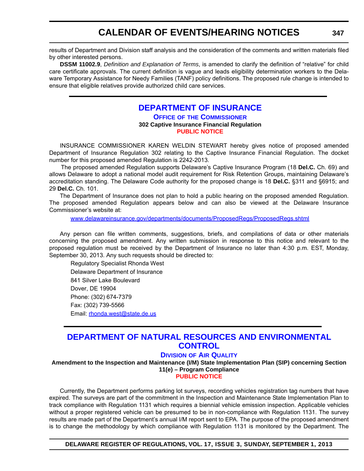results of Department and Division staff analysis and the consideration of the comments and written materials filed by other interested persons.

**DSSM 11002.9**, *Definition and Explanation of Terms*, is amended to clarify the definition of "relative" for child care certificate approvals. The current definition is vague and leads eligibility determination workers to the Delaware Temporary Assistance for Needy Families (TANF) policy definitions. The proposed rule change is intended to ensure that eligible relatives provide authorized child care services.

# **[DEPARTMENT OF INSURANCE](http://www.delawareinsurance.gov/)**

#### **OFFICE OF THE COMMISSIONER 302 Captive Insurance Financial Regulation [PUBLIC NOTICE](#page-4-0)**

INSURANCE COMMISSIONER KAREN WELDIN STEWART hereby gives notice of proposed amended Department of Insurance Regulation 302 relating to the Captive Insurance Financial Regulation. The docket number for this proposed amended Regulation is 2242-2013.

 The proposed amended Regulation supports Delaware's Captive Insurance Program (18 **Del.C.** Ch. 69) and allows Delaware to adopt a national model audit requirement for Risk Retention Groups, maintaining Delaware's accreditation standing. The Delaware Code authority for the proposed change is 18 **Del.C.** §311 and §6915; and 29 **Del.C.** Ch. 101.

The Department of Insurance does not plan to hold a public hearing on the proposed amended Regulation. The proposed amended Regulation appears below and can also be viewed at the Delaware Insurance Commissioner's website at:

[www.delawareinsurance.gov/departments/documents/ProposedRegs/ProposedRegs.shtml](http://www.delawareinsurance.gov/departments/documents/ProposedRegs/ProposedRegs.shtml)

Any person can file written comments, suggestions, briefs, and compilations of data or other materials concerning the proposed amendment. Any written submission in response to this notice and relevant to the proposed regulation must be received by the Department of Insurance no later than 4:30 p.m. EST, Monday, September 30, 2013. Any such requests should be directed to:

Regulatory Specialist Rhonda West Delaware Department of Insurance 841 Silver Lake Boulevard Dover, DE 19904 Phone: (302) 674-7379 Fax: (302) 739-5566 Email: [rhonda.west@state.de.us](mailto:rhonda.west@state.de.us)

# **[DEPARTMENT OF NATURAL RESOURCES AND ENVIRONMENTAL](http://www.dnrec.delaware.gov/air/Pages/Default.aspx) CONTROL**

# **DIVISION OF AIR QUALITY**

**Amendment to the Inspection and Maintenance (I/M) State Implementation Plan (SIP) concerning Section 11(e) – Program Compliance**

**[PUBLIC NOTICE](#page-4-0)**

Currently, the Department performs parking lot surveys, recording vehicles registration tag numbers that have expired. The surveys are part of the commitment in the Inspection and Maintenance State Implementation Plan to track compliance with Regulation 1131 which requires a biennial vehicle emission inspection. Applicable vehicles without a proper registered vehicle can be presumed to be in non-compliance with Regulation 1131. The survey results are made part of the Department's annual I/M report sent to EPA. The purpose of the proposed amendment is to change the methodology by which compliance with Regulation 1131 is monitored by the Department. The

**DELAWARE REGISTER OF REGULATIONS, VOL. 17, ISSUE 3, SUNDAY, SEPTEMBER 1, 2013**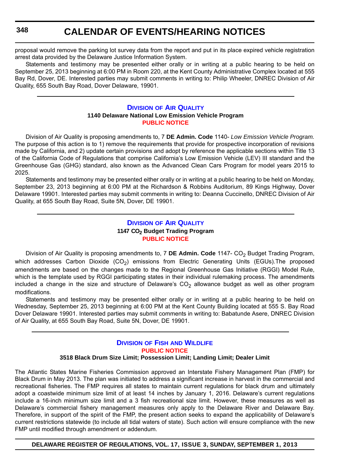proposal would remove the parking lot survey data from the report and put in its place expired vehicle registration arrest data provided by the Delaware Justice Information System.

Statements and testimony may be presented either orally or in writing at a public hearing to be held on September 25, 2013 beginning at 6:00 PM in Room 220, at the Kent County Administrative Complex located at 555 Bay Rd, Dover, DE. Interested parties may submit comments in writing to: Philip Wheeler, DNREC Division of Air Quality, 655 South Bay Road, Dover Delaware, 19901.

#### **D[IVISION](http://www.dnrec.delaware.gov/air/Pages/Default.aspx) OF AIR QUALITY 1140 Delaware National Low Emission Vehicle Program [PUBLIC NOTICE](#page-4-0)**

Division of Air Quality is proposing amendments to, 7 **DE Admin. Code** 1140- *Low Emission Vehicle Program.* The purpose of this action is to 1) remove the requirements that provide for prospective incorporation of revisions made by California, and 2) update certain provisions and adopt by reference the applicable sections within Title 13 of the California Code of Regulations that comprise California's Low Emission Vehicle (LEV) III standard and the Greenhouse Gas (GHG) standard, also known as the Advanced Clean Cars Program for model years 2015 to 2025.

Statements and testimony may be presented either orally or in writing at a public hearing to be held on Monday, September 23, 2013 beginning at 6:00 PM at the Richardson & Robbins Auditorium, 89 Kings Highway, Dover Delaware 19901. Interested parties may submit comments in writing to: Deanna Cuccinello, DNREC Division of Air Quality, at 655 South Bay Road, Suite 5N, Dover, DE 19901.

# **D[IVISION](http://www.dnrec.delaware.gov/air/Pages/Default.aspx) OF AIR QUALITY 1147 CO<sup>2</sup> Budget Trading Program [PUBLIC NOTICE](#page-4-0)**

Division of Air Quality is proposing amendments to, 7 DE Admin. Code 1147- CO<sub>2</sub> Budget Trading Program, which addresses Carbon Dioxide  $(CO<sub>2</sub>)$  emissions from Electric Generating Units (EGUs). The proposed amendments are based on the changes made to the Regional Greenhouse Gas Initiative (RGGI) Model Rule, which is the template used by RGGI participating states in their individual rulemaking process. The amendments included a change in the size and structure of Delaware's  $CO<sub>2</sub>$  allowance budget as well as other program modifications.

Statements and testimony may be presented either orally or in writing at a public hearing to be held on Wednesday, September 25, 2013 beginning at 6:00 PM at the Kent County Building located at 555 S. Bay Road Dover Delaware 19901. Interested parties may submit comments in writing to: Babatunde Asere, DNREC Division of Air Quality, at 655 South Bay Road, Suite 5N, Dover, DE 19901.

# **DIVISION OF FISH AND W[ILDLIFE](http://www.dnrec.delaware.gov/fw/Pages/FWPortal.aspx) [PUBLIC NOTICE](#page-4-0)**

## **3518 Black Drum Size Limit; Possession Limit; Landing Limit; Dealer Limit**

The Atlantic States Marine Fisheries Commission approved an Interstate Fishery Management Plan (FMP) for Black Drum in May 2013. The plan was initiated to address a significant increase in harvest in the commercial and recreational fisheries. The FMP requires all states to maintain current regulations for black drum and ultimately adopt a coastwide minimum size limit of at least 14 inches by January 1, 2016. Delaware's current regulations include a 16-inch minimum size limit and a 3 fish recreational size limit. However, these measures as well as Delaware's commercial fishery management measures only apply to the Delaware River and Delaware Bay. Therefore, in support of the spirit of the FMP, the present action seeks to expand the applicability of Delaware's current restrictions statewide (to include all tidal waters of state). Such action will ensure compliance with the new FMP until modified through amendment or addendum.

**DELAWARE REGISTER OF REGULATIONS, VOL. 17, ISSUE 3, SUNDAY, SEPTEMBER 1, 2013**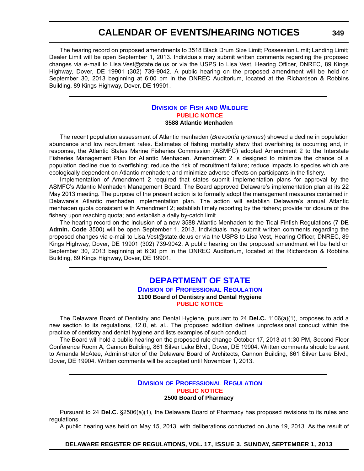The hearing record on proposed amendments to 3518 Black Drum Size Limit; Possession Limit; Landing Limit; Dealer Limit will be open September 1, 2013. Individuals may submit written comments regarding the proposed changes via e-mail to Lisa.Vest@state.de.us or via the USPS to Lisa Vest, Hearing Officer, DNREC, 89 Kings Highway, Dover, DE 19901 (302) 739-9042. A public hearing on the proposed amendment will be held on September 30, 2013 beginning at 6:00 pm in the DNREC Auditorium, located at the Richardson & Robbins Building, 89 Kings Highway, Dover, DE 19901.

## **DIVISION OF FISH AND W[ILDLIFE](http://www.dnrec.delaware.gov/fw/Pages/FWPortal.aspx) [PUBLIC NOTICE](#page-4-0) 3588 Atlantic Menhaden**

The recent population assessment of Atlantic menhaden (*Brevoortia tyrannus*) showed a decline in population abundance and low recruitment rates. Estimates of fishing mortality show that overfishing is occurring and, in response, the Atlantic States Marine Fisheries Commission (ASMFC) adopted Amendment 2 to the Interstate Fisheries Management Plan for Atlantic Menhaden. Amendment 2 is designed to minimize the chance of a population decline due to overfishing; reduce the risk of recruitment failure; reduce impacts to species which are ecologically dependent on Atlantic menhaden; and minimize adverse effects on participants in the fishery.

Implementation of Amendment 2 required that states submit implementation plans for approval by the ASMFC's Atlantic Menhaden Management Board. The Board approved Delaware's implementation plan at its 22 May 2013 meeting. The purpose of the present action is to formally adopt the management measures contained in Delaware's Atlantic menhaden implementation plan. The action will establish Delaware's annual Atlantic menhaden quota consistent with Amendment 2; establish timely reporting by the fishery; provide for closure of the fishery upon reaching quota; and establish a daily by-catch limit.

The hearing record on the inclusion of a new 3588 Atlantic Menhaden to the Tidal Finfish Regulations (7 **DE Admin. Code** 3500) will be open September 1, 2013. Individuals may submit written comments regarding the proposed changes via e-mail to Lisa.Vest@state.de.us or via the USPS to Lisa Vest, Hearing Officer, DNREC, 89 Kings Highway, Dover, DE 19901 (302) 739-9042. A public hearing on the proposed amendment will be held on September 30, 2013 beginning at 6:30 pm in the DNREC Auditorium, located at the Richardson & Robbins Building, 89 Kings Highway, Dover, DE 19901.

# **[DEPARTMENT OF STATE](http://dpr.delaware.gov/) DIVISION OF PROFESSIONAL REGULATION**

# **1100 Board of Dentistry and Dental Hygiene [PUBLIC NOTICE](#page-4-0)**

The Delaware Board of Dentistry and Dental Hygiene, pursuant to 24 **Del.C.** 1106(a)(1), proposes to add a new section to its regulations, 12.0, et. al.. The proposed addition defines unprofessional conduct within the practice of dentistry and dental hygiene and lists examples of such conduct.

The Board will hold a public hearing on the proposed rule change October 17, 2013 at 1:30 PM, Second Floor Conference Room A, Cannon Building, 861 Silver Lake Blvd., Dover, DE 19904. Written comments should be sent to Amanda McAtee, Administrator of the Delaware Board of Architects, Cannon Building, 861 Silver Lake Blvd., Dover, DE 19904. Written comments will be accepted until November 1, 2013.

## **DIVISION OF P[ROFESSIONAL](http://dpr.delaware.gov/) REGULATION [PUBLIC NOTICE](#page-4-0) 2500 Board of Pharmacy**

Pursuant to 24 **Del.C.** §2506(a)(1), the Delaware Board of Pharmacy has proposed revisions to its rules and regulations.

A public hearing was held on May 15, 2013, with deliberations conducted on June 19, 2013. As the result of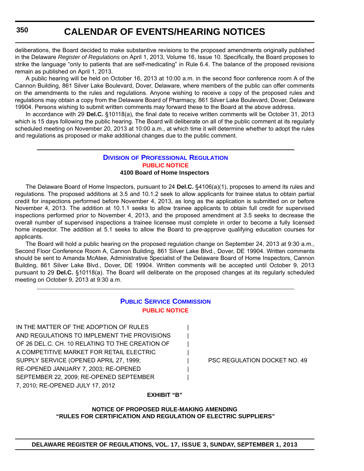deliberations, the Board decided to make substantive revisions to the proposed amendments originally published in the Delaware *Register of Regulations* on April 1, 2013, Volume 16, Issue 10. Specifically, the Board proposes to strike the language "only to patients that are self-medicating" in Rule 6.4. The balance of the proposed revisions remain as published on April 1, 2013.

A public hearing will be held on October 16, 2013 at 10:00 a.m. in the second floor conference room A of the Cannon Building, 861 Silver Lake Boulevard, Dover, Delaware, where members of the public can offer comments on the amendments to the rules and regulations. Anyone wishing to receive a copy of the proposed rules and regulations may obtain a copy from the Delaware Board of Pharmacy, 861 Silver Lake Boulevard, Dover, Delaware 19904. Persons wishing to submit written comments may forward these to the Board at the above address.

In accordance with 29 **Del.C.** §10118(a), the final date to receive written comments will be October 31, 2013 which is 15 days following the public hearing. The Board will deliberate on all of the public comment at its regularly scheduled meeting on November 20, 2013 at 10:00 a.m., at which time it will determine whether to adopt the rules and regulations as proposed or make additional changes due to the public comment.

#### **DIVISION OF P[ROFESSIONAL](http://dpr.delaware.gov/) REGULATION [PUBLIC NOTICE](#page-4-0) 4100 Board of Home Inspectors**

The Delaware Board of Home Inspectors, pursuant to 24 **Del.C.** §4106(a)(1), proposes to amend its rules and regulations. The proposed additions at 3.5 and 10.1.2 seek to allow applicants for trainee status to obtain partial credit for inspections performed before November 4, 2013, as long as the application is submitted on or before November 4, 2013. The addition at 10.1.1 seeks to allow trainee applicants to obtain full credit for supervised inspections performed prior to November 4, 2013, and the proposed amendment at 3.5 seeks to decrease the overall number of supervised inspections a trainee licensee must complete in order to become a fully licensed home inspector. The addition at 5.1 seeks to allow the Board to pre-approve qualifying education courses for applicants.

The Board will hold a public hearing on the proposed regulation change on September 24, 2013 at 9:30 a.m., Second Floor Conference Room A, Cannon Building, 861 Silver Lake Blvd., Dover, DE 19904. Written comments should be sent to Amanda McAtee, Administrative Specialist of the Delaware Board of Home Inspectors, Cannon Building, 861 Silver Lake Blvd., Dover, DE 19904. Written comments will be accepted until October 9, 2013 pursuant to 29 **Del.C.** §10118(a). The Board will deliberate on the proposed changes at its regularly scheduled meeting on October 9, 2013 at 9:30 a.m.

# **PUBLIC SERVICE C[OMMISSION](http://depsc.delaware.gov/) [PUBLIC NOTICE](#page-4-0)**

IN THE MATTER OF THE ADOPTION OF RULES AND REGULATIONS TO IMPLEMENT THE PROVISIONS OF 26 DEL.C. CH. 10 RELATING TO THE CREATION OF A COMPETITIVE MARKET FOR RETAIL ELECTRIC. SUPPLY SERVICE (OPENED APRIL 27, 1999; Facebook and the PSC REGULATION DOCKET NO. 49 RE-OPENED JANUARY 7, 2003; RE-OPENED | SEPTEMBER 22, 2009; RE-OPENED SEPTEMBER 7, 2010; RE-OPENED JULY 17, 2012

## **EXHIBIT "B"**

**NOTICE OF PROPOSED RULE-MAKING AMENDING "RULES FOR CERTIFICATION AND REGULATION OF ELECTRIC SUPPLIERS"**